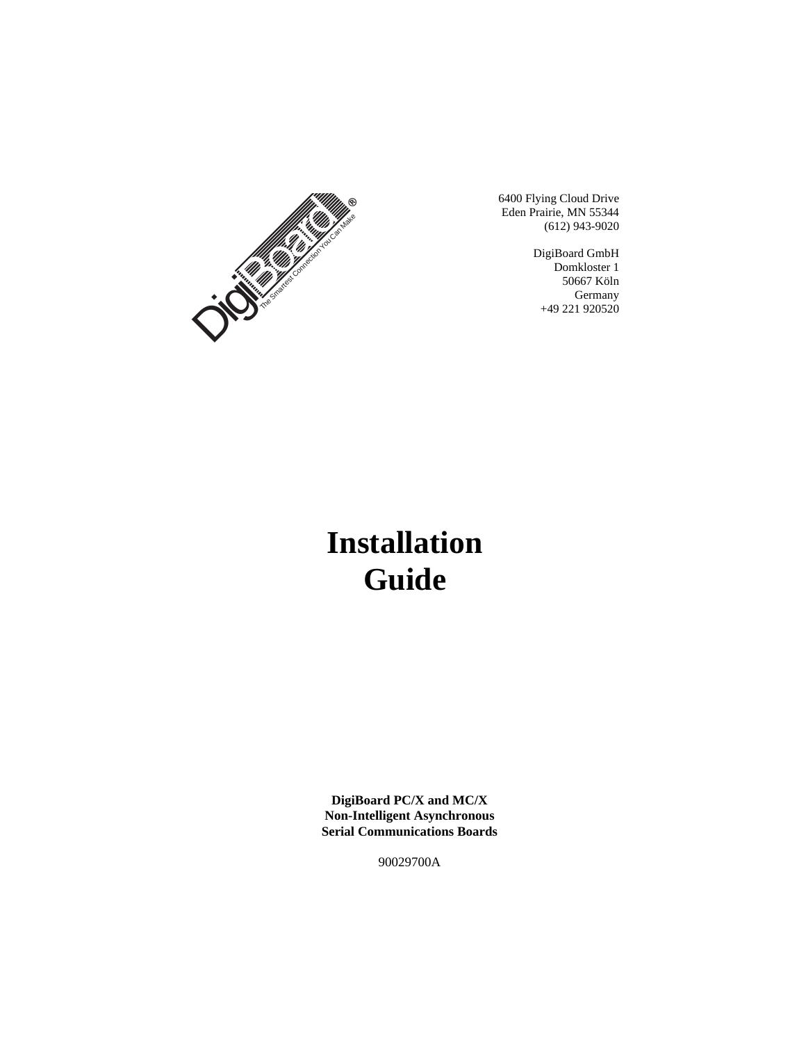

6400 Flying Cloud Drive Eden Prairie, MN 55344 (612) 943-9020

> DigiBoard GmbH Domkloster 1 50667 Köln **Germany** +49 221 920520

# **Installation Guide**

**DigiBoard PC/X and MC/X Non-Intelligent Asynchronous Serial Communications Boards**

90029700A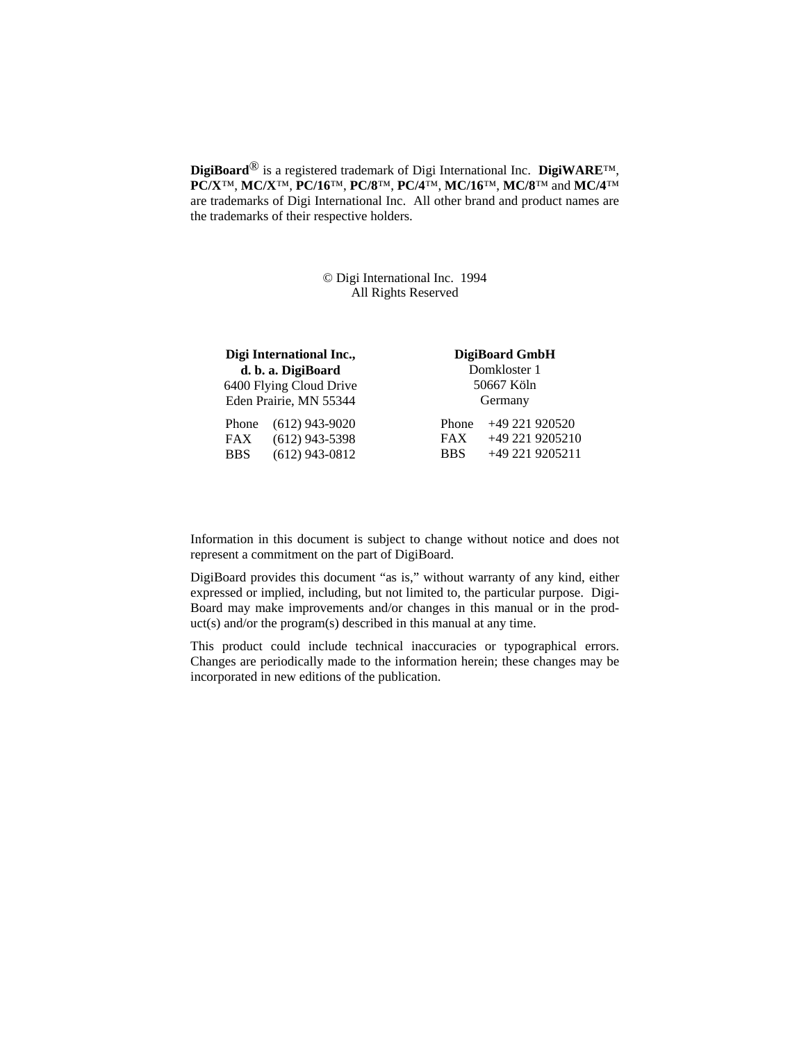**DigiBoard**® is a registered trademark of Digi International Inc. **DigiWARE**™, **PC/X**™, **MC/X**™, **PC/16**™, **PC/8**™, **PC/4**™, **MC/16**™, **MC/8**™ and **MC/4**™ are trademarks of Digi International Inc. All other brand and product names are the trademarks of their respective holders.

> © Digi International Inc. 1994 All Rights Reserved

|            | Digi International Inc., |            | DigiBoard GmbH  |
|------------|--------------------------|------------|-----------------|
|            | d. b. a. DigiBoard       |            | Domkloster 1    |
|            | 6400 Flying Cloud Drive  |            | 50667 Köln      |
|            | Eden Prairie, MN 55344   |            | Germany         |
| Phone      | $(612)$ 943-9020         | Phone      | +49 221 920520  |
| <b>FAX</b> | $(612)$ 943-5398         | <b>FAX</b> | +49 221 9205210 |
| <b>BBS</b> | $(612)$ 943-0812         | <b>BBS</b> | +49 221 9205211 |

Information in this document is subject to change without notice and does not represent a commitment on the part of DigiBoard.

DigiBoard provides this document "as is," without warranty of any kind, either expressed or implied, including, but not limited to, the particular purpose. Digi-Board may make improvements and/or changes in this manual or in the product(s) and/or the program(s) described in this manual at any time.

This product could include technical inaccuracies or typographical errors. Changes are periodically made to the information herein; these changes may be incorporated in new editions of the publication.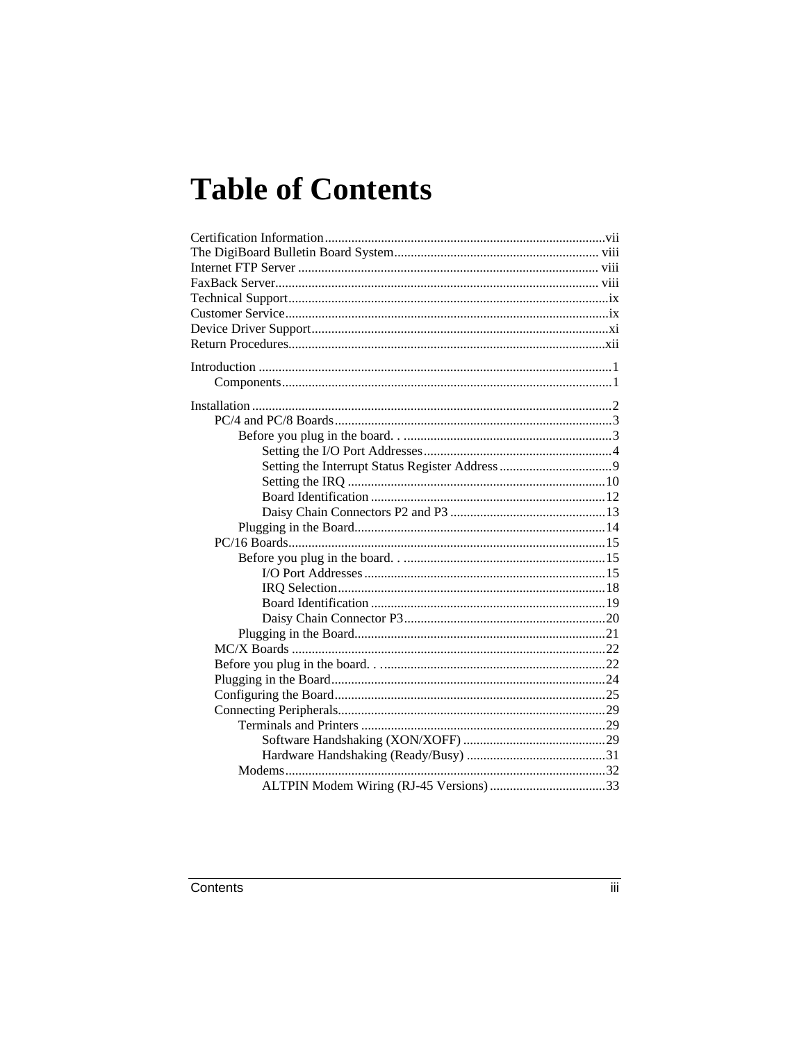# **Table of Contents**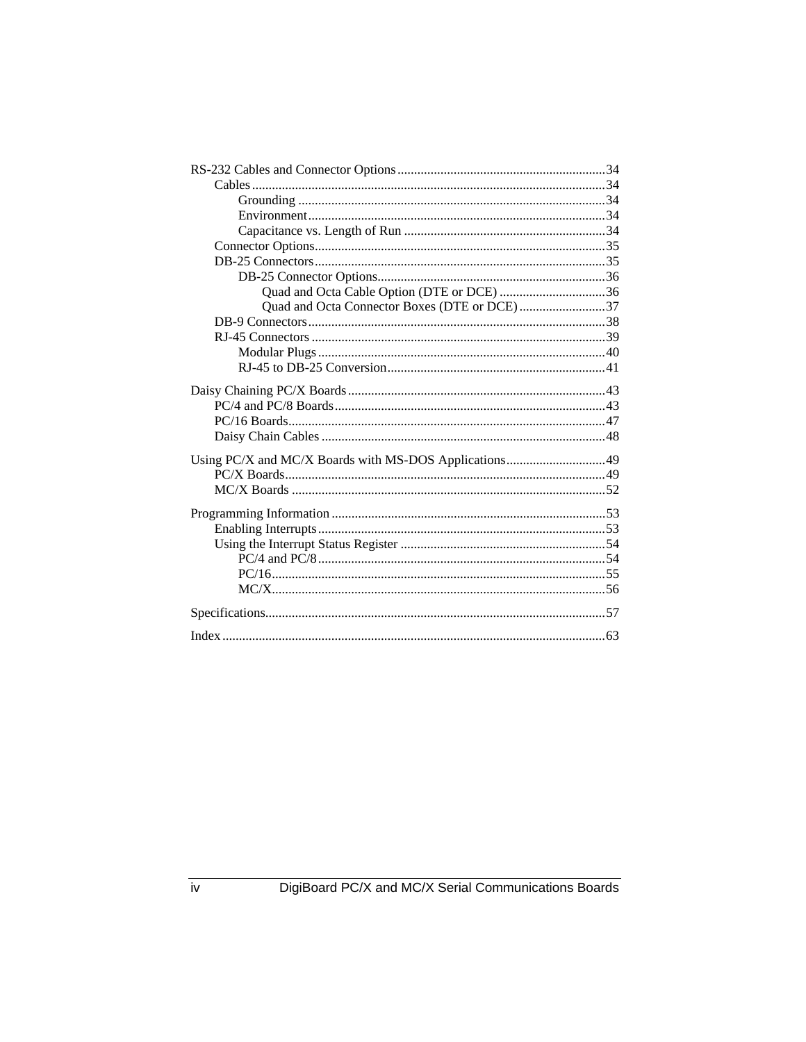| Quad and Octa Cable Option (DTE or DCE) 36            |  |
|-------------------------------------------------------|--|
| Quad and Octa Connector Boxes (DTE or DCE)37          |  |
|                                                       |  |
|                                                       |  |
|                                                       |  |
|                                                       |  |
|                                                       |  |
|                                                       |  |
|                                                       |  |
|                                                       |  |
|                                                       |  |
| Using PC/X and MC/X Boards with MS-DOS Applications49 |  |
|                                                       |  |
|                                                       |  |
|                                                       |  |
|                                                       |  |
|                                                       |  |
|                                                       |  |
|                                                       |  |
|                                                       |  |
|                                                       |  |
|                                                       |  |
|                                                       |  |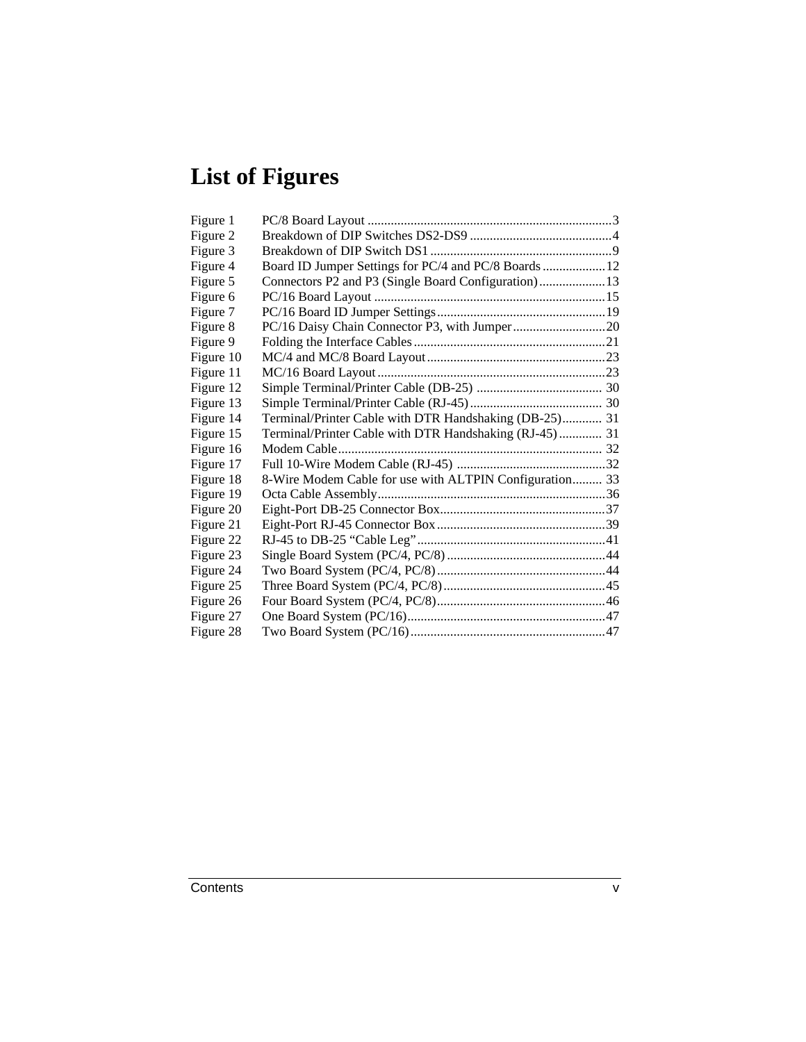# **List of Figures**

| Figure 1  |                                                         |  |
|-----------|---------------------------------------------------------|--|
| Figure 2  |                                                         |  |
| Figure 3  |                                                         |  |
| Figure 4  | Board ID Jumper Settings for PC/4 and PC/8 Boards  12   |  |
| Figure 5  | Connectors P2 and P3 (Single Board Configuration) 13    |  |
| Figure 6  |                                                         |  |
| Figure 7  |                                                         |  |
| Figure 8  |                                                         |  |
| Figure 9  |                                                         |  |
| Figure 10 |                                                         |  |
| Figure 11 |                                                         |  |
| Figure 12 |                                                         |  |
| Figure 13 |                                                         |  |
| Figure 14 | Terminal/Printer Cable with DTR Handshaking (DB-25) 31  |  |
| Figure 15 | Terminal/Printer Cable with DTR Handshaking (RJ-45) 31  |  |
| Figure 16 |                                                         |  |
| Figure 17 |                                                         |  |
| Figure 18 | 8-Wire Modem Cable for use with ALTPIN Configuration 33 |  |
| Figure 19 |                                                         |  |
| Figure 20 |                                                         |  |
| Figure 21 |                                                         |  |
| Figure 22 |                                                         |  |
| Figure 23 |                                                         |  |
| Figure 24 |                                                         |  |
| Figure 25 |                                                         |  |
| Figure 26 |                                                         |  |
| Figure 27 |                                                         |  |
| Figure 28 |                                                         |  |
|           |                                                         |  |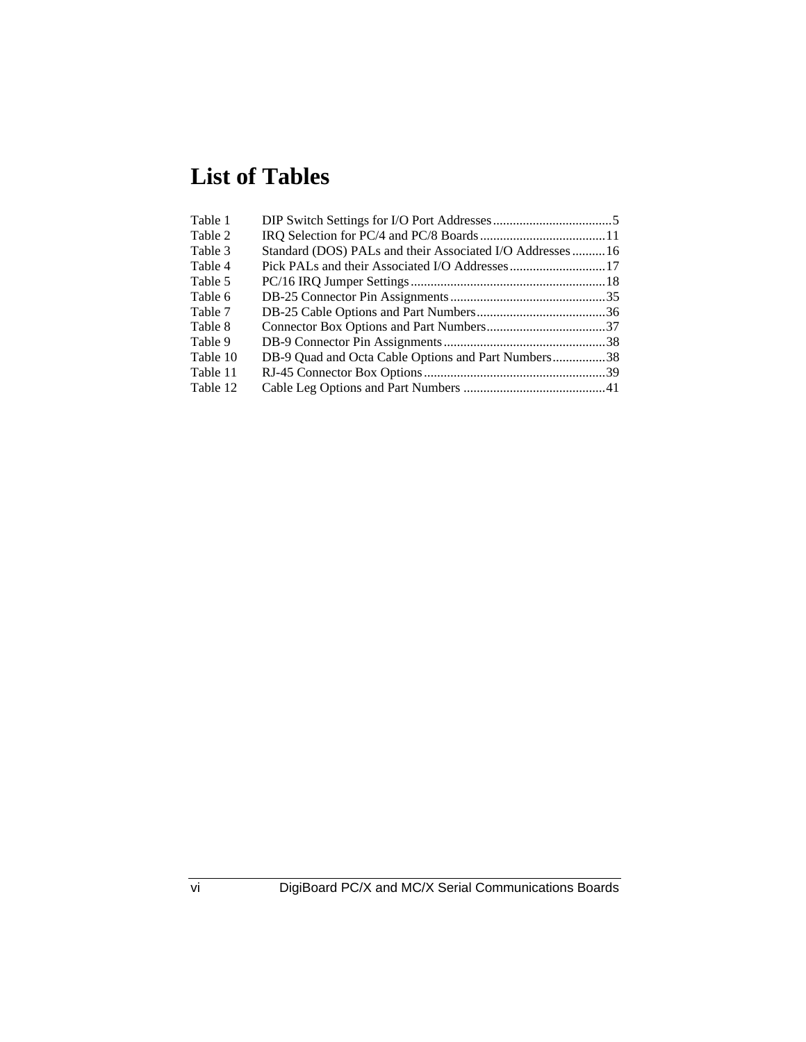# **List of Tables**

| Table 1  |                                                          |  |
|----------|----------------------------------------------------------|--|
| Table 2  |                                                          |  |
| Table 3  | Standard (DOS) PALs and their Associated I/O Addresses16 |  |
| Table 4  |                                                          |  |
| Table 5  |                                                          |  |
| Table 6  |                                                          |  |
| Table 7  |                                                          |  |
| Table 8  |                                                          |  |
| Table 9  |                                                          |  |
| Table 10 | DB-9 Quad and Octa Cable Options and Part Numbers38      |  |
| Table 11 |                                                          |  |
| Table 12 |                                                          |  |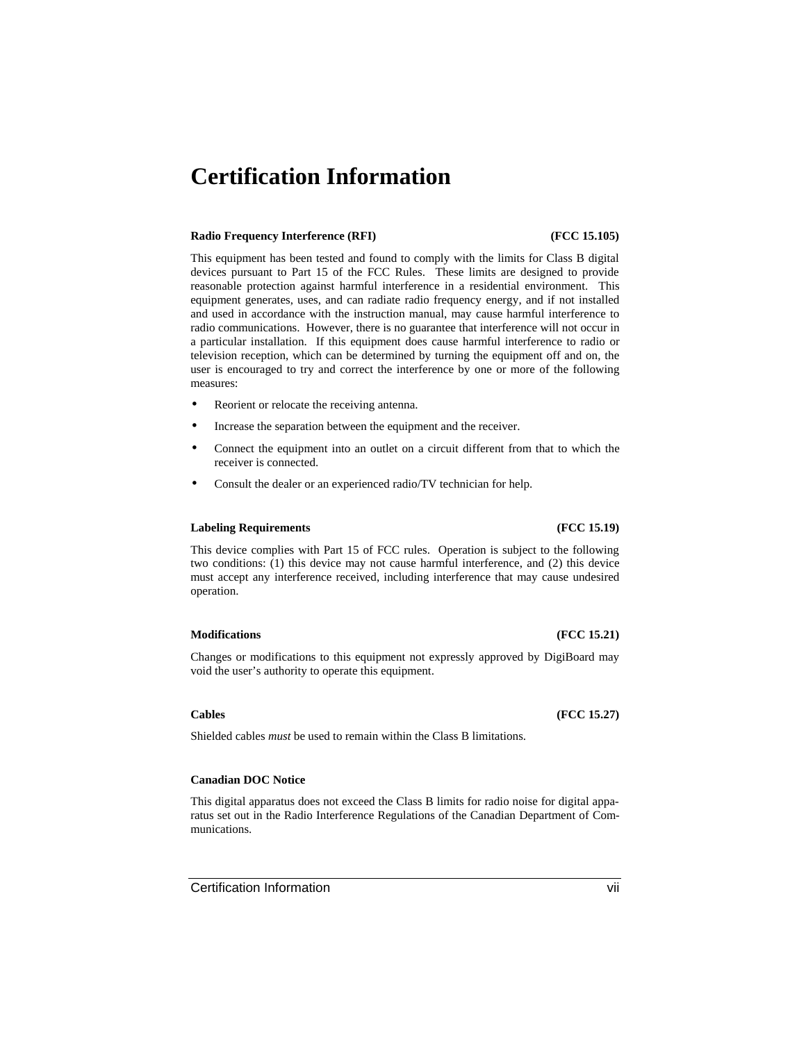## **Certification Information**

### **Radio Frequency Interference (RFI) (FCC 15.105)**

This equipment has been tested and found to comply with the limits for Class B digital devices pursuant to Part 15 of the FCC Rules. These limits are designed to provide reasonable protection against harmful interference in a residential environment. This equipment generates, uses, and can radiate radio frequency energy, and if not installed and used in accordance with the instruction manual, may cause harmful interference to radio communications. However, there is no guarantee that interference will not occur in a particular installation. If this equipment does cause harmful interference to radio or television reception, which can be determined by turning the equipment off and on, the user is encouraged to try and correct the interference by one or more of the following measures:

- Reorient or relocate the receiving antenna.
- Increase the separation between the equipment and the receiver.
- Connect the equipment into an outlet on a circuit different from that to which the receiver is connected.
- Consult the dealer or an experienced radio/TV technician for help.

### **Labeling Requirements (FCC 15.19)**

### This device complies with Part 15 of FCC rules. Operation is subject to the following two conditions: (1) this device may not cause harmful interference, and (2) this device must accept any interference received, including interference that may cause undesired operation.

### **Modifications (FCC 15.21)**

Changes or modifications to this equipment not expressly approved by DigiBoard may void the user's authority to operate this equipment.

### **Cables (FCC 15.27)**

Shielded cables *must* be used to remain within the Class B limitations.

### **Canadian DOC Notice**

This digital apparatus does not exceed the Class B limits for radio noise for digital apparatus set out in the Radio Interference Regulations of the Canadian Department of Communications.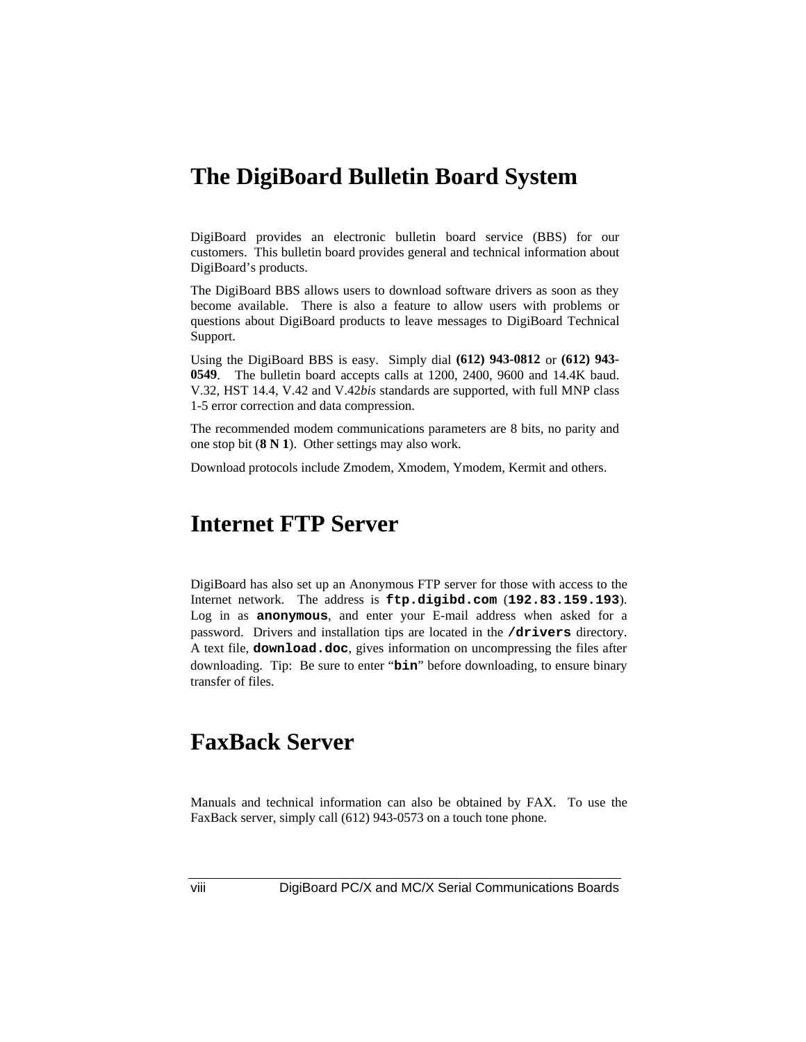## **The DigiBoard Bulletin Board System**

DigiBoard provides an electronic bulletin board service (BBS) for our customers. This bulletin board provides general and technical information about DigiBoard's products.

The DigiBoard BBS allows users to download software drivers as soon as they become available. There is also a feature to allow users with problems or questions about DigiBoard products to leave messages to DigiBoard Technical Support.

Using the DigiBoard BBS is easy. Simply dial **(612) 943-0812** or **(612) 943- 0549**. The bulletin board accepts calls at 1200, 2400, 9600 and 14.4K baud. V.32, HST 14.4, V.42 and V.42*bis* standards are supported, with full MNP class 1-5 error correction and data compression.

The recommended modem communications parameters are 8 bits, no parity and one stop bit (**8 N 1**). Other settings may also work.

Download protocols include Zmodem, Xmodem, Ymodem, Kermit and others.

## **Internet FTP Server**

DigiBoard has also set up an Anonymous FTP server for those with access to the Internet network. The address is **ftp.digibd.com** (**192.83.159.193**). Log in as **anonymous**, and enter your E-mail address when asked for a password. Drivers and installation tips are located in the **/drivers** directory. A text file, **download.doc**, gives information on uncompressing the files after downloading. Tip: Be sure to enter "**bin**" before downloading, to ensure binary transfer of files.

## **FaxBack Server**

Manuals and technical information can also be obtained by FAX. To use the FaxBack server, simply call (612) 943-0573 on a touch tone phone.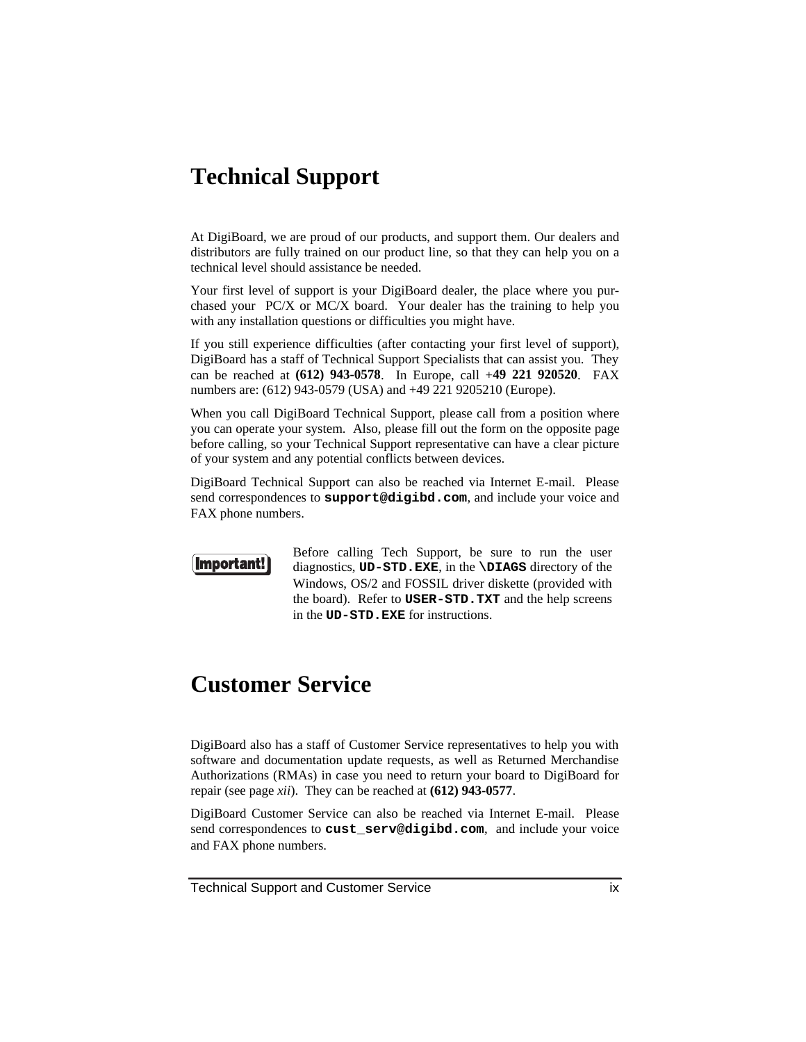## **Technical Support**

At DigiBoard, we are proud of our products, and support them. Our dealers and distributors are fully trained on our product line, so that they can help you on a technical level should assistance be needed.

Your first level of support is your DigiBoard dealer, the place where you purchased your PC/X or MC/X board. Your dealer has the training to help you with any installation questions or difficulties you might have.

If you still experience difficulties (after contacting your first level of support), DigiBoard has a staff of Technical Support Specialists that can assist you. They can be reached at **(612) 943-0578**. In Europe, call +**49 221 920520**. FAX numbers are: (612) 943-0579 (USA) and +49 221 9205210 (Europe).

When you call DigiBoard Technical Support, please call from a position where you can operate your system. Also, please fill out the form on the opposite page before calling, so your Technical Support representative can have a clear picture of your system and any potential conflicts between devices.

DigiBoard Technical Support can also be reached via Internet E-mail. Please send correspondences to **support@digibd.com**, and include your voice and FAX phone numbers.



Before calling Tech Support, be sure to run the user diagnostics, **UD-STD.EXE**, in the **\DIAGS** directory of the Windows, OS/2 and FOSSIL driver diskette (provided with the board). Refer to **USER-STD.TXT** and the help screens in the **UD-STD.EXE** for instructions.

## **Customer Service**

DigiBoard also has a staff of Customer Service representatives to help you with software and documentation update requests, as well as Returned Merchandise Authorizations (RMAs) in case you need to return your board to DigiBoard for repair (see page *xii*). They can be reached at **(612) 943-0577**.

DigiBoard Customer Service can also be reached via Internet E-mail. Please send correspondences to **cust\_serv@digibd.com**, and include your voice and FAX phone numbers.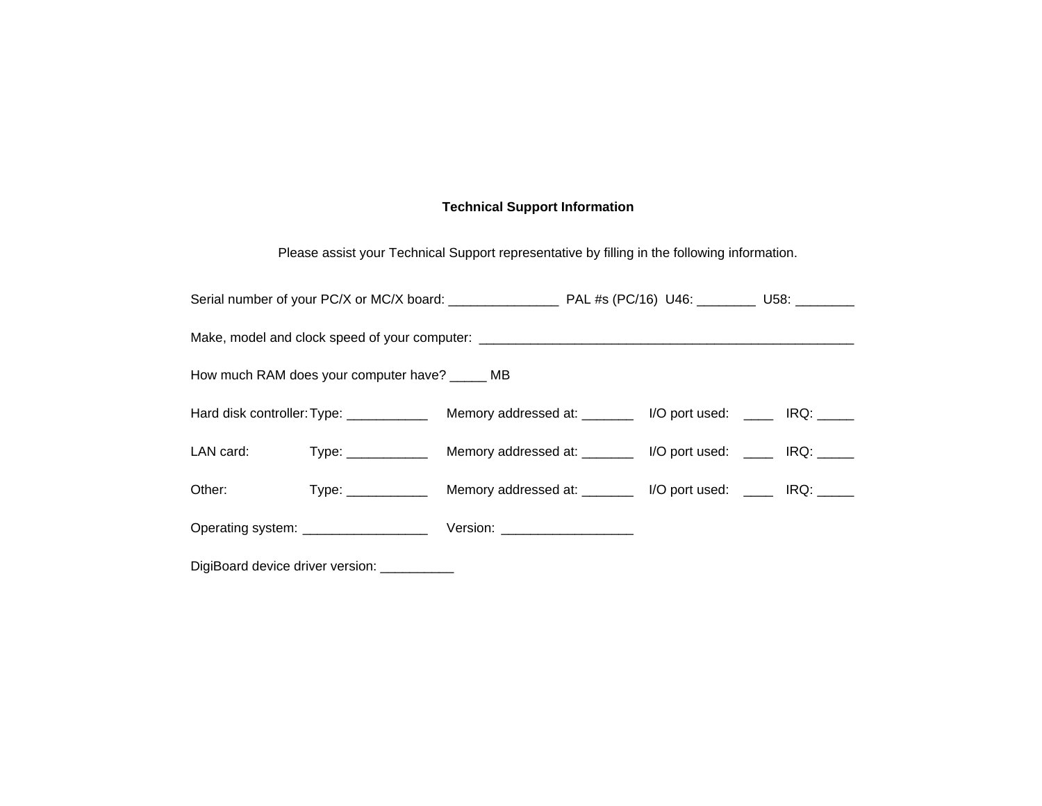### **Technical Support Information**

Please assist your Technical Support representative by filling in the following information.

|           | Make, model and clock speed of your computer: __________________________________ |  |  |  |
|-----------|----------------------------------------------------------------------------------|--|--|--|
|           | How much RAM does your computer have? _____ MB                                   |  |  |  |
|           |                                                                                  |  |  |  |
| LAN card: |                                                                                  |  |  |  |
| Other:    |                                                                                  |  |  |  |
|           |                                                                                  |  |  |  |

DigiBoard device driver version: \_\_\_\_\_\_\_\_\_\_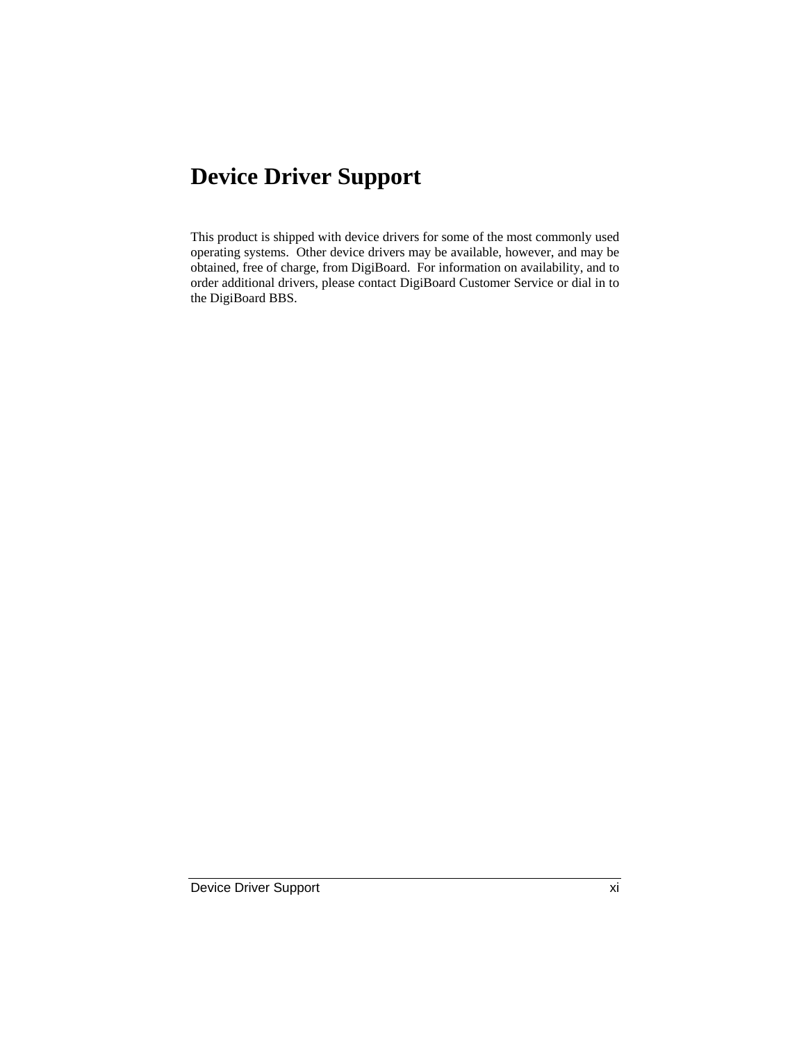## **Device Driver Support**

This product is shipped with device drivers for some of the most commonly used operating systems. Other device drivers may be available, however, and may be obtained, free of charge, from DigiBoard. For information on availability, and to order additional drivers, please contact DigiBoard Customer Service or dial in to the DigiBoard BBS.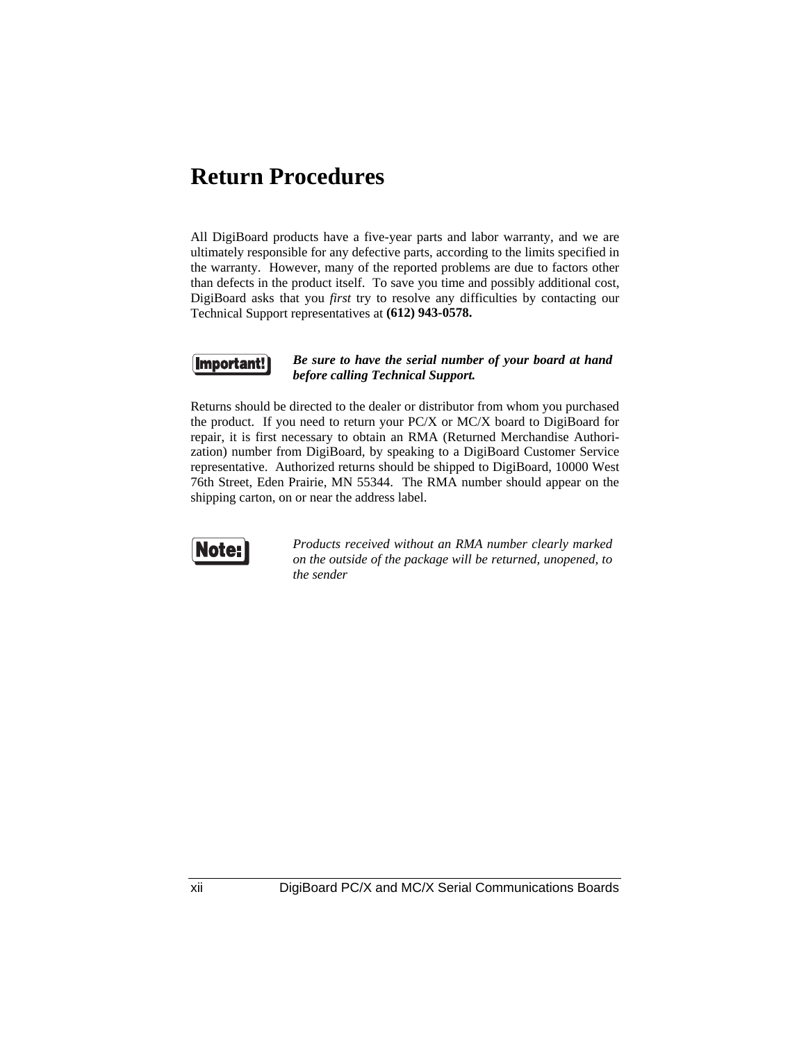## **Return Procedures**

All DigiBoard products have a five-year parts and labor warranty, and we are ultimately responsible for any defective parts, according to the limits specified in the warranty. However, many of the reported problems are due to factors other than defects in the product itself. To save you time and possibly additional cost, DigiBoard asks that you *first* try to resolve any difficulties by contacting our Technical Support representatives at **(612) 943-0578.**



### *Be sure to have the serial number of your board at hand before calling Technical Support.*

Returns should be directed to the dealer or distributor from whom you purchased the product. If you need to return your PC/X or MC/X board to DigiBoard for repair, it is first necessary to obtain an RMA (Returned Merchandise Authorization) number from DigiBoard, by speaking to a DigiBoard Customer Service representative. Authorized returns should be shipped to DigiBoard, 10000 West 76th Street, Eden Prairie, MN 55344. The RMA number should appear on the shipping carton, on or near the address label.



*Products received without an RMA number clearly marked on the outside of the package will be returned, unopened, to the sender*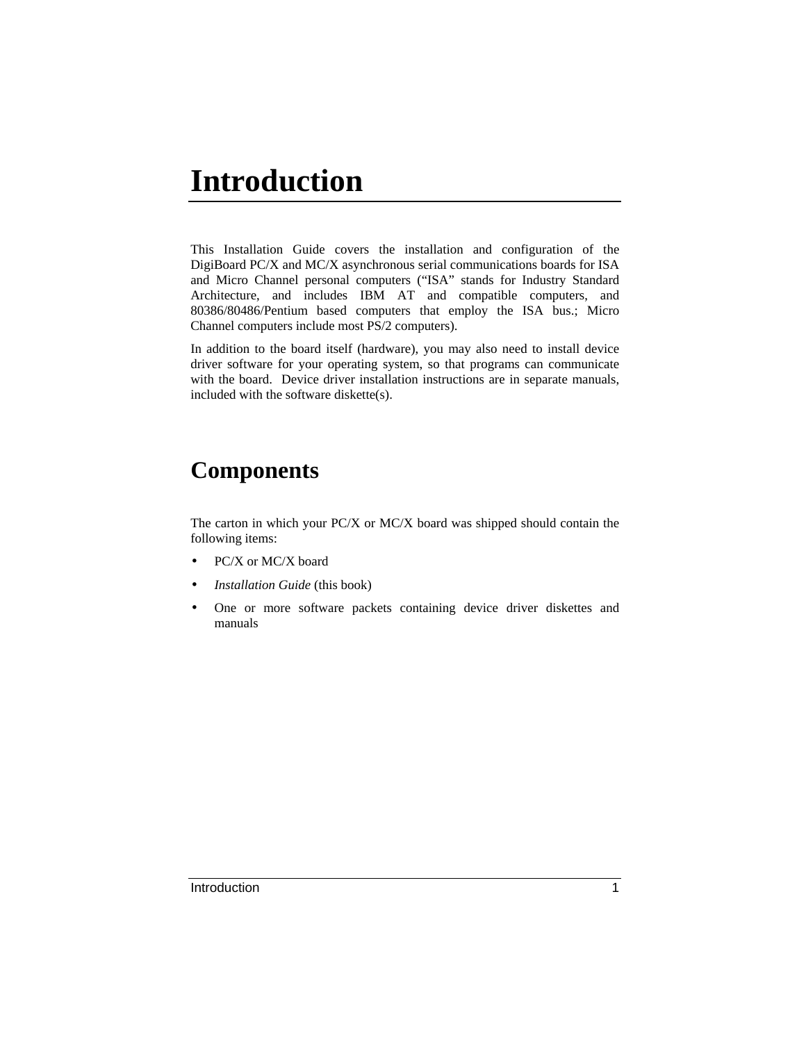# **Introduction**

This Installation Guide covers the installation and configuration of the DigiBoard PC/X and MC/X asynchronous serial communications boards for ISA and Micro Channel personal computers ("ISA" stands for Industry Standard Architecture, and includes IBM AT and compatible computers, and 80386/80486/Pentium based computers that employ the ISA bus.; Micro Channel computers include most PS/2 computers).

In addition to the board itself (hardware), you may also need to install device driver software for your operating system, so that programs can communicate with the board. Device driver installation instructions are in separate manuals, included with the software diskette(s).

## **Components**

The carton in which your PC/X or MC/X board was shipped should contain the following items:

- PC/X or MC/X board
- *Installation Guide* (this book)
- One or more software packets containing device driver diskettes and manuals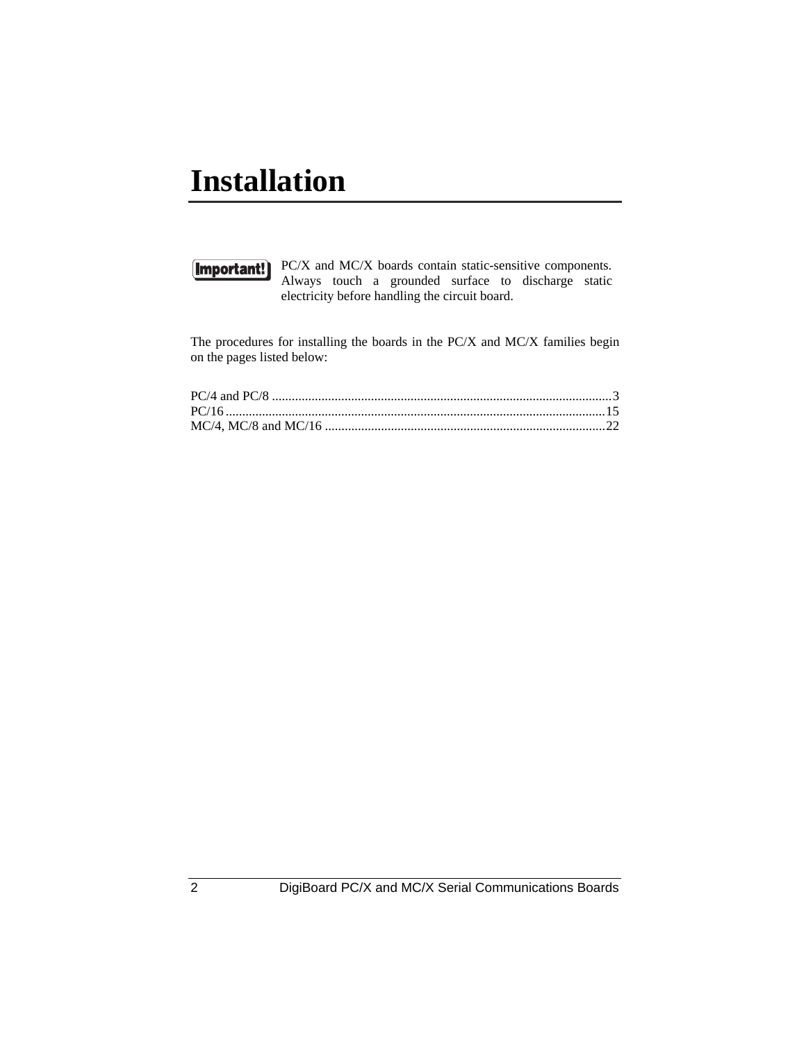# **Installation**



PC/X and MC/X boards contain static-sensitive components. Always touch a grounded surface to discharge static electricity before handling the circuit board.

The procedures for installing the boards in the PC/X and MC/X families begin on the pages listed below: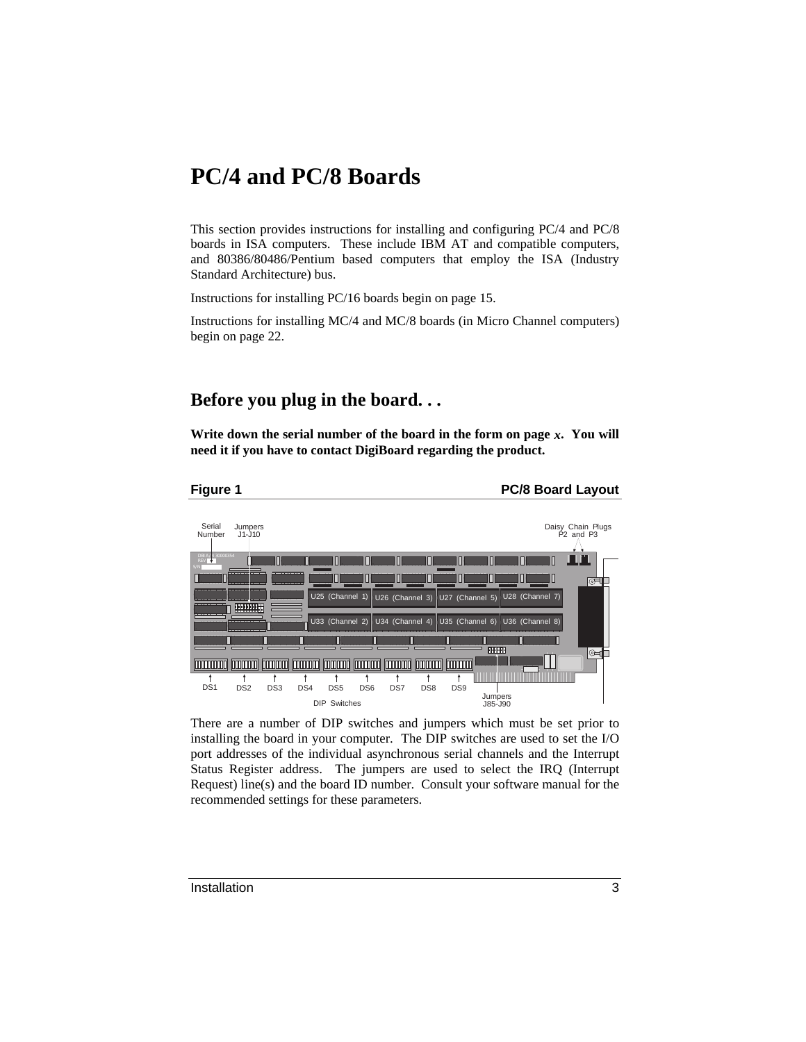## **PC/4 and PC/8 Boards**

This section provides instructions for installing and configuring PC/4 and PC/8 boards in ISA computers. These include IBM AT and compatible computers, and 80386/80486/Pentium based computers that employ the ISA (Industry Standard Architecture) bus.

Instructions for installing PC/16 boards begin on page 15.

Instructions for installing MC/4 and MC/8 boards (in Micro Channel computers) begin on page 22.

### **Before you plug in the board. . .**

**Write down the serial number of the board in the form on page** *x***. You will need it if you have to contact DigiBoard regarding the product.**



**Figure 1 PC/8 Board Layout** 



There are a number of DIP switches and jumpers which must be set prior to installing the board in your computer. The DIP switches are used to set the I/O port addresses of the individual asynchronous serial channels and the Interrupt Status Register address. The jumpers are used to select the IRQ (Interrupt Request) line(s) and the board ID number. Consult your software manual for the recommended settings for these parameters.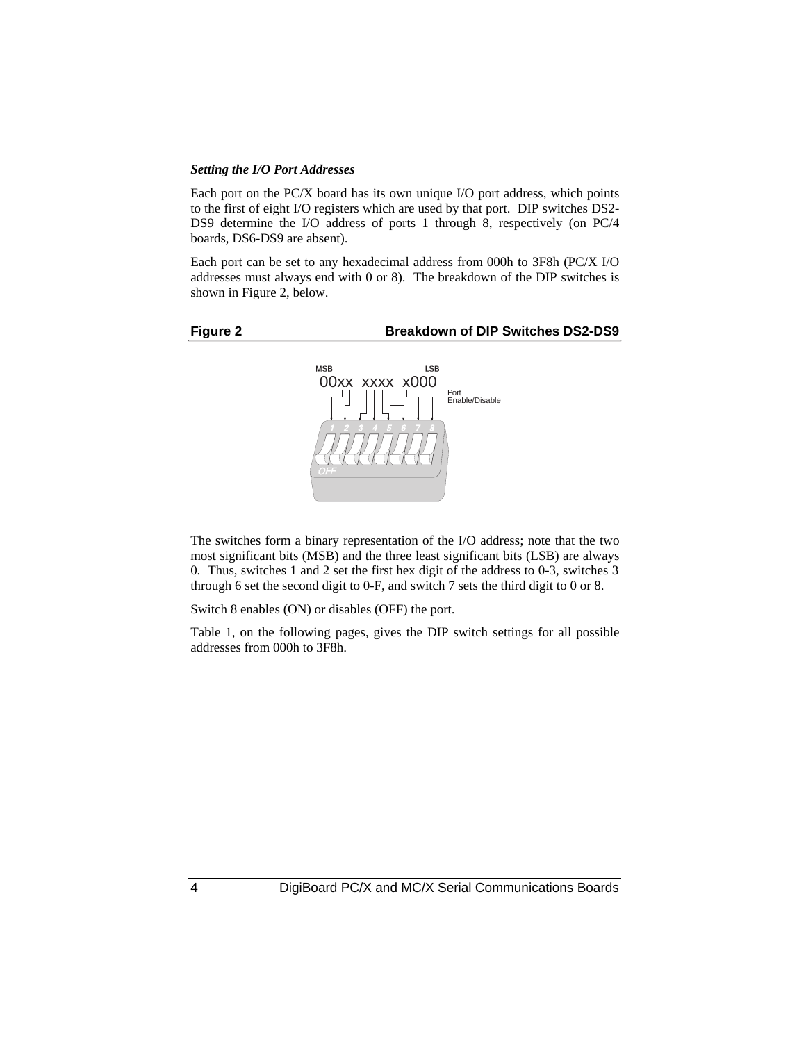### *Setting the I/O Port Addresses*

Each port on the PC/X board has its own unique I/O port address, which points to the first of eight I/O registers which are used by that port. DIP switches DS2- DS9 determine the I/O address of ports 1 through 8, respectively (on PC/4 boards, DS6-DS9 are absent).

Each port can be set to any hexadecimal address from 000h to 3F8h (PC/X I/O addresses must always end with 0 or 8). The breakdown of the DIP switches is shown in Figure 2, below.



### **Figure 2 Breakdown of DIP Switches DS2-DS9**



The switches form a binary representation of the I/O address; note that the two most significant bits (MSB) and the three least significant bits (LSB) are always 0. Thus, switches 1 and 2 set the first hex digit of the address to 0-3, switches 3 through 6 set the second digit to 0-F, and switch 7 sets the third digit to 0 or 8.

Switch 8 enables (ON) or disables (OFF) the port.

Table 1, on the following pages, gives the DIP switch settings for all possible addresses from 000h to 3F8h.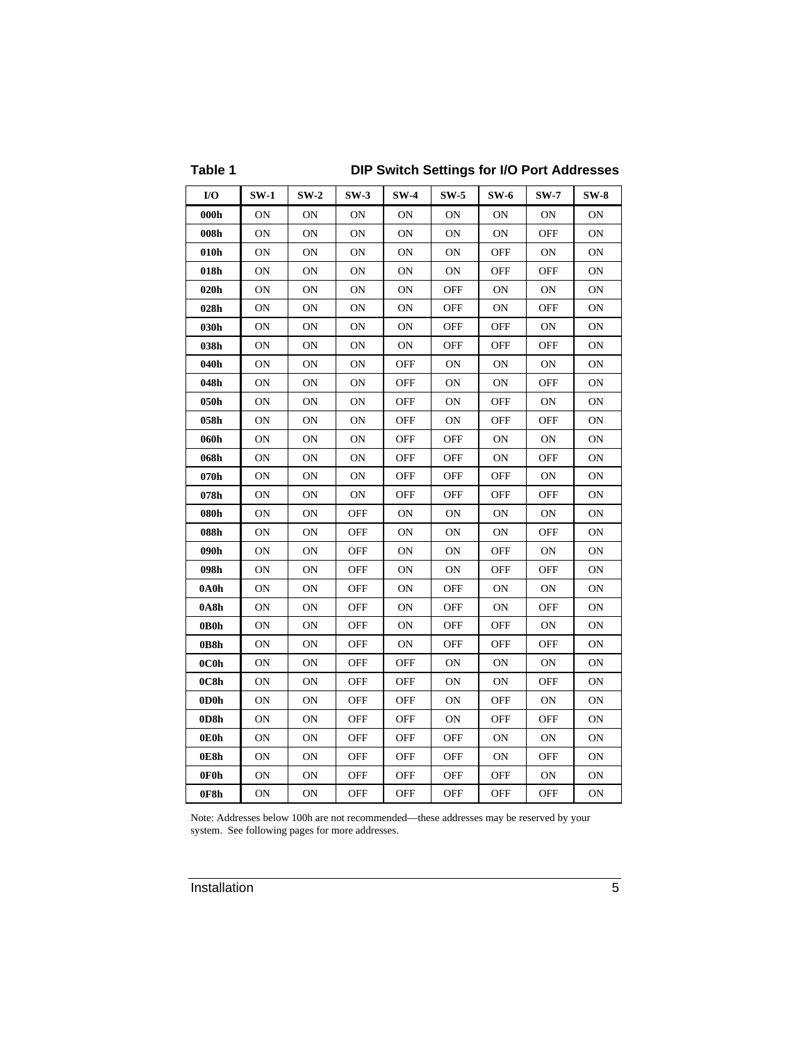### **Table 1 DIP Switch Settings for I/O Port Addresses**

| I/O  | $SW-1$ | $SW-2$    | $SW-3$     | $SW-4$     | $SW-5$     | $SW-6$     | $SW-7$         | $SW-8$    |
|------|--------|-----------|------------|------------|------------|------------|----------------|-----------|
| 000h | ON     | ON        | ON         | ON         | <b>ON</b>  | ON         | ON             | ON        |
| 008h | ON     | ON        | ON         | ON         | ON         | ON         | OFF            | 0N        |
| 010h | ON     | ON        | ON         | ON         | ON         | OFF        | ON             | 0N        |
| 018h | ON     | ON        | ON         | ON         | <b>ON</b>  | OFF        | OFF            | ON        |
| 020h | ON     | ON        | ON         | ON         | OFF        | ON         | 0 <sub>N</sub> | 0N        |
| 028h | ON     | ON        | ON         | <b>ON</b>  | <b>OFF</b> | ON         | <b>OFF</b>     | <b>ON</b> |
| 030h | ON     | ON        | ON         | ON         | OFF        | <b>OFF</b> | ON             | ON        |
| 038h | ON     | ON        | ON         | 0N         | OFF        | <b>OFF</b> | OFF            | 0N        |
| 040h | ON     | ON        | ON         | <b>OFF</b> | ON         | ON         | ON             | <b>ON</b> |
| 048h | ON     | ON        | ON         | <b>OFF</b> | ON         | ON         | <b>OFF</b>     | 0N        |
| 050h | ON     | ON        | ON         | OFF        | ON         | OFF        | 0N             | 0N        |
| 058h | ON     | ON        | ON         | <b>OFF</b> | ON         | <b>OFF</b> | <b>OFF</b>     | <b>ON</b> |
| 060h | ON     | ON        | ON         | OFF        | OFF        | ON         | ON             | ON        |
| 068h | ON     | ON        | ON         | OFF        | OFF        | ON         | OFF            | ON        |
| 070h | ON     | ON        | ON         | OFF        | OFF        | OFF        | ON             | ON        |
| 078h | ON     | ON        | ON         | <b>OFF</b> | OFF        | OFF        | <b>OFF</b>     | ON        |
| 080h | ON     | ON        | OFF        | ON         | ON         | ON         | ON             | ON        |
| 088h | ON     | ON        | <b>OFF</b> | ON         | ON         | ON         | OFF            | ON        |
| 090h | ON     | ON        | OFF        | ON         | ON         | OFF        | ON             | ON        |
| 098h | ON     | ON        | OFF        | ON         | <b>ON</b>  | OFF        | OFF            | ON        |
| 0A0h | ON     | ON        | OFF        | ON         | OFF        | ON         | ON             | 0N        |
| 0A8h | ON     | ON        | <b>OFF</b> | ON         | <b>OFF</b> | ON         | <b>OFF</b>     | ON        |
| 0B0h | ON     | ON        | OFF        | ON         | OFF        | OFF        | ON             | ON        |
| 0B8h | ON     | ON        | OFF        | ON         | OFF        | OFF        | OFF            | 0N        |
| 0C0h | ON     | ON        | <b>OFF</b> | OFF        | ON         | ON         | ON             | ON        |
| 0C8h | ON     | ON        | OFF        | OFF        | 0N         | ON         | OFF            | ON        |
| 0D0h | ON     | ON        | OFF        | OFF        | ON         | OFF        | ON             | 0N        |
| 0D8h | ON     | <b>ON</b> | <b>OFF</b> | <b>OFF</b> | <b>ON</b>  | <b>OFF</b> | <b>OFF</b>     | <b>ON</b> |
| 0E0h | ON     | <b>ON</b> | <b>OFF</b> | <b>OFF</b> | OFF        | ON         | ON             | <b>ON</b> |
| 0E8h | ON     | ON        | OFF        | OFF        | OFF        | ON         | OFF            | ON        |
| 0F0h | ON     | ON        | OFF        | OFF        | <b>OFF</b> | OFF        | ON             | ON        |
| 0F8h | ON     | ON        | OFF        | <b>OFF</b> | OFF        | OFF        | OFF            | ON        |

Note: Addresses below 100h are not recommended—these addresses may be reserved by your system. See following pages for more addresses.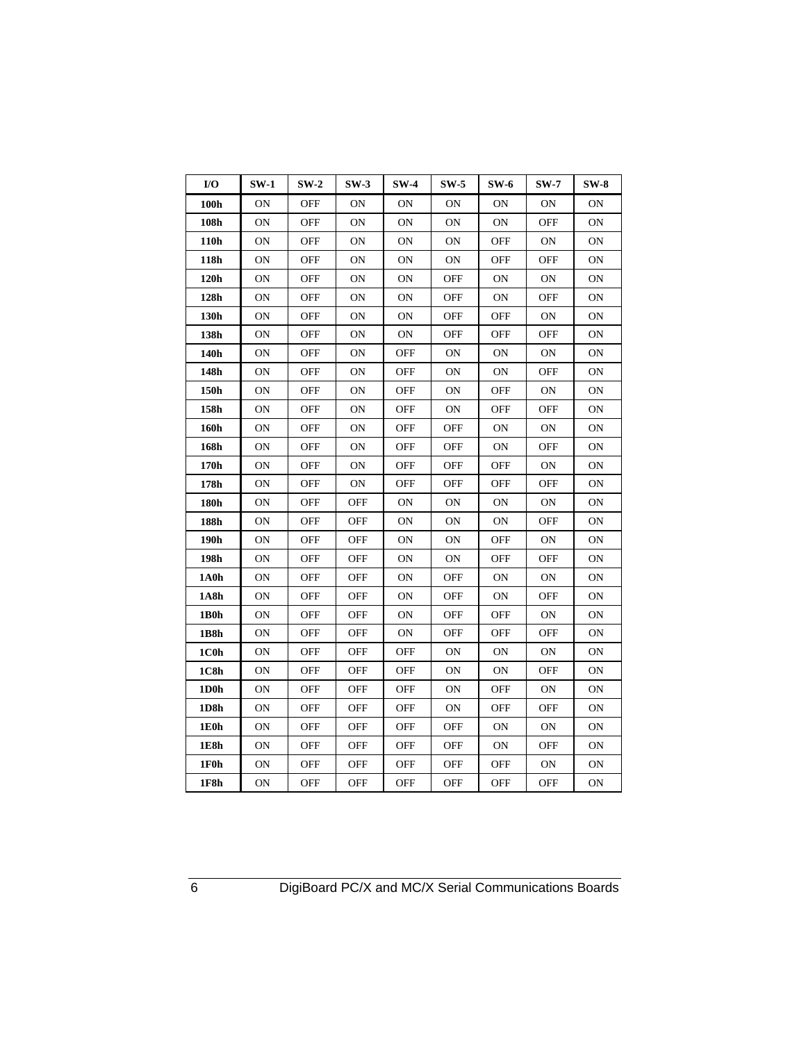| I/O          | $SW-1$ | $SW-2$     | $SW-3$     | $SW-4$     | $SW-5$     | $SW-6$         | $SW-7$     | $SW-8$    |
|--------------|--------|------------|------------|------------|------------|----------------|------------|-----------|
| 100h         | ON     | OFF        | ON         | ON         | ON         | ON             | ON         | ON        |
| 108h         | ON     | OFF        | ON         | ON         | ON         | 0 <sub>N</sub> | OFF        | 0N        |
| 110h         | ON     | OFF        | ON         | ON         | ON         | OFF            | ON         | ON        |
| 118h         | ON     | OFF        | ON         | ON         | ON         | OFF            | OFF        | ON        |
| 120h         | ON     | <b>OFF</b> | ON         | <b>ON</b>  | <b>OFF</b> | <b>ON</b>      | ON         | ON        |
| 128h         | ON     | <b>OFF</b> | ON         | ON         | OFF        | ON             | OFF        | ON        |
| 130h         | ON     | OFF        | ON         | ON         | OFF        | OFF            | ON         | 0N        |
| 138h         | ON     | <b>OFF</b> | ON         | ON         | <b>OFF</b> | <b>OFF</b>     | <b>OFF</b> | ON        |
| 140h         | ON     | <b>OFF</b> | ON         | OFF        | ON         | ON             | ON         | ON        |
| 148h         | ON     | OFF        | ON         | OFF        | ON         | <b>ON</b>      | OFF        | ON        |
| 150h         | ON     | <b>OFF</b> | ON         | OFF        | ON         | OFF            | ON         | <b>ON</b> |
| 158h         | ON     | <b>OFF</b> | ON         | <b>OFF</b> | ON         | OFF            | OFF        | ON        |
| 160h         | ON     | <b>OFF</b> | ON         | <b>OFF</b> | <b>OFF</b> | <b>ON</b>      | ON         | ON        |
| 168h         | ON     | OFF        | ON         | OFF        | OFF        | ON             | OFF        | ON        |
| 170h         | ON     | OFF        | ON         | OFF        | OFF        | OFF            | 0N         | 0N        |
| 178h         | ON     | <b>OFF</b> | ON         | <b>OFF</b> | <b>OFF</b> | <b>OFF</b>     | OFF        | ON        |
| 180h         | ON     | OFF        | OFF        | ON         | ON         | ON             | ON         | ON        |
| 188h         | ON     | OFF        | OFF        | ΟN         | ON         | ΟN             | OFF        | ON        |
| 190h         | ON     | OFF        | OFF        | ON         | ON         | OFF            | 0N         | ON        |
| 198h         | ON     | OFF        | OFF        | ON         | ON         | OFF            | OFF        | ON        |
| 1A0h         | ON     | OFF        | OFF        | ON         | OFF        | <b>ON</b>      | ON         | ON        |
| 1A8h         | ON     | OFF        | OFF        | ON         | OFF        | <b>ON</b>      | OFF        | ON        |
| 1B0h         | ON     | OFF        | OFF        | 0N         | <b>OFF</b> | <b>OFF</b>     | 0N         | 0N        |
| 1 <b>B8h</b> | ON     | OFF        | OFF        | ON         | OFF        | <b>OFF</b>     | OFF        | ON        |
| 1C0h         | ON     | <b>OFF</b> | OFF        | OFF        | ON         | 0N             | 0N         | ON        |
| 1C8h         | ON     | OFF        | OFF        | OFF        | ON         | ΟN             | OFF        | 0N        |
| 1D0h         | ON     | <b>OFF</b> | <b>OFF</b> | <b>OFF</b> | ON         | <b>OFF</b>     | ON         | ON        |
| 1D8h         | ON     | <b>OFF</b> | OFF        | OFF        | ON         | <b>OFF</b>     | <b>OFF</b> | ON        |
| 1E0h         | ON     | OFF        | OFF        | OFF        | OFF        | ON             | ON         | ON        |
| 1E8h         | ON     | <b>OFF</b> | <b>OFF</b> | <b>OFF</b> | OFF        | ON             | <b>OFF</b> | ON        |
| 1F0h         | ON     | <b>OFF</b> | OFF        | OFF        | OFF        | <b>OFF</b>     | ON         | ON        |
| 1F8h         | ON     | <b>OFF</b> | <b>OFF</b> | <b>OFF</b> | <b>OFF</b> | <b>OFF</b>     | <b>OFF</b> | ON        |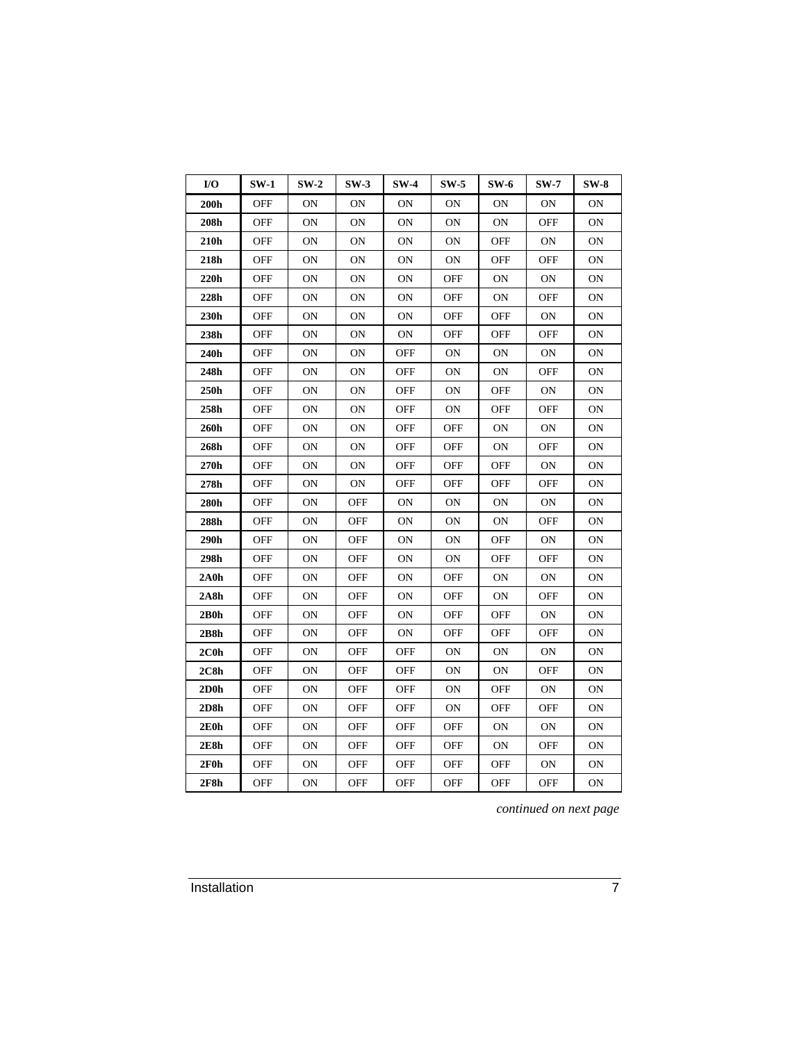| I/O               | $SW-1$     | $SW-2$ | $SW-3$     | $SW-4$     | $SW-5$         | <b>SW-6</b> | $SW-7$         | $SW-8$    |
|-------------------|------------|--------|------------|------------|----------------|-------------|----------------|-----------|
| 200h              | OFF        | ON     | 0N         | ON         | ON             | ON          | 0 <sub>N</sub> | ON        |
| ${\bf 208h}$      | OFF        | ON     | <b>ON</b>  | ON         | <b>ON</b>      | ON          | OFF            | ON        |
| 210h              | OFF        | ON     | ON         | ON         | <b>ON</b>      | <b>OFF</b>  | <b>ON</b>      | ON        |
| 218h              | OFF        | ON     | <b>ON</b>  | ON         | <b>ON</b>      | <b>OFF</b>  | OFF            | ON        |
| 220h              | <b>OFF</b> | ON     | <b>ON</b>  | ON         | <b>OFF</b>     | <b>ON</b>   | <b>ON</b>      | ON        |
| 228h              | <b>OFF</b> | ON     | <b>ON</b>  | <b>ON</b>  | OFF            | ON          | OFF            | ON        |
| 230h              | <b>OFF</b> | ON     | <b>ON</b>  | ON         | OFF            | OFF         | <b>ON</b>      | ON        |
| 238h              | OFF        | ON     | ON         | ON         | OFF            | <b>OFF</b>  | OFF            | <b>ON</b> |
| 240h              | OFF        | ON     | <b>ON</b>  | <b>OFF</b> | 0 <sub>N</sub> | <b>ON</b>   | <b>ON</b>      | ON        |
| 248h              | OFF        | ON     | <b>ON</b>  | OFF        | <b>ON</b>      | <b>ON</b>   | OFF            | ΟN        |
| 250h              | OFF        | ON     | <b>ON</b>  | <b>OFF</b> | ON             | <b>OFF</b>  | 0 <sub>N</sub> | ON        |
| 258h              | <b>OFF</b> | ON     | ON         | <b>OFF</b> | ON             | <b>OFF</b>  | OFF            | <b>ON</b> |
| 260h              | <b>OFF</b> | ON     | <b>ON</b>  | <b>OFF</b> | <b>OFF</b>     | ON          | <b>ON</b>      | ON        |
| 268h              | OFF        | ON     | ON         | OFF        | OFF            | ON          | OFF            | ON        |
| 270h              | OFF        | ON     | 0N         | OFF        | OFF            | OFF         | <b>ON</b>      | ON        |
| 278h              | OFF        | ON     | ON         | <b>OFF</b> | OFF            | OFF         | OFF            | ON        |
| 280h              | OFF        | ON     | OFF        | ON         | 0 <sub>N</sub> | ON          | OΝ             | ON        |
| 288h              | OFF        | ON     | OFF        | ON         | ON             | ON          | OFF            | ON        |
| 290h              | OFF        | ON     | <b>OFF</b> | ON         | ON             | OFF         | ON             | ON        |
| 298h              | OFF        | ON     | OFF        | ON         | ON             | OFF         | OFF            | ON        |
| 2A <sub>0</sub> h | OFF        | ON     | OFF        | ON         | OFF            | ON          | 0 <sub>N</sub> | ON        |
| 2A8h              | OFF        | ON     | OFF        | ON         | OFF            | ON          | OFF            | ON        |
| 2B0h              | OFF        | ON     | OFF        | ON         | OFF            | <b>OFF</b>  | <b>ON</b>      | ON        |
| 2B8h              | OFF        | ON     | OFF        | ON         | OFF            | <b>OFF</b>  | OFF            | ON        |
| $2C0$ h           | OFF        | ON     | OFF        | OFF        | 0 <sub>N</sub> | ON          | 0 <sub>N</sub> | ON        |
| 2C8h              | OFF        | ON     | OFF        | OFF        | ON             | ON          | OFF            | ON        |
| $2D0$ h           | <b>OFF</b> | ON     | <b>OFF</b> | <b>OFF</b> | <b>ON</b>      | <b>OFF</b>  | <b>ON</b>      | ON        |
| 2D8h              | <b>OFF</b> | ON     | OFF        | OFF        | 0 <sub>N</sub> | <b>OFF</b>  | OFF            | ON        |
| 2E0h              | OFF        | ON     | OFF        | OFF        | OFF            | ON          | <b>ON</b>      | ON        |
| 2E8h              | OFF        | ON     | <b>OFF</b> | <b>OFF</b> | OFF            | ON          | OFF            | ON        |
| 2F0h              | OFF        | ON     | OFF        | <b>OFF</b> | OFF            | <b>OFF</b>  | <b>ON</b>      | ON        |
| 2F8h              | <b>OFF</b> | ON     | <b>OFF</b> | <b>OFF</b> | OFF            | <b>OFF</b>  | OFF            | ON        |

*continued on next page*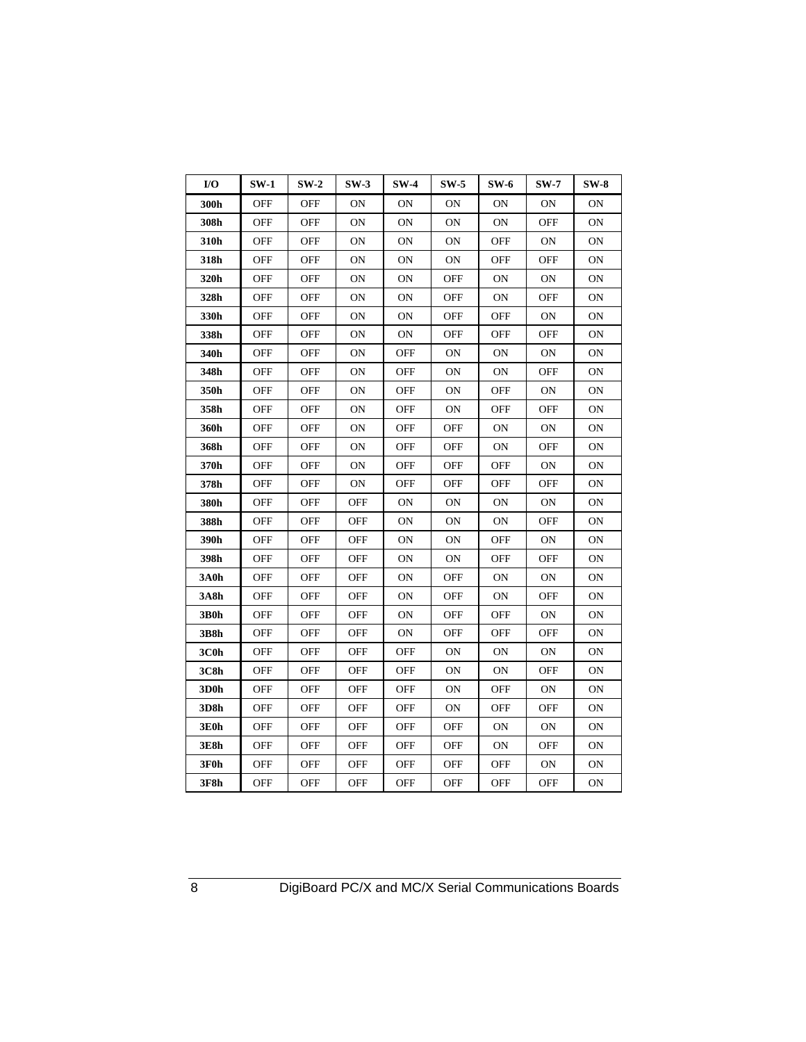| $UO$ | $SW-1$     | $SW-2$     | $SW-3$         | $SW-4$     | $SW-5$         | $SW-6$    | $SW-7$         | $SW-8$ |
|------|------------|------------|----------------|------------|----------------|-----------|----------------|--------|
| 300h | OFF        | OFF        | ON             | <b>ON</b>  | 0N             | <b>ON</b> | <b>ON</b>      | ON     |
| 308h | OFF        | OFF        | 0 <sub>N</sub> | <b>ON</b>  | ON             | <b>ON</b> | OFF            | ON     |
| 310h | OFF        | OFF        | ON             | ON         | <b>ON</b>      | OFF       | ON             | ON     |
| 318h | OFF        | OFF        | 0N             | ON         | ON             | OFF       | OFF            | ON     |
| 320h | <b>OFF</b> | OFF        | <b>ON</b>      | <b>ON</b>  | <b>OFF</b>     | <b>ON</b> | <b>ON</b>      | ON     |
| 328h | <b>OFF</b> | <b>OFF</b> | <b>ON</b>      | <b>ON</b>  | <b>OFF</b>     | ΟN        | <b>OFF</b>     | ON     |
| 330h | <b>OFF</b> | OFF        | ON             | <b>ON</b>  | <b>OFF</b>     | OFF       | <b>ON</b>      | ON     |
| 338h | OFF        | OFF        | 0N             | ON         | <b>OFF</b>     | OFF       | OFF            | ON     |
| 340h | OFF        | OFF        | 0 <sub>N</sub> | OFF        | <b>ON</b>      | ΟN        | 0 <sub>N</sub> | ON     |
| 348h | OFF        | OFF        | 0 <sub>N</sub> | OFF        | <b>ON</b>      | <b>ON</b> | OFF            | ON     |
| 350h | OFF        | OFF        | ON             | OFF        | ON             | OFF       | <b>ON</b>      | ON     |
| 358h | <b>OFF</b> | OFF        | 0 <sub>N</sub> | <b>OFF</b> | 0 <sub>N</sub> | OFF       | OFF            | ON     |
| 360h | <b>OFF</b> | <b>OFF</b> | ON             | OFF        | <b>OFF</b>     | <b>ON</b> | <b>ON</b>      | ON     |
| 368h | OFF        | OFF        | 0N             | OFF        | OFF            | OΝ        | OFF            | ON     |
| 370h | OFF        | OFF        | ON             | OFF        | <b>OFF</b>     | OFF       | <b>ON</b>      | ON     |
| 378h | OFF        | OFF        | ON             | OFF        | <b>OFF</b>     | OFF       | OFF            | ON     |
| 380h | OFF        | OFF        | OFF            | ON         | OΝ             | ON        | 0N             | ON     |
| 388h | OFF        | OFF        | OFF            | ΟN         | ΟN             | ΟN        | OFF            | ON     |
| 390h | <b>OFF</b> | <b>OFF</b> | <b>OFF</b>     | <b>ON</b>  | 0 <sub>N</sub> | OFF       | <b>ON</b>      | ON     |
| 398h | OFF        | OFF        | <b>OFF</b>     | <b>ON</b>  | 0N             | OFF       | OFF            | ON     |
| 3A0h | OFF        | OFF        | OFF            | ON         | <b>OFF</b>     | ON        | <b>ON</b>      | ON     |
| 3A8h | OFF        | OFF        | OFF            | ON         | OFF            | ON        | OFF            | ON     |
| 3B0h | <b>OFF</b> | OFF        | <b>OFF</b>     | ON         | <b>OFF</b>     | OFF       | <b>ON</b>      | ON     |
| 3B8h | OFF        | OFF        | <b>OFF</b>     | ON         | <b>OFF</b>     | OFF       | OFF            | ON     |
| 3C0h | OFF        | OFF        | OFF            | OFF        | OΝ             | ΟN        | 0N             | ON     |
| 3C8h | OFF        | OFF        | <b>OFF</b>     | OFF        | 0N             | <b>ON</b> | OFF            | ON     |
| 3D0h | OFF        | OFF        | <b>OFF</b>     | OFF        | ON             | OFF       | <b>ON</b>      | ON     |
| 3D8h | OFF        | OFF        | <b>OFF</b>     | OFF        | <b>ON</b>      | OFF       | OFF            | ON     |
| 3E0h | OFF        | OFF        | <b>OFF</b>     | OFF        | <b>OFF</b>     | <b>ON</b> | <b>ON</b>      | ON     |
| 3E8h | OFF        | OFF        | <b>OFF</b>     | OFF        | <b>OFF</b>     | <b>ON</b> | OFF            | ON     |
| 3F0h | OFF        | OFF        | <b>OFF</b>     | <b>OFF</b> | <b>OFF</b>     | OFF       | <b>ON</b>      | ON     |
| 3F8h | <b>OFF</b> | <b>OFF</b> | <b>OFF</b>     | OFF        | <b>OFF</b>     | OFF       | OFF            | ON     |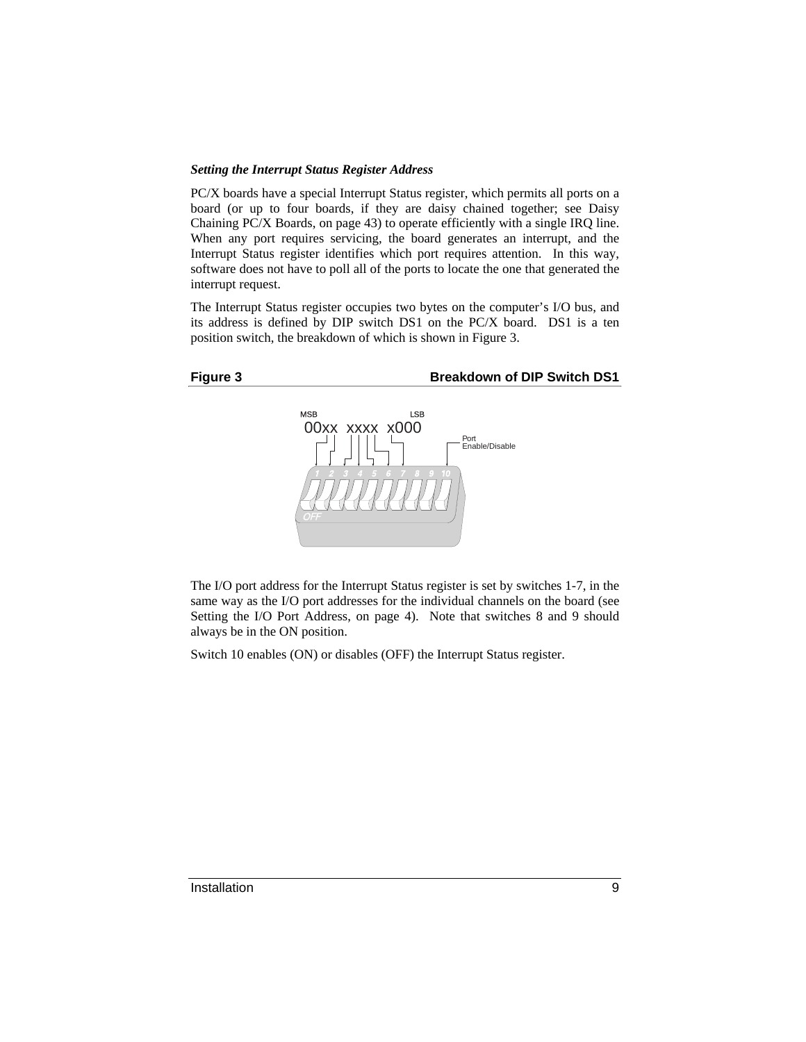### *Setting the Interrupt Status Register Address*

PC/X boards have a special Interrupt Status register, which permits all ports on a board (or up to four boards, if they are daisy chained together; see Daisy Chaining PC/X Boards, on page 43) to operate efficiently with a single IRQ line. When any port requires servicing, the board generates an interrupt, and the Interrupt Status register identifies which port requires attention. In this way, software does not have to poll all of the ports to locate the one that generated the interrupt request.

The Interrupt Status register occupies two bytes on the computer's I/O bus, and its address is defined by DIP switch DS1 on the PC/X board. DS1 is a ten position switch, the breakdown of which is shown in Figure 3.

### Figure 3 **Breakdown of DIP Switch DS1**



The I/O port address for the Interrupt Status register is set by switches 1-7, in the same way as the I/O port addresses for the individual channels on the board (see Setting the I/O Port Address, on page 4). Note that switches 8 and 9 should always be in the ON position.

Switch 10 enables (ON) or disables (OFF) the Interrupt Status register.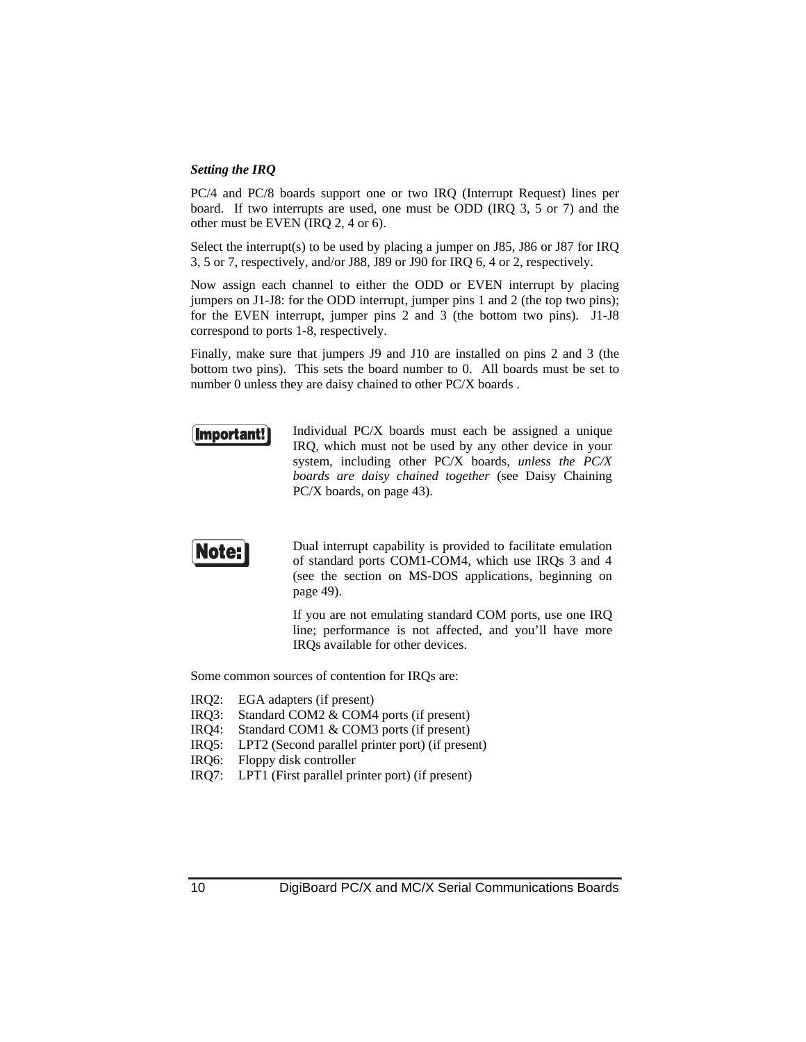### *Setting the IRQ*

PC/4 and PC/8 boards support one or two IRQ (Interrupt Request) lines per board. If two interrupts are used, one must be ODD (IRQ 3, 5 or 7) and the other must be EVEN (IRQ 2, 4 or 6).

Select the interrupt(s) to be used by placing a jumper on J85, J86 or J87 for IRQ 3, 5 or 7, respectively, and/or J88, J89 or J90 for IRQ 6, 4 or 2, respectively.

Now assign each channel to either the ODD or EVEN interrupt by placing jumpers on J1-J8: for the ODD interrupt, jumper pins 1 and 2 (the top two pins); for the EVEN interrupt, jumper pins 2 and 3 (the bottom two pins). J1-J8 correspond to ports 1-8, respectively.

Finally, make sure that jumpers J9 and J10 are installed on pins 2 and 3 (the bottom two pins). This sets the board number to 0. All boards must be set to number 0 unless they are daisy chained to other PC/X boards .



Individual PC/X boards must each be assigned a unique IRQ, which must not be used by any other device in your system, including other PC/X boards, *unless the PC/X boards are daisy chained together* (see Daisy Chaining PC/X boards, on page 43).



Dual interrupt capability is provided to facilitate emulation of standard ports COM1-COM4, which use IRQs 3 and 4 (see the section on MS-DOS applications, beginning on page 49).

If you are not emulating standard COM ports, use one IRQ line; performance is not affected, and you'll have more IRQs available for other devices.

Some common sources of contention for IRQs are:

- IRQ2: EGA adapters (if present)
- IRQ3: Standard COM2 & COM4 ports (if present)
- IRQ4: Standard COM1 & COM3 ports (if present)
- IRQ5: LPT2 (Second parallel printer port) (if present)
- IRQ6: Floppy disk controller
- IRQ7: LPT1 (First parallel printer port) (if present)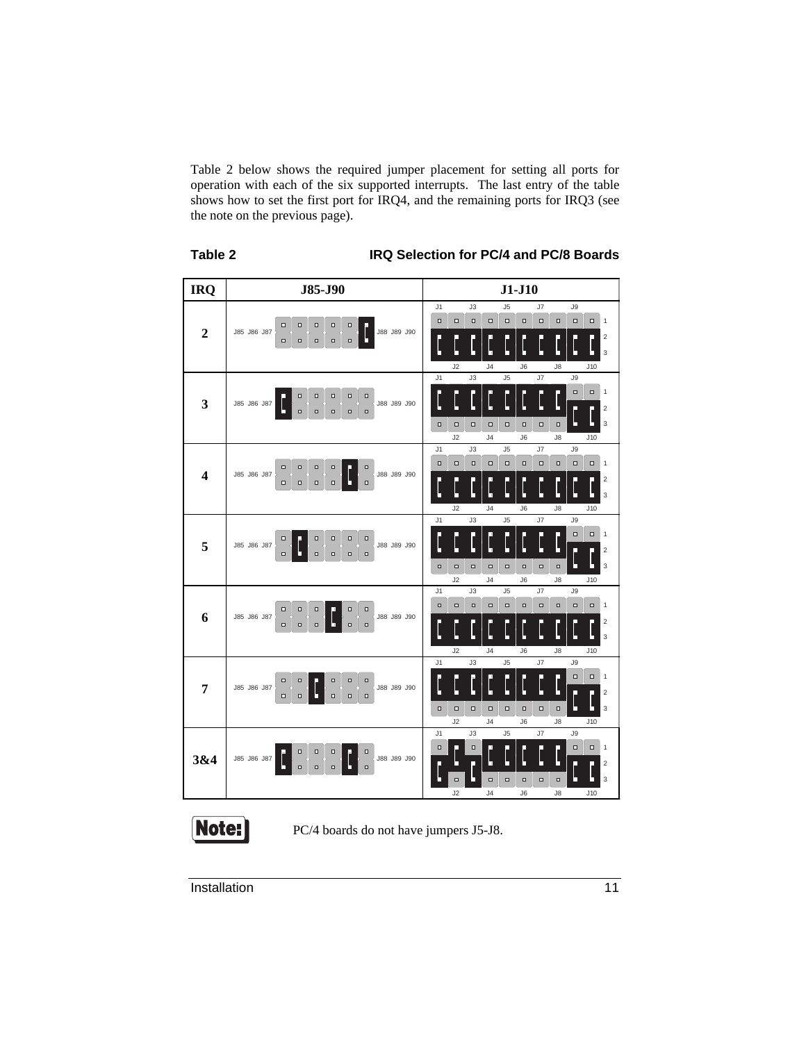Table 2 below shows the required jumper placement for setting all ports for operation with each of the six supported interrupts. The last entry of the table shows how to set the first port for IRQ4, and the remaining ports for IRQ3 (see the note on the previous page).

| J85-J90<br>$J1-J10$<br><b>IRQ</b><br>J5<br>J7<br>J9<br>J1<br>J3<br>$\Box$<br>$\Box$<br>$\Box$<br>$\Box$<br>$\Box$<br>$\Box$<br>$\Box$<br>$\Box$<br>$\Box$<br>$\Box$<br>$\mathbf{1}$<br>$\Box$<br>$\Box$<br>$\Box$<br>$\Box$<br>$\Box$<br>$\overline{2}$<br>J85 J86 J87<br>J88 J89 J90<br>$\overline{\mathbf{c}}$<br>п<br>$\Box$<br>$\Box$<br>$\Box$<br>$\Box$<br>$\Box$<br>3<br>n<br>п<br>J2<br>J <sub>4</sub><br>J6<br>J8<br>J10<br>J1<br>J3<br>J5<br>J7<br>J9<br>$\Box$<br>$\Box$<br>1<br>$\Box$<br>$\Box$<br>$\Box$<br>$\Box$<br>$\Box$<br>3<br>J85 J86 J87<br>J88 J89 J90<br>H<br>$\overline{2}$<br>П<br>$\Box$<br>$\Box$<br>$\Box$<br>$\Box$<br>$\Box$<br>3<br>$\Box$<br>$\Box$<br>$\Box$<br>$\Box$<br>$\Box$<br>$\Box$<br>$\Box$<br>$\Box$<br>п<br>J2<br>J <sub>4</sub><br>J6<br>J10<br>$\sqrt{8}$<br>J7<br>J1<br>J3<br>J5<br>J9<br>$\Box$<br>$\Box$<br>$\Box$<br>$\Box$<br>$\Box$<br>$\Box$<br>$\Box$<br>$\Box$<br>$\Box$<br>$\Box$<br>1<br>$\Box$<br>$\Box$<br>$\Box$<br>$\Box$<br>ο<br>$\overline{\mathbf{4}}$<br>J85 J86 J87<br>J88 J89 J90<br>$\overline{\mathbf{c}}$<br>π<br>U<br>$\Box$<br>$\Box$<br>$\Box$<br>$\Box$<br>$\Box$<br>3<br>п<br>J2<br>J <sub>4</sub><br>J6<br>$\sqrt{8}$<br>J10<br>J7<br>J1<br>J3<br>J5<br>J9<br>$\Box$<br>$\Box$<br>1<br>$\Box$<br>$\Box$<br>$\Box$<br>$\Box$<br>5<br>J85 J86 J87<br>J88 J89 J90<br>H<br>н<br>$\overline{2}$<br>π<br>$\Box$<br>$\Box$<br>$\Box$<br>$\square$<br>$\Box$<br>3<br>$\Box$<br>$\Box$<br>$\Box$<br>$\Box$<br>$\Box$<br>$\Box$<br>$\Box$<br>$\Box$<br>п<br>J2<br>J10 |
|------------------------------------------------------------------------------------------------------------------------------------------------------------------------------------------------------------------------------------------------------------------------------------------------------------------------------------------------------------------------------------------------------------------------------------------------------------------------------------------------------------------------------------------------------------------------------------------------------------------------------------------------------------------------------------------------------------------------------------------------------------------------------------------------------------------------------------------------------------------------------------------------------------------------------------------------------------------------------------------------------------------------------------------------------------------------------------------------------------------------------------------------------------------------------------------------------------------------------------------------------------------------------------------------------------------------------------------------------------------------------------------------------------------------------------------------------------------------------------------------------------------------------------------|
|                                                                                                                                                                                                                                                                                                                                                                                                                                                                                                                                                                                                                                                                                                                                                                                                                                                                                                                                                                                                                                                                                                                                                                                                                                                                                                                                                                                                                                                                                                                                          |
|                                                                                                                                                                                                                                                                                                                                                                                                                                                                                                                                                                                                                                                                                                                                                                                                                                                                                                                                                                                                                                                                                                                                                                                                                                                                                                                                                                                                                                                                                                                                          |
|                                                                                                                                                                                                                                                                                                                                                                                                                                                                                                                                                                                                                                                                                                                                                                                                                                                                                                                                                                                                                                                                                                                                                                                                                                                                                                                                                                                                                                                                                                                                          |
|                                                                                                                                                                                                                                                                                                                                                                                                                                                                                                                                                                                                                                                                                                                                                                                                                                                                                                                                                                                                                                                                                                                                                                                                                                                                                                                                                                                                                                                                                                                                          |
|                                                                                                                                                                                                                                                                                                                                                                                                                                                                                                                                                                                                                                                                                                                                                                                                                                                                                                                                                                                                                                                                                                                                                                                                                                                                                                                                                                                                                                                                                                                                          |
|                                                                                                                                                                                                                                                                                                                                                                                                                                                                                                                                                                                                                                                                                                                                                                                                                                                                                                                                                                                                                                                                                                                                                                                                                                                                                                                                                                                                                                                                                                                                          |
|                                                                                                                                                                                                                                                                                                                                                                                                                                                                                                                                                                                                                                                                                                                                                                                                                                                                                                                                                                                                                                                                                                                                                                                                                                                                                                                                                                                                                                                                                                                                          |
|                                                                                                                                                                                                                                                                                                                                                                                                                                                                                                                                                                                                                                                                                                                                                                                                                                                                                                                                                                                                                                                                                                                                                                                                                                                                                                                                                                                                                                                                                                                                          |
|                                                                                                                                                                                                                                                                                                                                                                                                                                                                                                                                                                                                                                                                                                                                                                                                                                                                                                                                                                                                                                                                                                                                                                                                                                                                                                                                                                                                                                                                                                                                          |
|                                                                                                                                                                                                                                                                                                                                                                                                                                                                                                                                                                                                                                                                                                                                                                                                                                                                                                                                                                                                                                                                                                                                                                                                                                                                                                                                                                                                                                                                                                                                          |
|                                                                                                                                                                                                                                                                                                                                                                                                                                                                                                                                                                                                                                                                                                                                                                                                                                                                                                                                                                                                                                                                                                                                                                                                                                                                                                                                                                                                                                                                                                                                          |
|                                                                                                                                                                                                                                                                                                                                                                                                                                                                                                                                                                                                                                                                                                                                                                                                                                                                                                                                                                                                                                                                                                                                                                                                                                                                                                                                                                                                                                                                                                                                          |
|                                                                                                                                                                                                                                                                                                                                                                                                                                                                                                                                                                                                                                                                                                                                                                                                                                                                                                                                                                                                                                                                                                                                                                                                                                                                                                                                                                                                                                                                                                                                          |
|                                                                                                                                                                                                                                                                                                                                                                                                                                                                                                                                                                                                                                                                                                                                                                                                                                                                                                                                                                                                                                                                                                                                                                                                                                                                                                                                                                                                                                                                                                                                          |
|                                                                                                                                                                                                                                                                                                                                                                                                                                                                                                                                                                                                                                                                                                                                                                                                                                                                                                                                                                                                                                                                                                                                                                                                                                                                                                                                                                                                                                                                                                                                          |
|                                                                                                                                                                                                                                                                                                                                                                                                                                                                                                                                                                                                                                                                                                                                                                                                                                                                                                                                                                                                                                                                                                                                                                                                                                                                                                                                                                                                                                                                                                                                          |
|                                                                                                                                                                                                                                                                                                                                                                                                                                                                                                                                                                                                                                                                                                                                                                                                                                                                                                                                                                                                                                                                                                                                                                                                                                                                                                                                                                                                                                                                                                                                          |
|                                                                                                                                                                                                                                                                                                                                                                                                                                                                                                                                                                                                                                                                                                                                                                                                                                                                                                                                                                                                                                                                                                                                                                                                                                                                                                                                                                                                                                                                                                                                          |
|                                                                                                                                                                                                                                                                                                                                                                                                                                                                                                                                                                                                                                                                                                                                                                                                                                                                                                                                                                                                                                                                                                                                                                                                                                                                                                                                                                                                                                                                                                                                          |
| J <sub>4</sub><br>J6<br>J8                                                                                                                                                                                                                                                                                                                                                                                                                                                                                                                                                                                                                                                                                                                                                                                                                                                                                                                                                                                                                                                                                                                                                                                                                                                                                                                                                                                                                                                                                                               |
| J1<br>J3<br>J <sub>5</sub><br>J7<br>J9                                                                                                                                                                                                                                                                                                                                                                                                                                                                                                                                                                                                                                                                                                                                                                                                                                                                                                                                                                                                                                                                                                                                                                                                                                                                                                                                                                                                                                                                                                   |
| $\Box$<br>$\Box$<br>$\Box$<br>$\Box$<br>$\Box$<br>$\Box$<br>$\Box$<br>$\Box$<br>$\Box$<br>$\Box$<br>1<br>$\Box$<br>$\Box$<br>$\Box$<br>$\Box$<br>$\Box$                                                                                                                                                                                                                                                                                                                                                                                                                                                                                                                                                                                                                                                                                                                                                                                                                                                                                                                                                                                                                                                                                                                                                                                                                                                                                                                                                                                  |
| 6<br>J88 J89 J90<br>J85 J86 J87<br>$\overline{2}$<br>□<br>Ь<br>c<br>$\Box$<br>$\Box$<br>$\Box$<br>$\Box$<br>$\Box$                                                                                                                                                                                                                                                                                                                                                                                                                                                                                                                                                                                                                                                                                                                                                                                                                                                                                                                                                                                                                                                                                                                                                                                                                                                                                                                                                                                                                       |
| 3                                                                                                                                                                                                                                                                                                                                                                                                                                                                                                                                                                                                                                                                                                                                                                                                                                                                                                                                                                                                                                                                                                                                                                                                                                                                                                                                                                                                                                                                                                                                        |
| J2<br>J <sub>4</sub><br>J6<br>$\sqrt{8}$<br>J10                                                                                                                                                                                                                                                                                                                                                                                                                                                                                                                                                                                                                                                                                                                                                                                                                                                                                                                                                                                                                                                                                                                                                                                                                                                                                                                                                                                                                                                                                          |
| J1<br>J3<br>J5<br>J7<br>J9                                                                                                                                                                                                                                                                                                                                                                                                                                                                                                                                                                                                                                                                                                                                                                                                                                                                                                                                                                                                                                                                                                                                                                                                                                                                                                                                                                                                                                                                                                               |
| $\Box$<br>$\Box$<br>1<br>$\Box$<br>$\Box$<br>$\Box$<br>$\Box$<br>$\Box$<br>7<br>J85 J86 J87<br>J88 J89 J90<br>Ь                                                                                                                                                                                                                                                                                                                                                                                                                                                                                                                                                                                                                                                                                                                                                                                                                                                                                                                                                                                                                                                                                                                                                                                                                                                                                                                                                                                                                          |
| н<br>п<br>L<br>$\overline{2}$<br>г<br>$\Box$<br>$\Box$<br>$\Box$<br>$\Box$<br>$\Box$                                                                                                                                                                                                                                                                                                                                                                                                                                                                                                                                                                                                                                                                                                                                                                                                                                                                                                                                                                                                                                                                                                                                                                                                                                                                                                                                                                                                                                                     |
| $\Box$<br>3<br>$\Box$<br>$\Box$<br>$\Box$<br>$\Box$<br>$\Box$<br>$\Box$<br>$\Box$<br>п                                                                                                                                                                                                                                                                                                                                                                                                                                                                                                                                                                                                                                                                                                                                                                                                                                                                                                                                                                                                                                                                                                                                                                                                                                                                                                                                                                                                                                                   |
| J2<br>J <sub>4</sub><br>$\sqrt{6}$<br>$\mathsf{J}8$<br>J10<br>J <sub>5</sub><br>J3<br>J7<br>J9<br>J <sub>1</sub>                                                                                                                                                                                                                                                                                                                                                                                                                                                                                                                                                                                                                                                                                                                                                                                                                                                                                                                                                                                                                                                                                                                                                                                                                                                                                                                                                                                                                         |
| $\Box$<br>Ο<br>$\Box$<br>Ο<br>1                                                                                                                                                                                                                                                                                                                                                                                                                                                                                                                                                                                                                                                                                                                                                                                                                                                                                                                                                                                                                                                                                                                                                                                                                                                                                                                                                                                                                                                                                                          |
| $\Box$<br>$\Box$<br>Π<br>$\Box$<br>3&4<br>J85 J86 J87<br>J88 J89 J90<br>Н<br>п<br>¢<br>$\overline{2}$<br>Г<br>$\Box$                                                                                                                                                                                                                                                                                                                                                                                                                                                                                                                                                                                                                                                                                                                                                                                                                                                                                                                                                                                                                                                                                                                                                                                                                                                                                                                                                                                                                     |
| $\Box$<br>$\Box$<br>$\Box$<br>3<br>$\Box$<br>$\Box$<br>$\Box$<br>$\Box$<br>□                                                                                                                                                                                                                                                                                                                                                                                                                                                                                                                                                                                                                                                                                                                                                                                                                                                                                                                                                                                                                                                                                                                                                                                                                                                                                                                                                                                                                                                             |
| J2<br>J <sub>4</sub><br>J6<br>$\sqrt{8}$<br>J10                                                                                                                                                                                                                                                                                                                                                                                                                                                                                                                                                                                                                                                                                                                                                                                                                                                                                                                                                                                                                                                                                                                                                                                                                                                                                                                                                                                                                                                                                          |

**Table 2 IRQ Selection for PC/4 and PC/8 Boards**



PC/4 boards do not have jumpers J5-J8.

Installation 11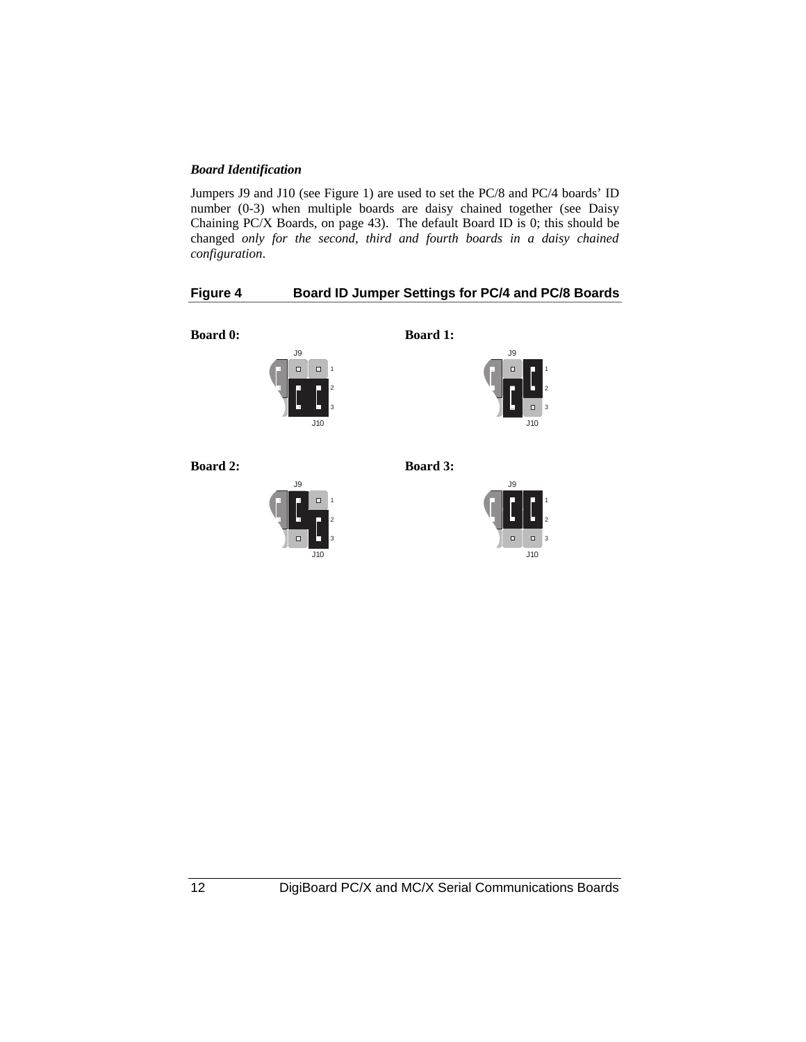### *Board Identification*

Jumpers J9 and J10 (see Figure 1) are used to set the PC/8 and PC/4 boards' ID number (0-3) when multiple boards are daisy chained together (see Daisy Chaining PC/X Boards, on page 43). The default Board ID is 0; this should be changed *only for the second, third and fourth boards in a daisy chained configuration*.

### **Figure 4 Board ID Jumper Settings for PC/4 and PC/8 Boards**

**Board 0:**



**Board 1:**



**Board 2:**



**Board 3:**



12 DigiBoard PC/X and MC/X Serial Communications Boards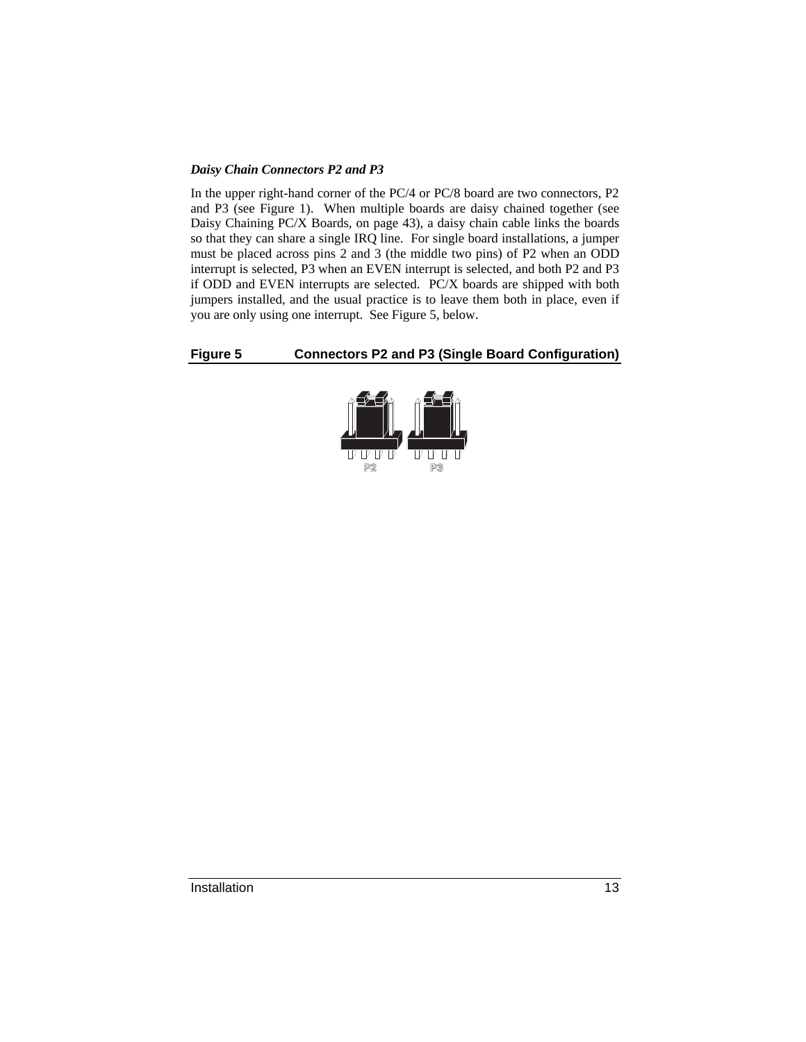### *Daisy Chain Connectors P2 and P3*

In the upper right-hand corner of the PC/4 or PC/8 board are two connectors, P2 and P3 (see Figure 1). When multiple boards are daisy chained together (see Daisy Chaining PC/X Boards, on page 43), a daisy chain cable links the boards so that they can share a single IRQ line. For single board installations, a jumper must be placed across pins 2 and 3 (the middle two pins) of P2 when an ODD interrupt is selected, P3 when an EVEN interrupt is selected, and both P2 and P3 if ODD and EVEN interrupts are selected. PC/X boards are shipped with both jumpers installed, and the usual practice is to leave them both in place, even if you are only using one interrupt. See Figure 5, below.

### **Figure 5 Connectors P2 and P3 (Single Board Configuration)**

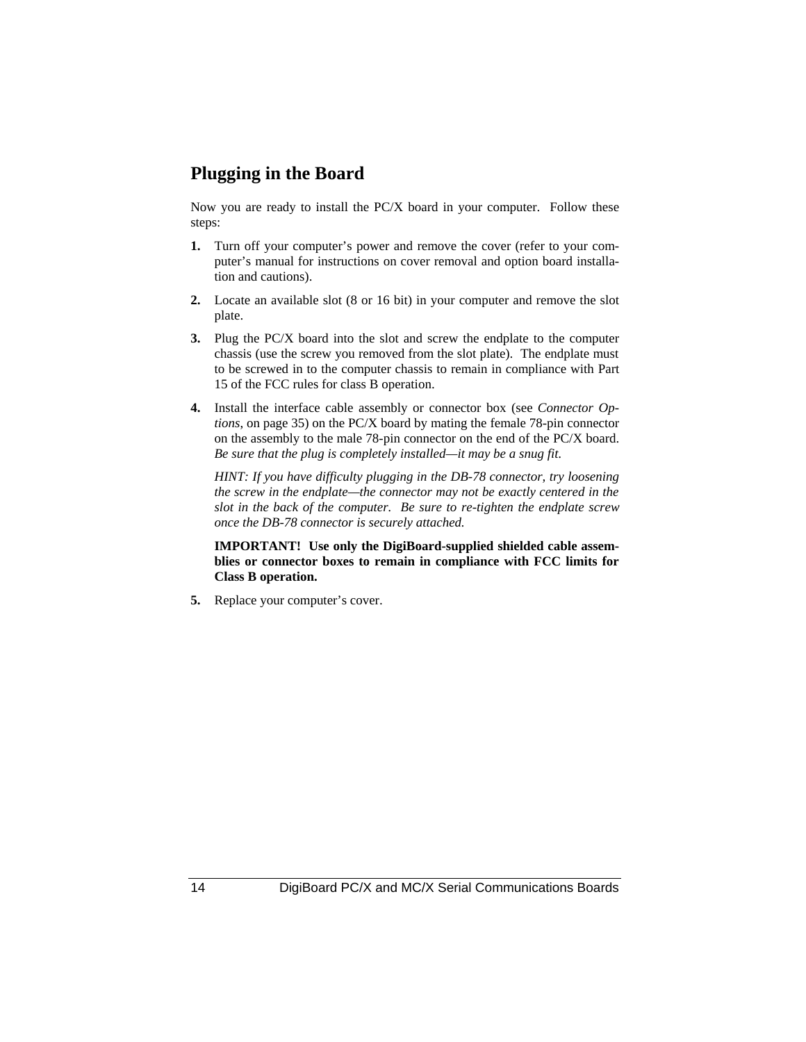### **Plugging in the Board**

Now you are ready to install the PC/X board in your computer. Follow these steps:

- **1.** Turn off your computer's power and remove the cover (refer to your computer's manual for instructions on cover removal and option board installation and cautions).
- **2.** Locate an available slot (8 or 16 bit) in your computer and remove the slot plate.
- **3.** Plug the PC/X board into the slot and screw the endplate to the computer chassis (use the screw you removed from the slot plate). The endplate must to be screwed in to the computer chassis to remain in compliance with Part 15 of the FCC rules for class B operation.
- **4.** Install the interface cable assembly or connector box (see *Connector Options*, on page 35) on the PC/X board by mating the female 78-pin connector on the assembly to the male 78-pin connector on the end of the PC/X board. *Be sure that the plug is completely installed—it may be a snug fit*.

*HINT: If you have difficulty plugging in the DB-78 connector, try loosening the screw in the endplate—the connector may not be exactly centered in the slot in the back of the computer. Be sure to re-tighten the endplate screw once the DB-78 connector is securely attached.*

**IMPORTANT! Use only the DigiBoard-supplied shielded cable assemblies or connector boxes to remain in compliance with FCC limits for Class B operation.**

**5.** Replace your computer's cover.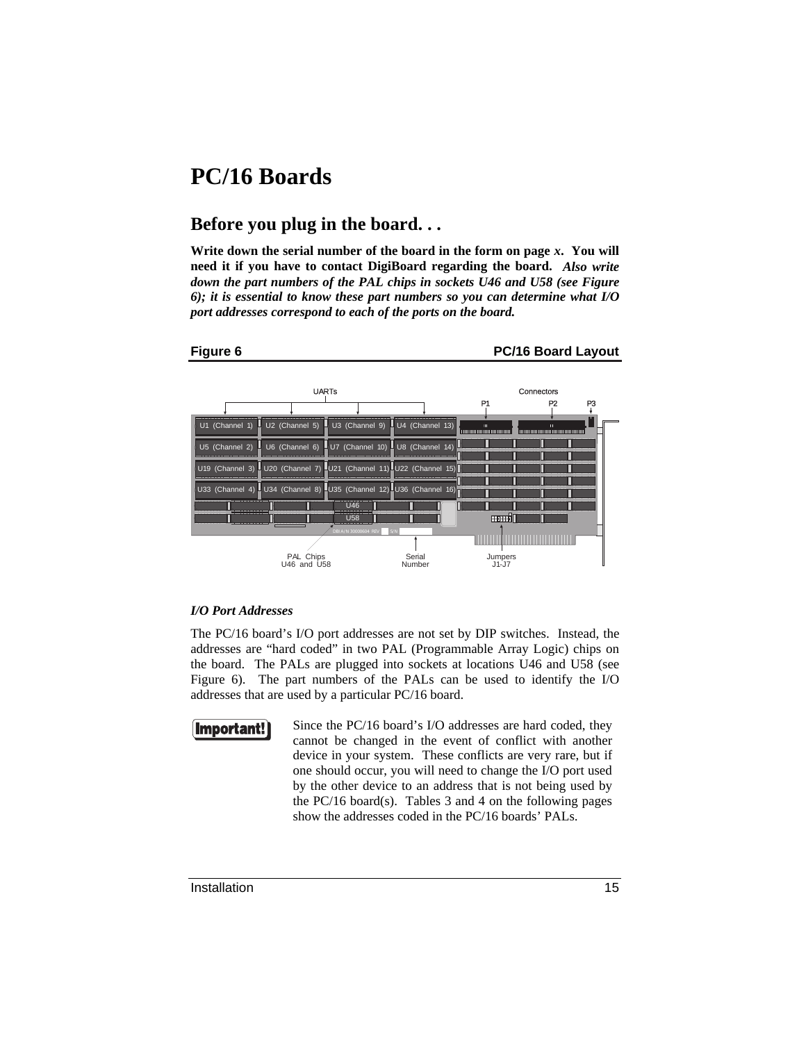## **PC/16 Boards**

### **Before you plug in the board. . .**

**Write down the serial number of the board in the form on page** *x***. You will need it if you have to contact DigiBoard regarding the board.** *Also write down the part numbers of the PAL chips in sockets U46 and U58 (see Figure 6); it is essential to know these part numbers so you can determine what I/O port addresses correspond to each of the ports on the board.*

### **Figure 6 22 PC/16 Board Layout** UARTs Connectors P1 P2 P3 U1 (Channel 1) U2 (Channel 5) U3 (Channel 9) U4 (Channel 13) U5 (Channel 2) U6 (Channel 6) U7 (Channel 10) U8 (Channel 14) U19 (Channel 3) U20 (Channel 7) U21 (Channel 11) U22 (Channel 15) П П U33 (Channel 4) U34 (Channel 8) U35 (Channel 12) U36 (Ch  $\overline{1146}$ U58 enud0 DBI A/N 30000604 REV S/N Serial PAL Chips U46 and U58 Jumpers J1-J7 Number

### *I/O Port Addresses*

The PC/16 board's I/O port addresses are not set by DIP switches. Instead, the addresses are "hard coded" in two PAL (Programmable Array Logic) chips on the board. The PALs are plugged into sockets at locations U46 and U58 (see Figure 6). The part numbers of the PALs can be used to identify the I/O addresses that are used by a particular PC/16 board.



Since the PC/16 board's I/O addresses are hard coded, they cannot be changed in the event of conflict with another device in your system. These conflicts are very rare, but if one should occur, you will need to change the I/O port used by the other device to an address that is not being used by the PC/16 board(s). Tables 3 and 4 on the following pages show the addresses coded in the PC/16 boards' PALs.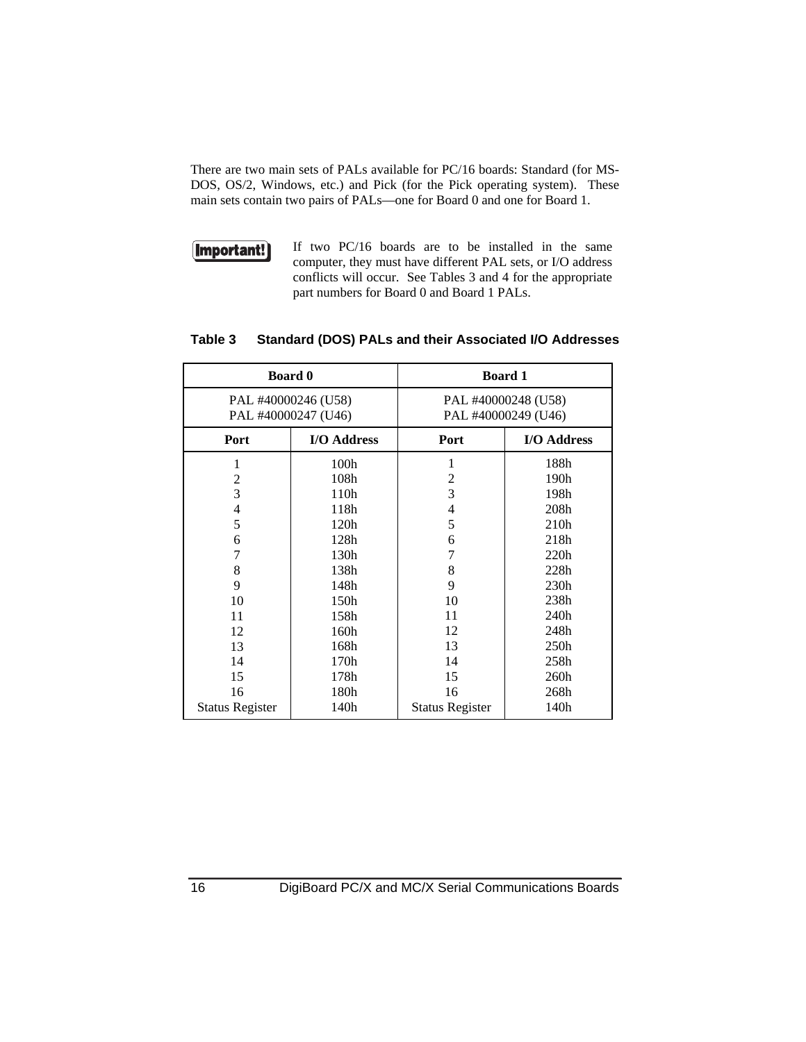There are two main sets of PALs available for PC/16 boards: Standard (for MS-DOS, OS/2, Windows, etc.) and Pick (for the Pick operating system). These main sets contain two pairs of PALs—one for Board 0 and one for Board 1.



If two PC/16 boards are to be installed in the same computer, they must have different PAL sets, or I/O address conflicts will occur. See Tables 3 and 4 for the appropriate part numbers for Board 0 and Board 1 PALs.

| <b>Board 0</b>         |             | <b>Board 1</b>         |                  |  |
|------------------------|-------------|------------------------|------------------|--|
| PAL #40000246 (U58)    |             | PAL #40000248 (U58)    |                  |  |
| PAL #40000247 (U46)    |             | PAL #40000249 (U46)    |                  |  |
| Port                   | I/O Address | Port                   | I/O Address      |  |
| 1                      | 100h        | 1                      | 188h             |  |
| 2                      | 108h        | $\overline{2}$         | 190h             |  |
| 3                      | 110h        | 3                      | 198h             |  |
| 4                      | 118h        | 4                      | 208h             |  |
| 5                      | 120h        | 5                      | 210h             |  |
| 6                      | 128h        | 6                      | 218h             |  |
| 7                      | 130h        | 7                      | 220h             |  |
| 8                      | 138h        | 8                      | 228h             |  |
| 9                      | 148h        | 9                      | 230 <sub>h</sub> |  |
| 10                     | 150h        | 10                     | 238h             |  |
| 11                     | 158h        | 11                     | 240h             |  |
| 12                     | 160h        | 12                     | 248h             |  |
| 13                     | 168h        | 13                     | 250h             |  |
| 14                     | 170h        | 14                     | 258h             |  |
| 15                     | 178h        | 15                     | 260h             |  |
| 16                     | 180h        | 16                     | 268h             |  |
| <b>Status Register</b> | 140h        | <b>Status Register</b> | 140h             |  |
|                        |             |                        |                  |  |

### **Table 3 Standard (DOS) PALs and their Associated I/O Addresses**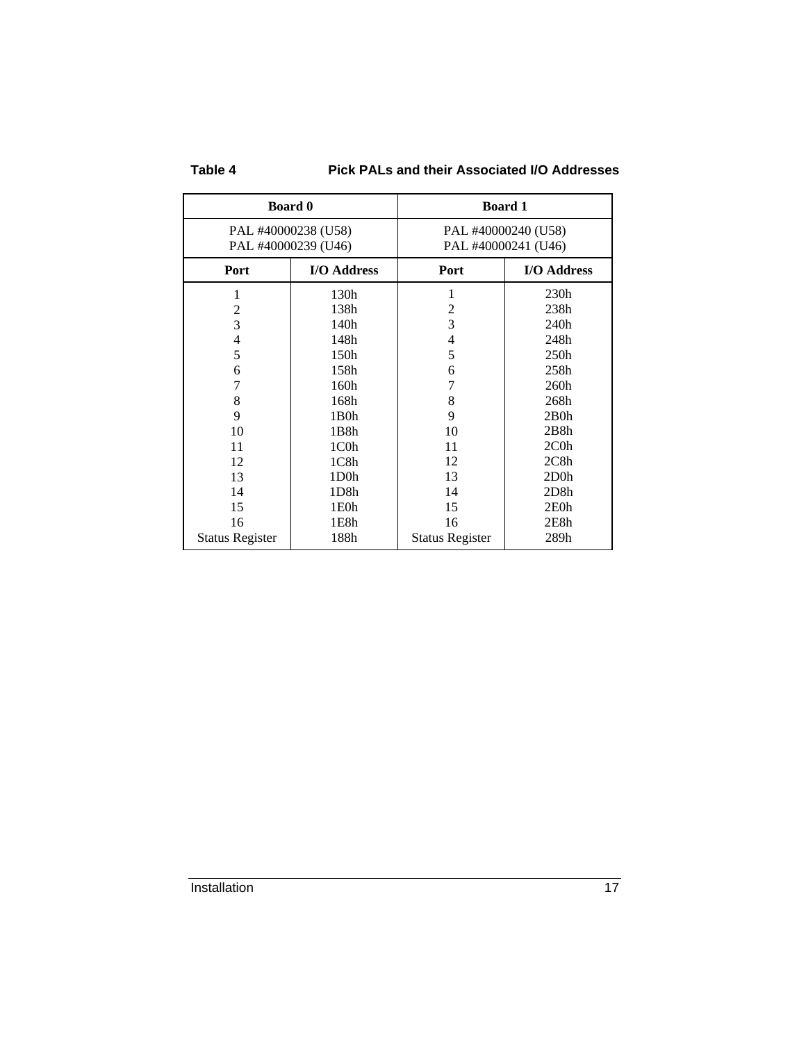| aoı<br>ı |  |
|----------|--|
|----------|--|

**Pick PALs and their Associated I/O Addresses** 

| <b>Board 0</b>                             |                   | <b>Board 1</b>                             |             |  |
|--------------------------------------------|-------------------|--------------------------------------------|-------------|--|
| PAL #40000238 (U58)<br>PAL #40000239 (U46) |                   | PAL #40000240 (U58)<br>PAL #40000241 (U46) |             |  |
| Port                                       | I/O Address       | Port                                       | I/O Address |  |
| 1                                          | 130h              | 1                                          | 230h        |  |
| $\overline{c}$                             | 138h              | $\overline{2}$                             | 238h        |  |
| 3                                          | 140h              | 3                                          | 240h        |  |
| $\overline{4}$                             | 148h              | 4                                          | 248h        |  |
| 5                                          | 150h              | 5                                          | 250h        |  |
| 6                                          | 158h              | 6                                          | 258h        |  |
| 7                                          | 160h              | 7                                          | 260h        |  |
| 8                                          | 168h              | 8                                          | 268h        |  |
| 9                                          | $1B0$ h           | 9                                          | $2B0$ h     |  |
| 10                                         | 1B8h              | 10                                         | 2B8h        |  |
| 11                                         | 1C0h              | 11                                         | $2C0$ h     |  |
| 12                                         | 1C8h              | 12                                         | 2C8h        |  |
| 13                                         | 1D <sub>0</sub> h | 13                                         | $2D0$ h     |  |
| 14                                         | 1D8h              | 14                                         | 2D8h        |  |
| 15                                         | 1E0h              | 15                                         | 2E0h        |  |
| 16                                         | 1E8h              | 16                                         | 2E8h        |  |
| <b>Status Register</b>                     | 188h              | <b>Status Register</b>                     | 289h        |  |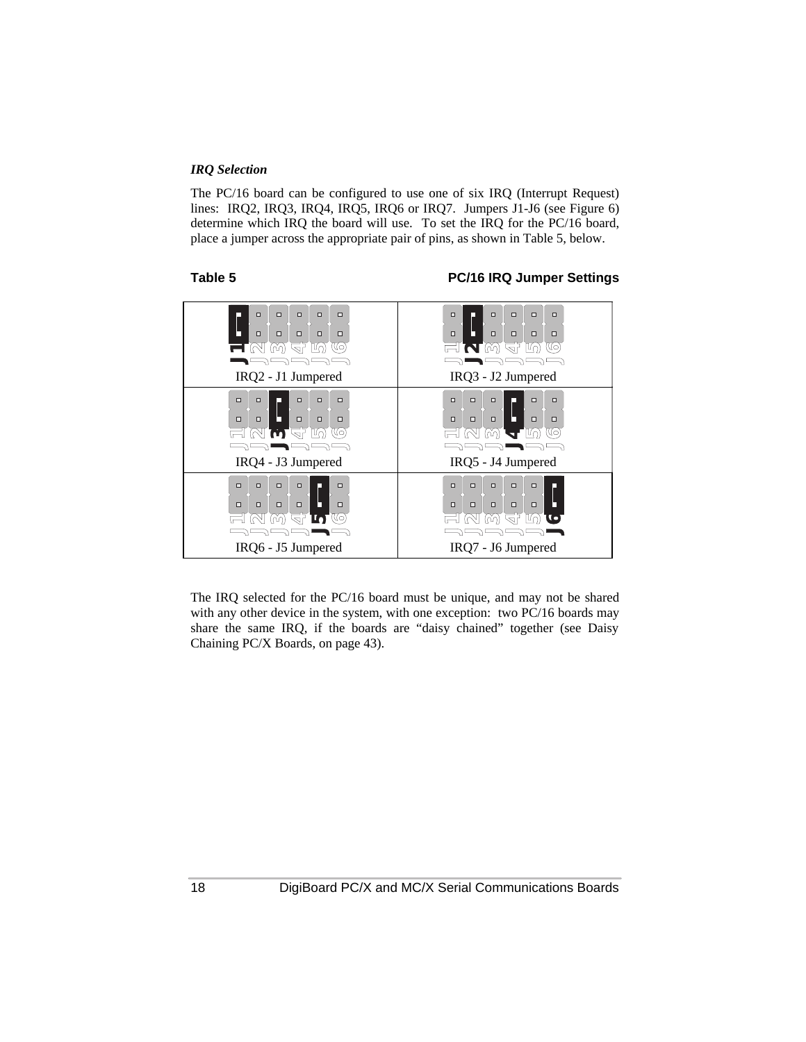### *IRQ Selection*

The PC/16 board can be configured to use one of six IRQ (Interrupt Request) lines: IRQ2, IRQ3, IRQ4, IRQ5, IRQ6 or IRQ7. Jumpers J1-J6 (see Figure 6) determine which IRQ the board will use. To set the IRQ for the PC/16 board, place a jumper across the appropriate pair of pins, as shown in Table 5, below.

### **Table 5 PC/16 IRQ Jumper Settings**



The IRQ selected for the PC/16 board must be unique, and may not be shared with any other device in the system, with one exception: two PC/16 boards may share the same IRQ, if the boards are "daisy chained" together (see Daisy Chaining PC/X Boards, on page 43).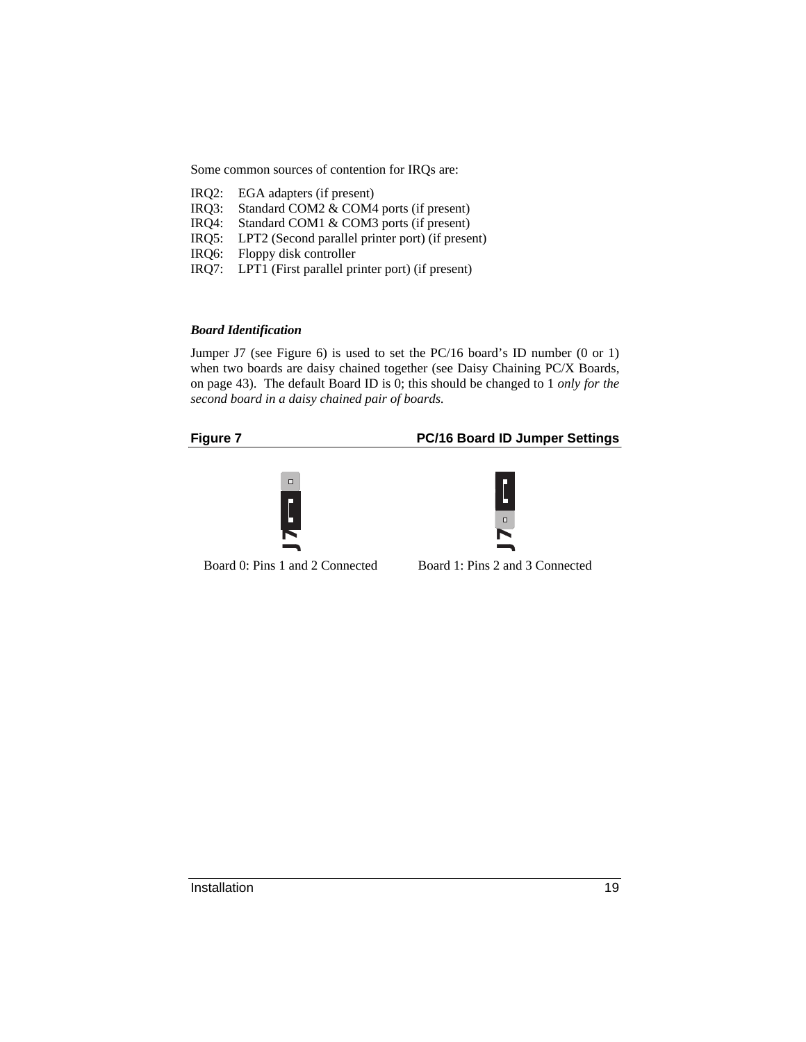Some common sources of contention for IRQs are:

| IRQ2: |  | EGA adapters (if present) |  |  |
|-------|--|---------------------------|--|--|
|-------|--|---------------------------|--|--|

- IRQ3: Standard COM2 & COM4 ports (if present)
- IRQ4: Standard COM1 & COM3 ports (if present)
- IRQ5: LPT2 (Second parallel printer port) (if present)
- IRQ6: Floppy disk controller
- IRQ7: LPT1 (First parallel printer port) (if present)

### *Board Identification*

Jumper J7 (see Figure 6) is used to set the PC/16 board's ID number (0 or 1) when two boards are daisy chained together (see Daisy Chaining PC/X Boards, on page 43). The default Board ID is 0; this should be changed to 1 *only for the second board in a daisy chained pair of boards*.

### **Figure 7 PC/16 Board ID Jumper Settings**





Board 0: Pins 1 and 2 Connected

```
Board 1: Pins 2 and 3 Connected
```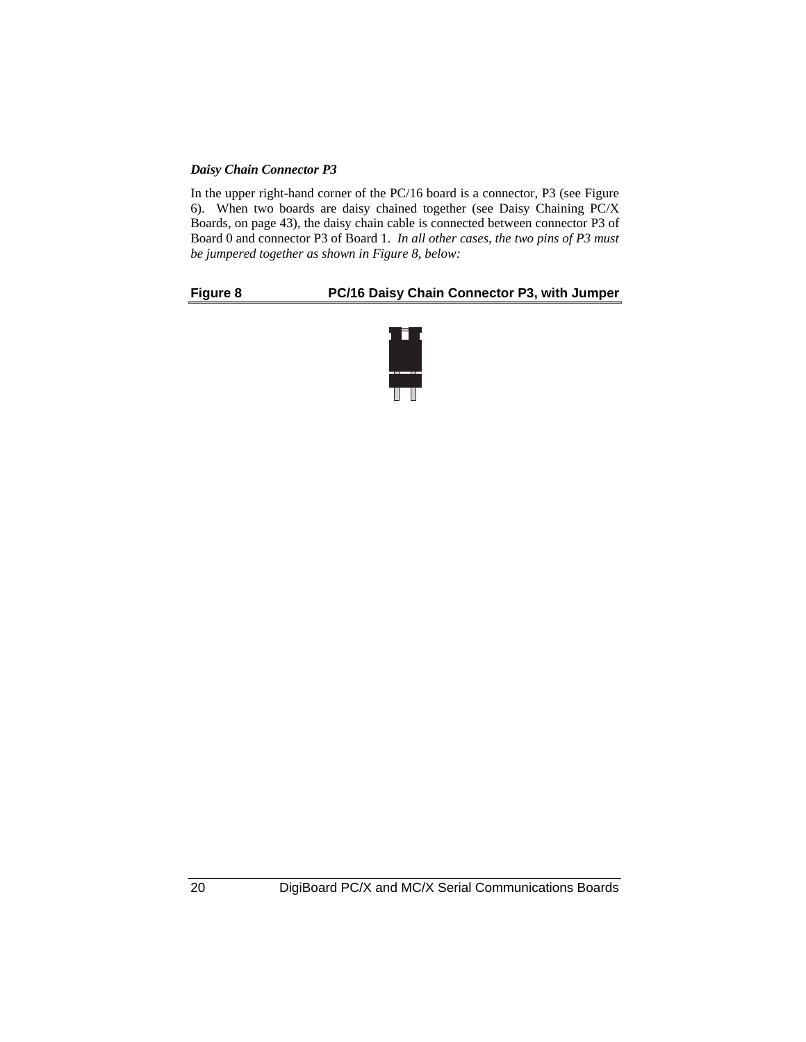### *Daisy Chain Connector P3*

In the upper right-hand corner of the PC/16 board is a connector, P3 (see Figure 6). When two boards are daisy chained together (see Daisy Chaining PC/X Boards, on page 43), the daisy chain cable is connected between connector P3 of Board 0 and connector P3 of Board 1. *In all other cases, the two pins of P3 must be jumpered together as shown in Figure 8, below:*

### **Figure 8 PC/16 Daisy Chain Connector P3, with Jumper**

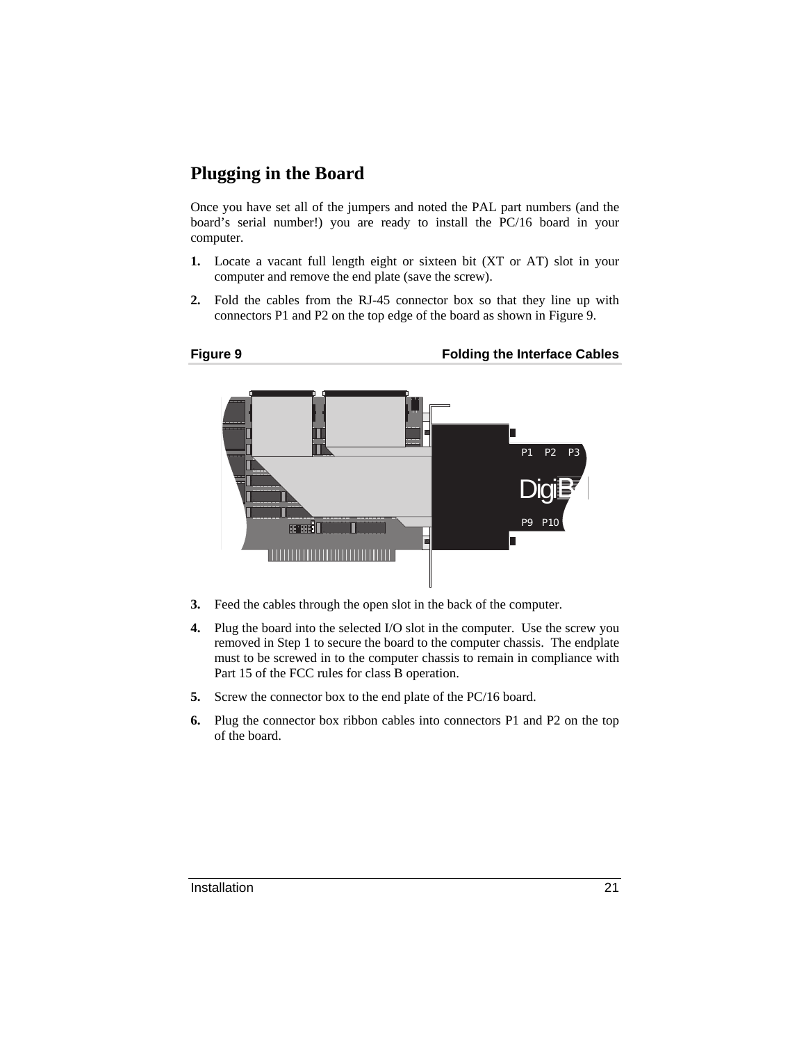## **Plugging in the Board**

Once you have set all of the jumpers and noted the PAL part numbers (and the board's serial number!) you are ready to install the PC/16 board in your computer.

- **1.** Locate a vacant full length eight or sixteen bit (XT or AT) slot in your computer and remove the end plate (save the screw).
- **2.** Fold the cables from the RJ-45 connector box so that they line up with connectors P1 and P2 on the top edge of the board as shown in Figure 9.



- **3.** Feed the cables through the open slot in the back of the computer.
- **4.** Plug the board into the selected I/O slot in the computer. Use the screw you removed in Step 1 to secure the board to the computer chassis. The endplate must to be screwed in to the computer chassis to remain in compliance with Part 15 of the FCC rules for class B operation.
- **5.** Screw the connector box to the end plate of the PC/16 board.
- **6.** Plug the connector box ribbon cables into connectors P1 and P2 on the top of the board.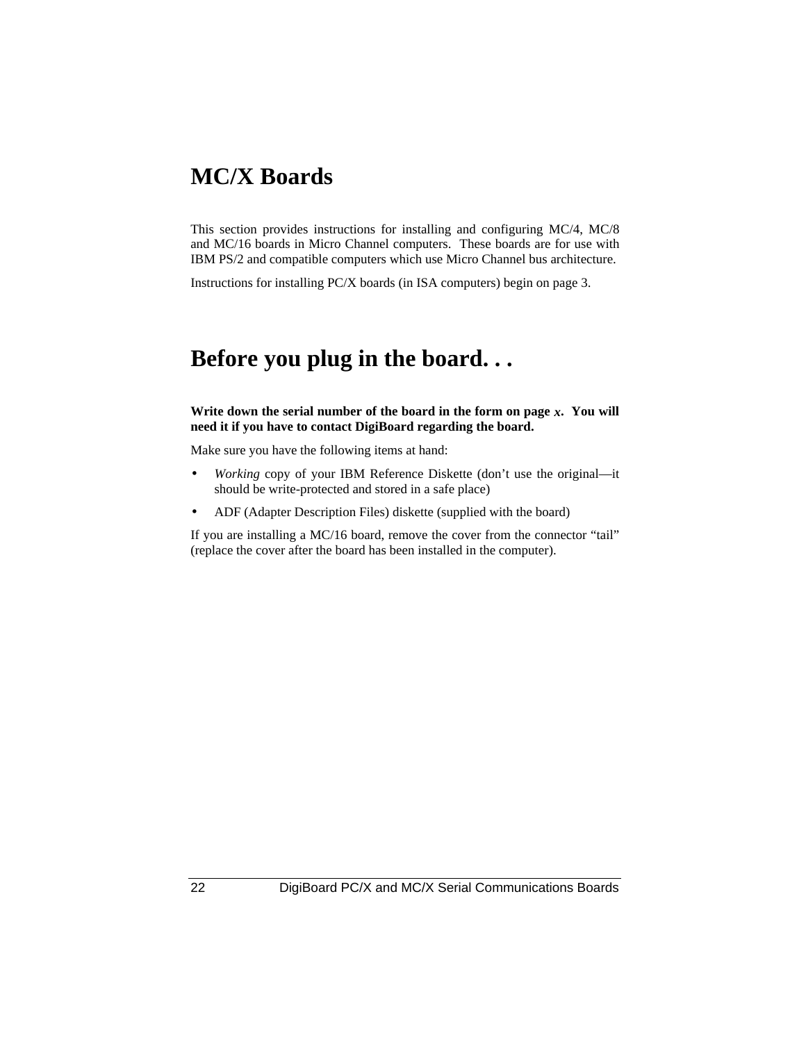## **MC/X Boards**

This section provides instructions for installing and configuring MC/4, MC/8 and MC/16 boards in Micro Channel computers. These boards are for use with IBM PS/2 and compatible computers which use Micro Channel bus architecture.

Instructions for installing PC/X boards (in ISA computers) begin on page 3.

## **Before you plug in the board. . .**

**Write down the serial number of the board in the form on page** *x***. You will need it if you have to contact DigiBoard regarding the board.**

Make sure you have the following items at hand:

- *Working* copy of your IBM Reference Diskette (don't use the original—it should be write-protected and stored in a safe place)
- ADF (Adapter Description Files) diskette (supplied with the board)

If you are installing a MC/16 board, remove the cover from the connector "tail" (replace the cover after the board has been installed in the computer).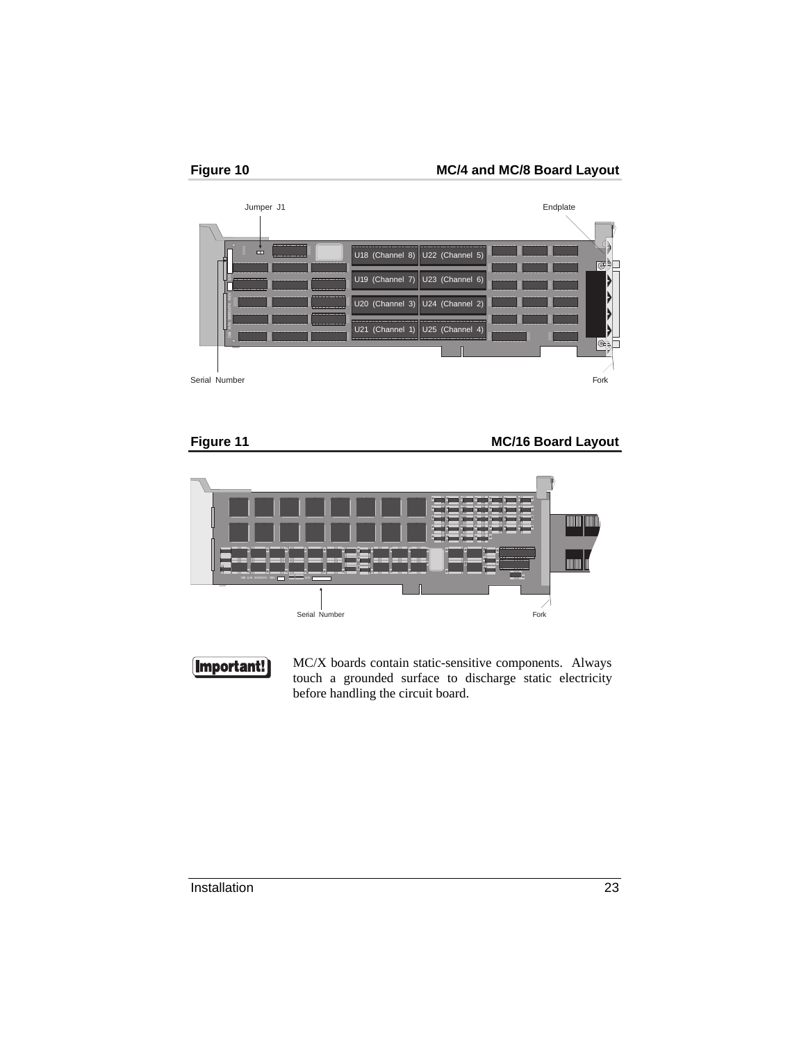





### **Figure 11** MC/16 Board Layout





MC/X boards contain static-sensitive components. Always touch a grounded surface to discharge static electricity before handling the circuit board.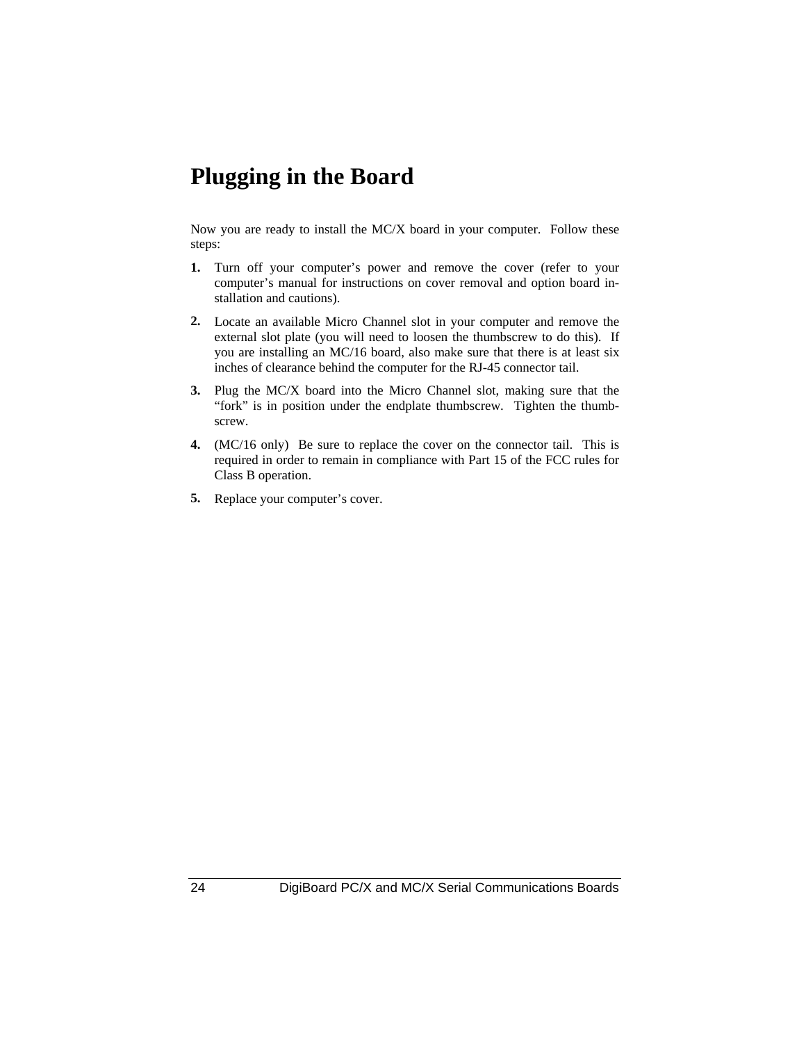## **Plugging in the Board**

Now you are ready to install the MC/X board in your computer. Follow these steps:

- **1.** Turn off your computer's power and remove the cover (refer to your computer's manual for instructions on cover removal and option board installation and cautions).
- **2.** Locate an available Micro Channel slot in your computer and remove the external slot plate (you will need to loosen the thumbscrew to do this). If you are installing an MC/16 board, also make sure that there is at least six inches of clearance behind the computer for the RJ-45 connector tail.
- **3.** Plug the MC/X board into the Micro Channel slot, making sure that the "fork" is in position under the endplate thumbscrew. Tighten the thumbscrew.
- **4.** (MC/16 only) Be sure to replace the cover on the connector tail. This is required in order to remain in compliance with Part 15 of the FCC rules for Class B operation.
- **5.** Replace your computer's cover.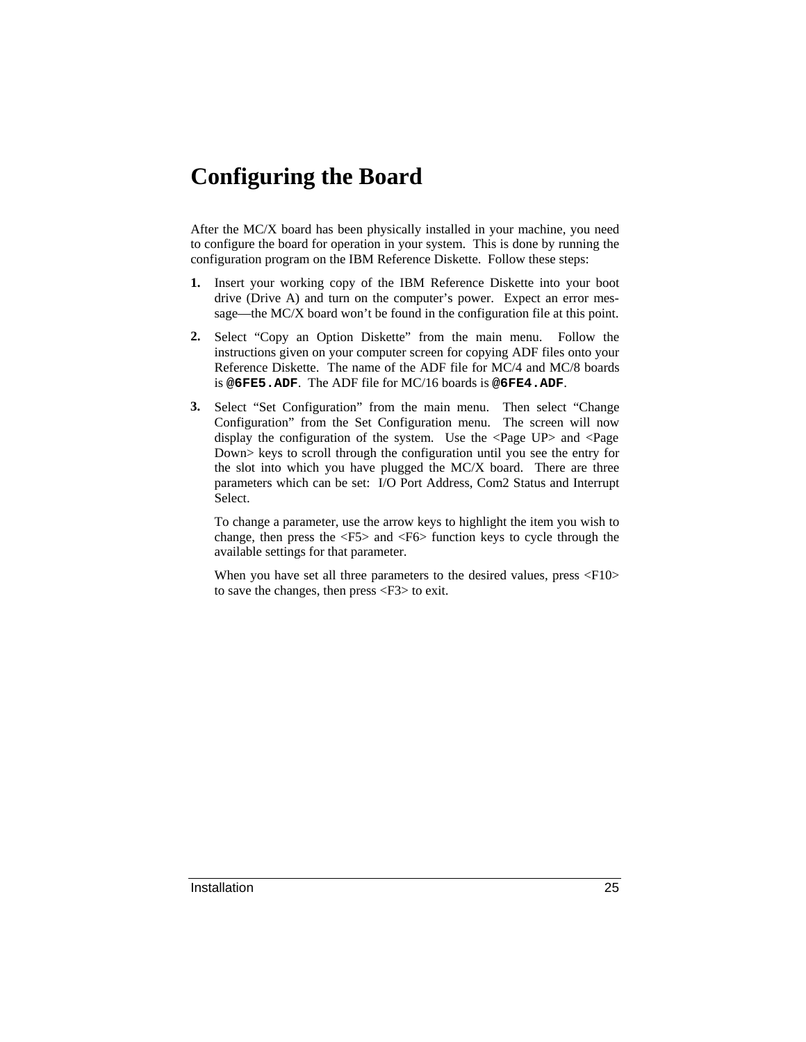## **Configuring the Board**

After the MC/X board has been physically installed in your machine, you need to configure the board for operation in your system. This is done by running the configuration program on the IBM Reference Diskette. Follow these steps:

- **1.** Insert your working copy of the IBM Reference Diskette into your boot drive (Drive A) and turn on the computer's power. Expect an error message—the MC/X board won't be found in the configuration file at this point.
- **2.** Select "Copy an Option Diskette" from the main menu. Follow the instructions given on your computer screen for copying ADF files onto your Reference Diskette. The name of the ADF file for MC/4 and MC/8 boards is **@6FE5.ADF**. The ADF file for MC/16 boards is **@6FE4.ADF**.
- **3.** Select "Set Configuration" from the main menu. Then select "Change Configuration" from the Set Configuration menu. The screen will now display the configuration of the system. Use the <Page UP> and <Page Down> keys to scroll through the configuration until you see the entry for the slot into which you have plugged the MC/X board. There are three parameters which can be set: I/O Port Address, Com2 Status and Interrupt Select.

To change a parameter, use the arrow keys to highlight the item you wish to change, then press the <F5> and <F6> function keys to cycle through the available settings for that parameter.

When you have set all three parameters to the desired values, press <F10> to save the changes, then press <F3> to exit.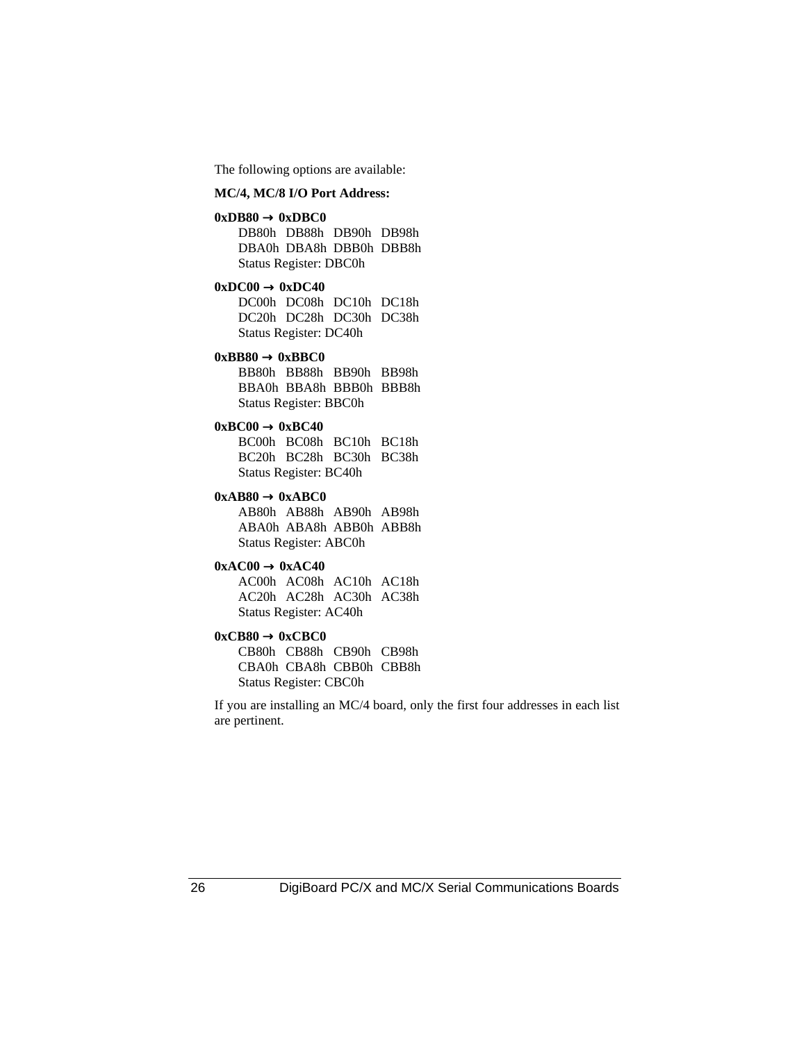The following options are available:

#### **MC/4, MC/8 I/O Port Address:**

#### $0xDB80 \rightarrow 0xDBC0$

DB80h DB88h DB90h DB98h DBA0h DBA8h DBB0h DBB8h Status Register: DBC0h

#### $0xDC00 \rightarrow 0xDC40$

DC00h DC08h DC10h DC18h DC20h DC28h DC30h DC38h Status Register: DC40h

#### $0xBB80 \rightarrow 0xBBC0$

BB80h BB88h BB90h BB98h BBA0h BBA8h BBB0h BBB8h Status Register: BBC0h

#### $0xBC00 \rightarrow 0xBC40$

BC00h BC08h BC10h BC18h BC20h BC28h BC30h BC38h Status Register: BC40h

#### $0xAB80 \rightarrow 0xABC0$

AB80h AB88h AB90h AB98h ABA0h ABA8h ABB0h ABB8h Status Register: ABC0h

#### $0xAC00 \rightarrow 0xAC40$

AC00h AC08h AC10h AC18h AC20h AC28h AC30h AC38h Status Register: AC40h

#### $0xCB80 \rightarrow 0xCBC0$

CB80h CB88h CB90h CB98h CBA0h CBA8h CBB0h CBB8h Status Register: CBC0h

If you are installing an MC/4 board, only the first four addresses in each list are pertinent.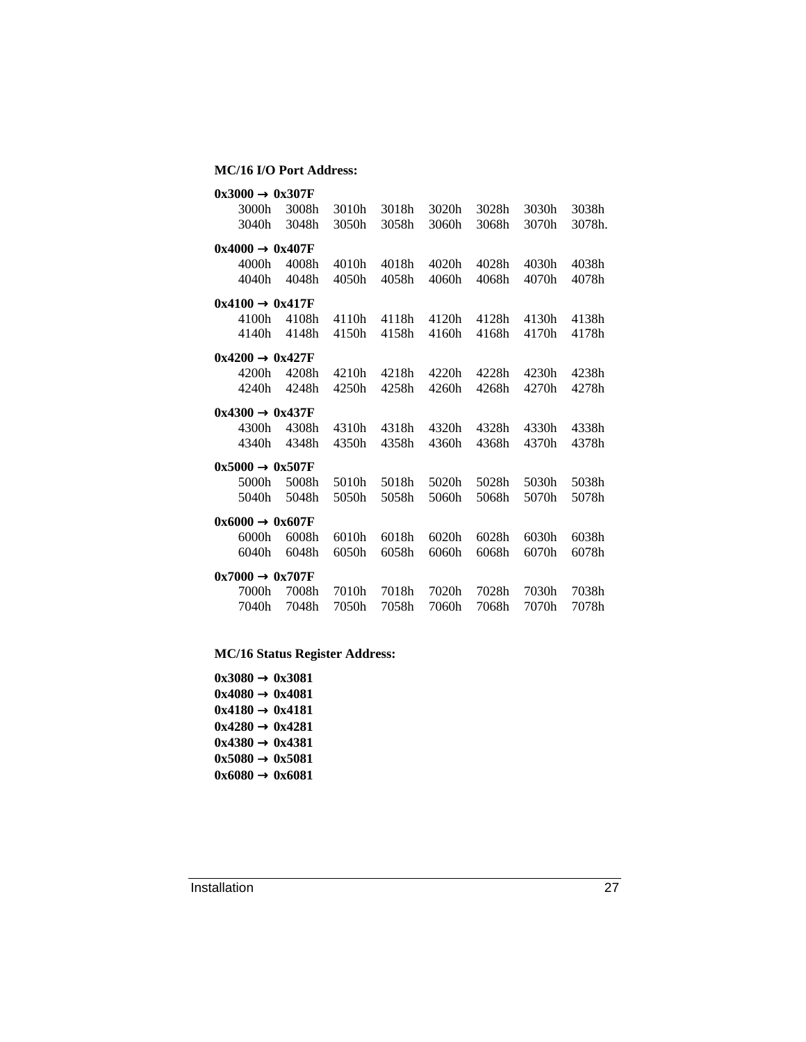#### **MC/16 I/O Port Address:**

| $0x3000 \rightarrow 0x307F$ |       |       |       |       |       |       |        |
|-----------------------------|-------|-------|-------|-------|-------|-------|--------|
| 3000h                       | 3008h | 3010h | 3018h | 3020h | 3028h | 3030h | 3038h  |
| 3040h                       | 3048h | 3050h | 3058h | 3060h | 3068h | 3070h | 3078h. |
| $0x4000 \rightarrow 0x407F$ |       |       |       |       |       |       |        |
| 4000h                       | 4008h | 4010h | 4018h | 4020h | 4028h | 4030h | 4038h  |
| 4040h                       | 4048h | 4050h | 4058h | 4060h | 4068h | 4070h | 4078h  |
| $0x4100 \rightarrow 0x417F$ |       |       |       |       |       |       |        |
| 4100h                       | 4108h | 4110h | 4118h | 4120h | 4128h | 4130h | 4138h  |
| 4140h                       | 4148h | 4150h | 4158h | 4160h | 4168h | 4170h | 4178h  |
| $0x4200 \rightarrow 0x427F$ |       |       |       |       |       |       |        |
| 4200h                       | 4208h | 4210h | 4218h | 4220h | 4228h | 4230h | 4238h  |
| 4240h                       | 4248h | 4250h | 4258h | 4260h | 4268h | 4270h | 4278h  |
| $0x4300 \rightarrow 0x437F$ |       |       |       |       |       |       |        |
| 4300h                       | 4308h | 4310h | 4318h | 4320h | 4328h | 4330h | 4338h  |
| 4340h                       | 4348h | 4350h | 4358h | 4360h | 4368h | 4370h | 4378h  |
| $0x5000 \rightarrow 0x507F$ |       |       |       |       |       |       |        |
| 5000h                       | 5008h | 5010h | 5018h | 5020h | 5028h | 5030h | 5038h  |
| 5040h                       | 5048h | 5050h | 5058h | 5060h | 5068h | 5070h | 5078h  |
| $0x6000 \rightarrow 0x607F$ |       |       |       |       |       |       |        |
| 6000h                       | 6008h | 6010h | 6018h | 6020h | 6028h | 6030h | 6038h  |
| 6040h                       | 6048h | 6050h | 6058h | 6060h | 6068h | 6070h | 6078h  |
| $0x7000 \rightarrow 0x707F$ |       |       |       |       |       |       |        |
| 7000h                       | 7008h | 7010h | 7018h | 7020h | 7028h | 7030h | 7038h  |
| 7040h                       | 7048h | 7050h | 7058h | 7060h | 7068h | 7070h | 7078h  |

**MC/16 Status Register Address:**

 $0x3080 \rightarrow 0x3081$  $0x4080 \rightarrow 0x4081$  $0x4180 \rightarrow 0x4181$  $0x4280 \rightarrow 0x4281$ **0x4380** → **0x4381**  $0x5080 \rightarrow 0x5081$ **0x6080** → **0x6081**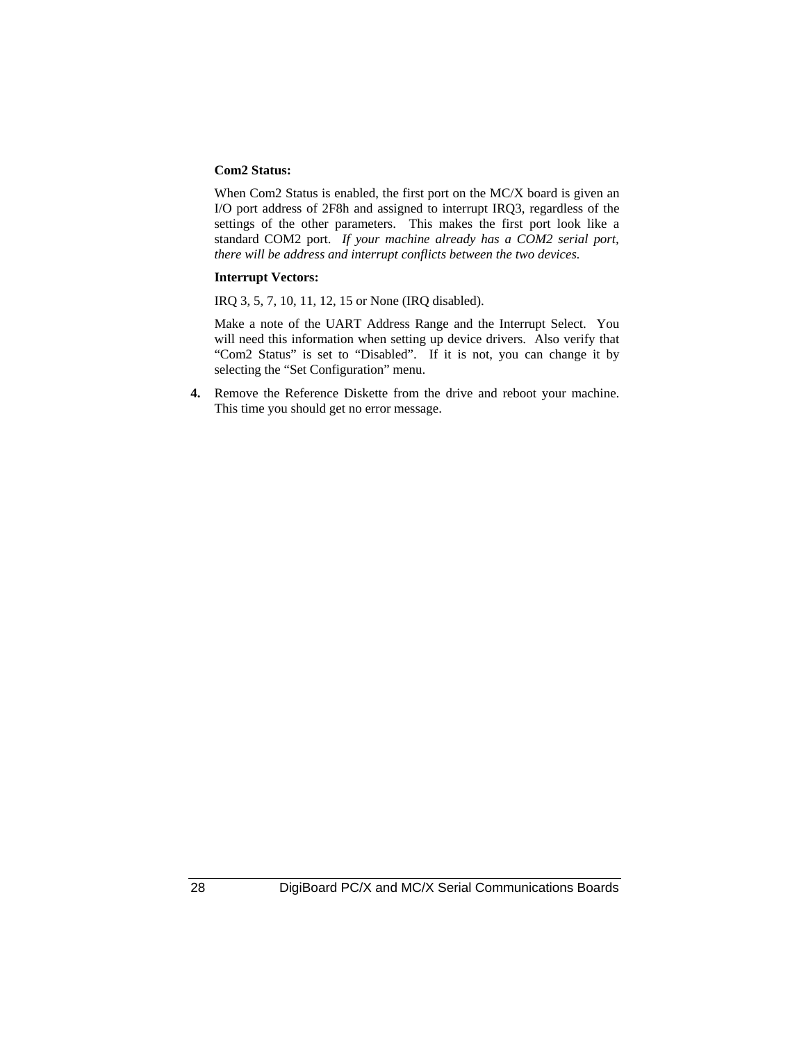#### **Com2 Status:**

When Com2 Status is enabled, the first port on the MC/X board is given an I/O port address of 2F8h and assigned to interrupt IRQ3, regardless of the settings of the other parameters. This makes the first port look like a standard COM2 port. *If your machine already has a COM2 serial port, there will be address and interrupt conflicts between the two devices.*

#### **Interrupt Vectors:**

IRQ 3, 5, 7, 10, 11, 12, 15 or None (IRQ disabled).

Make a note of the UART Address Range and the Interrupt Select. You will need this information when setting up device drivers. Also verify that "Com2 Status" is set to "Disabled". If it is not, you can change it by selecting the "Set Configuration" menu.

**4.** Remove the Reference Diskette from the drive and reboot your machine. This time you should get no error message.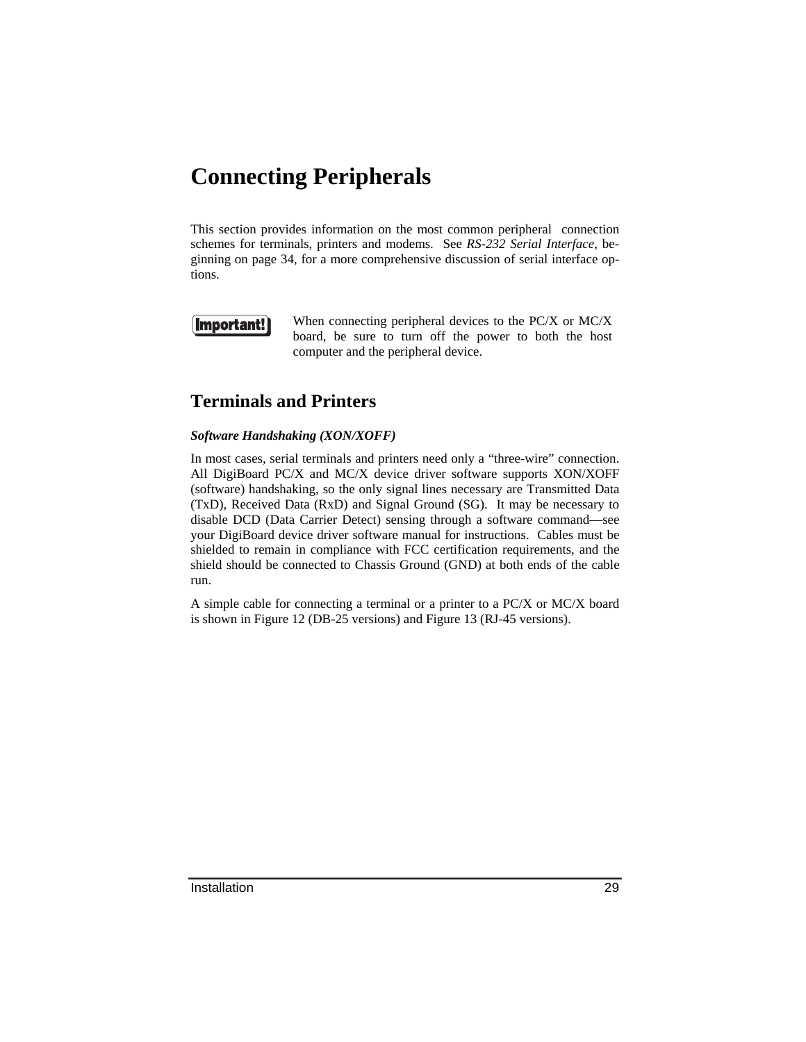## **Connecting Peripherals**

This section provides information on the most common peripheral connection schemes for terminals, printers and modems. See *RS-232 Serial Interface*, beginning on page 34, for a more comprehensive discussion of serial interface options.

### Important!

When connecting peripheral devices to the PC/X or MC/X board, be sure to turn off the power to both the host computer and the peripheral device.

### **Terminals and Printers**

#### *Software Handshaking (XON/XOFF)*

In most cases, serial terminals and printers need only a "three-wire" connection. All DigiBoard PC/X and MC/X device driver software supports XON/XOFF (software) handshaking, so the only signal lines necessary are Transmitted Data (TxD), Received Data (RxD) and Signal Ground (SG). It may be necessary to disable DCD (Data Carrier Detect) sensing through a software command—see your DigiBoard device driver software manual for instructions. Cables must be shielded to remain in compliance with FCC certification requirements, and the shield should be connected to Chassis Ground (GND) at both ends of the cable run.

A simple cable for connecting a terminal or a printer to a PC/X or MC/X board is shown in Figure 12 (DB-25 versions) and Figure 13 (RJ-45 versions).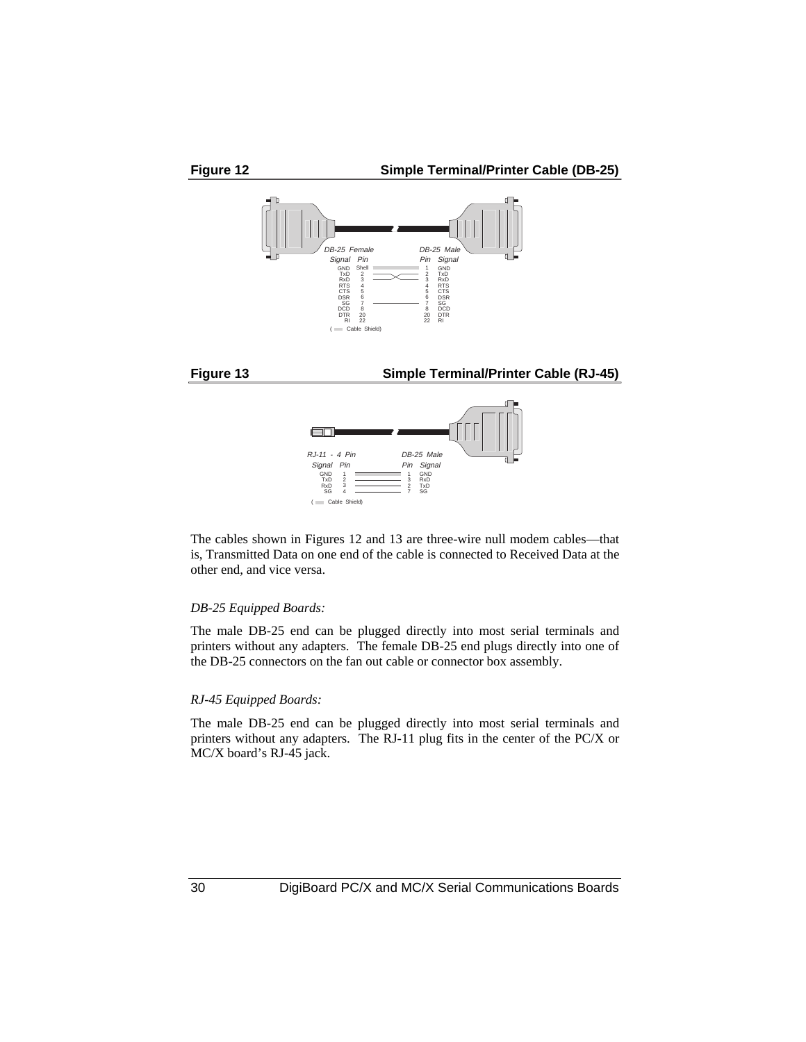

The cables shown in Figures 12 and 13 are three-wire null modem cables—that is, Transmitted Data on one end of the cable is connected to Received Data at the other end, and vice versa.

( Cable Shield)

#### *DB-25 Equipped Boards:*

The male DB-25 end can be plugged directly into most serial terminals and printers without any adapters. The female DB-25 end plugs directly into one of the DB-25 connectors on the fan out cable or connector box assembly.

#### *RJ-45 Equipped Boards:*

The male DB-25 end can be plugged directly into most serial terminals and printers without any adapters. The RJ-11 plug fits in the center of the PC/X or MC/X board's RJ-45 jack.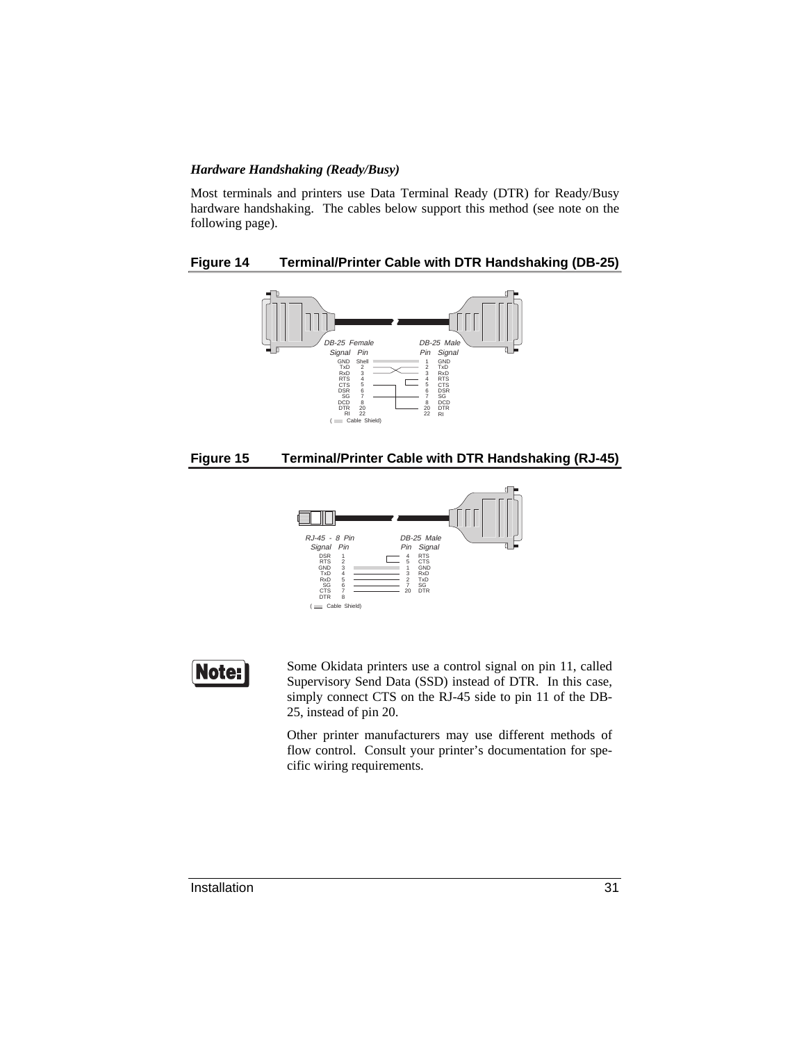#### *Hardware Handshaking (Ready/Busy)*

Most terminals and printers use Data Terminal Ready (DTR) for Ready/Busy hardware handshaking. The cables below support this method (see note on the following page).

#### **Figure 14 Terminal/Printer Cable with DTR Handshaking (DB-25)**







Note:

Some Okidata printers use a control signal on pin 11, called Supervisory Send Data (SSD) instead of DTR. In this case, simply connect CTS on the RJ-45 side to pin 11 of the DB-25, instead of pin 20.

Other printer manufacturers may use different methods of flow control. Consult your printer's documentation for specific wiring requirements.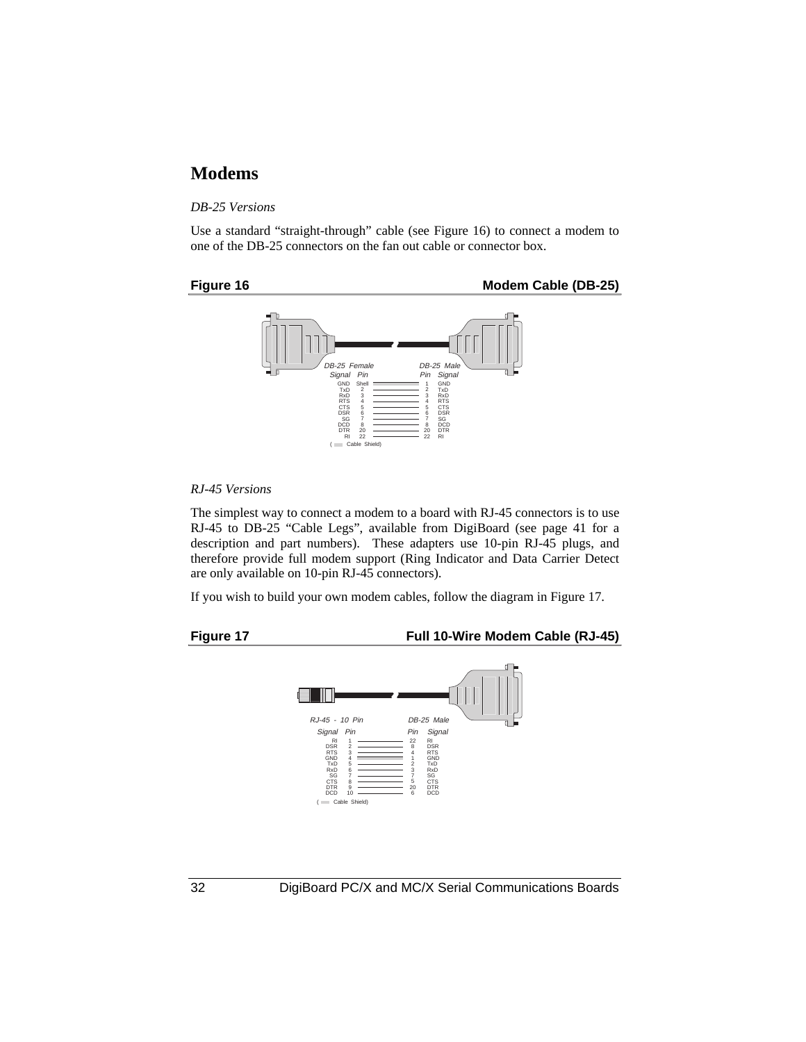#### **Modems**

#### *DB-25 Versions*

Use a standard "straight-through" cable (see Figure 16) to connect a modem to one of the DB-25 connectors on the fan out cable or connector box.







#### *RJ-45 Versions*

The simplest way to connect a modem to a board with RJ-45 connectors is to use RJ-45 to DB-25 "Cable Legs", available from DigiBoard (see page 41 for a description and part numbers). These adapters use 10-pin RJ-45 plugs, and therefore provide full modem support (Ring Indicator and Data Carrier Detect are only available on 10-pin RJ-45 connectors).

If you wish to build your own modem cables, follow the diagram in Figure 17.

**Figure 17 Full 10-Wire Modem Cable (RJ-45)**

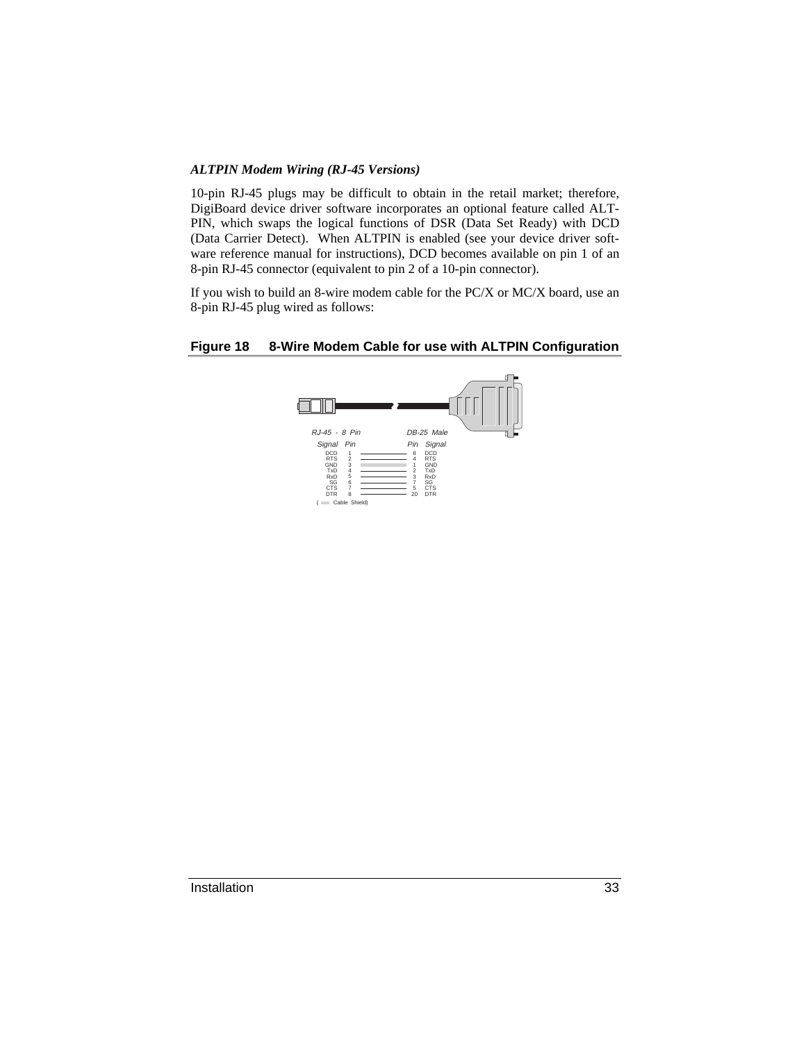#### *ALTPIN Modem Wiring (RJ-45 Versions)*

10-pin RJ-45 plugs may be difficult to obtain in the retail market; therefore, DigiBoard device driver software incorporates an optional feature called ALT-PIN, which swaps the logical functions of DSR (Data Set Ready) with DCD (Data Carrier Detect). When ALTPIN is enabled (see your device driver software reference manual for instructions), DCD becomes available on pin 1 of an 8-pin RJ-45 connector (equivalent to pin 2 of a 10-pin connector).

If you wish to build an 8-wire modem cable for the PC/X or MC/X board, use an 8-pin RJ-45 plug wired as follows:

#### **Figure 18 8-Wire Modem Cable for use with ALTPIN Configuration**

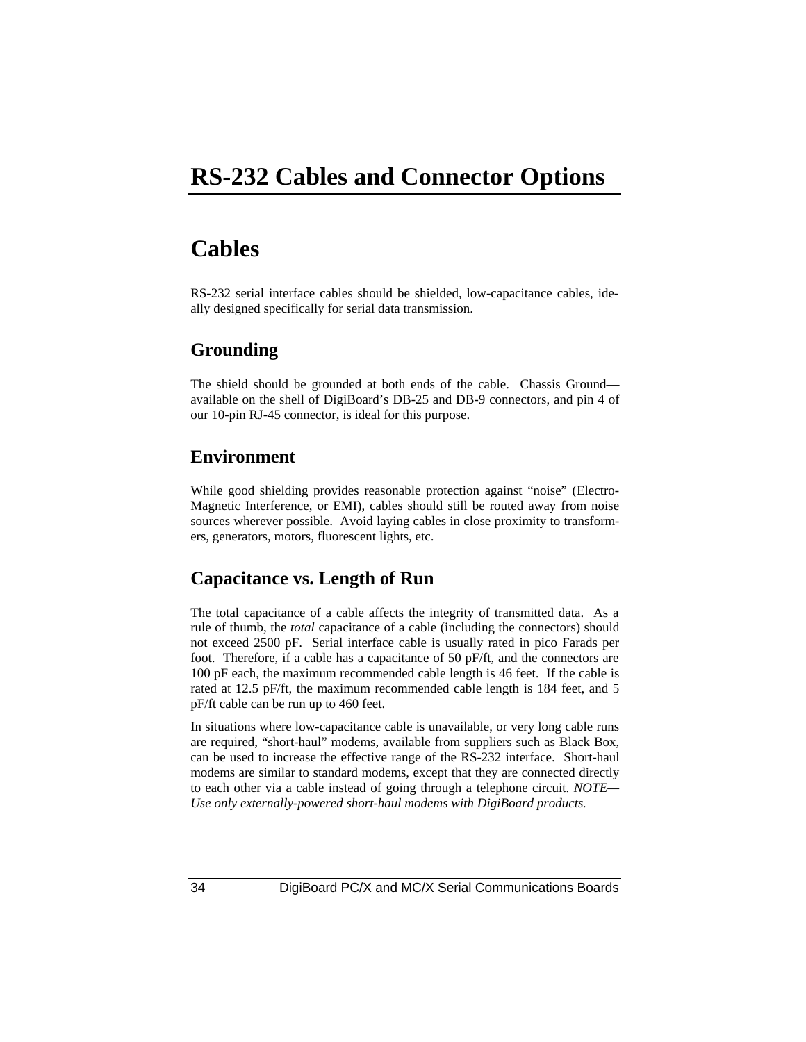### **RS-232 Cables and Connector Options**

### **Cables**

RS-232 serial interface cables should be shielded, low-capacitance cables, ideally designed specifically for serial data transmission.

### **Grounding**

The shield should be grounded at both ends of the cable. Chassis Ground available on the shell of DigiBoard's DB-25 and DB-9 connectors, and pin 4 of our 10-pin RJ-45 connector, is ideal for this purpose.

### **Environment**

While good shielding provides reasonable protection against "noise" (Electro-Magnetic Interference, or EMI), cables should still be routed away from noise sources wherever possible. Avoid laying cables in close proximity to transformers, generators, motors, fluorescent lights, etc.

### **Capacitance vs. Length of Run**

The total capacitance of a cable affects the integrity of transmitted data. As a rule of thumb, the *total* capacitance of a cable (including the connectors) should not exceed 2500 pF. Serial interface cable is usually rated in pico Farads per foot. Therefore, if a cable has a capacitance of 50 pF/ft, and the connectors are 100 pF each, the maximum recommended cable length is 46 feet. If the cable is rated at 12.5 pF/ft, the maximum recommended cable length is 184 feet, and 5 pF/ft cable can be run up to 460 feet.

In situations where low-capacitance cable is unavailable, or very long cable runs are required, "short-haul" modems, available from suppliers such as Black Box, can be used to increase the effective range of the RS-232 interface. Short-haul modems are similar to standard modems, except that they are connected directly to each other via a cable instead of going through a telephone circuit. *NOTE— Use only externally-powered short-haul modems with DigiBoard products.*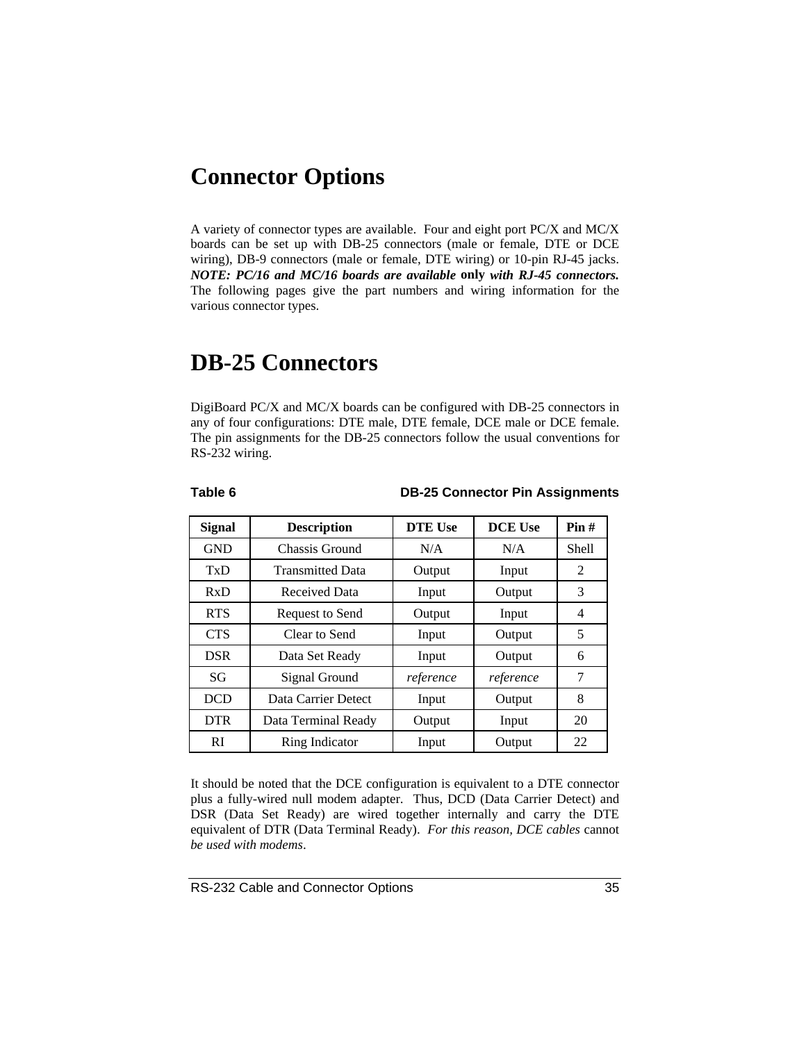### **Connector Options**

A variety of connector types are available. Four and eight port PC/X and MC/X boards can be set up with DB-25 connectors (male or female, DTE or DCE wiring), DB-9 connectors (male or female, DTE wiring) or 10-pin RJ-45 jacks. *NOTE: PC/16 and MC/16 boards are available* **only** *with RJ-45 connectors.* The following pages give the part numbers and wiring information for the various connector types.

### **DB-25 Connectors**

DigiBoard PC/X and MC/X boards can be configured with DB-25 connectors in any of four configurations: DTE male, DTE female, DCE male or DCE female. The pin assignments for the DB-25 connectors follow the usual conventions for RS-232 wiring.

**Table 6 DB-25 Connector Pin Assignments**

| <b>Signal</b> | <b>Description</b>      | <b>DTE Use</b> | <b>DCE Use</b> | Pin#  |
|---------------|-------------------------|----------------|----------------|-------|
| <b>GND</b>    | Chassis Ground          | N/A            | N/A            | Shell |
| TxD           | <b>Transmitted Data</b> | Output         | Input          | 2     |
| RxD           | <b>Received Data</b>    | Input          | Output         | 3     |
| <b>RTS</b>    | Request to Send         | Output         | Input          | 4     |
| <b>CTS</b>    | Clear to Send           | Input          | Output         | 5     |
| <b>DSR</b>    | Data Set Ready          | Input          | Output         | 6     |
| SG            | Signal Ground           | reference      | reference      | 7     |
| <b>DCD</b>    | Data Carrier Detect     | Input          | Output         | 8     |
| <b>DTR</b>    | Data Terminal Ready     | Output         | Input          | 20    |
| <b>RI</b>     | Ring Indicator          | Input          | Output         | 22    |

It should be noted that the DCE configuration is equivalent to a DTE connector plus a fully-wired null modem adapter. Thus, DCD (Data Carrier Detect) and DSR (Data Set Ready) are wired together internally and carry the DTE equivalent of DTR (Data Terminal Ready). *For this reason, DCE cables* cannot *be used with modems*.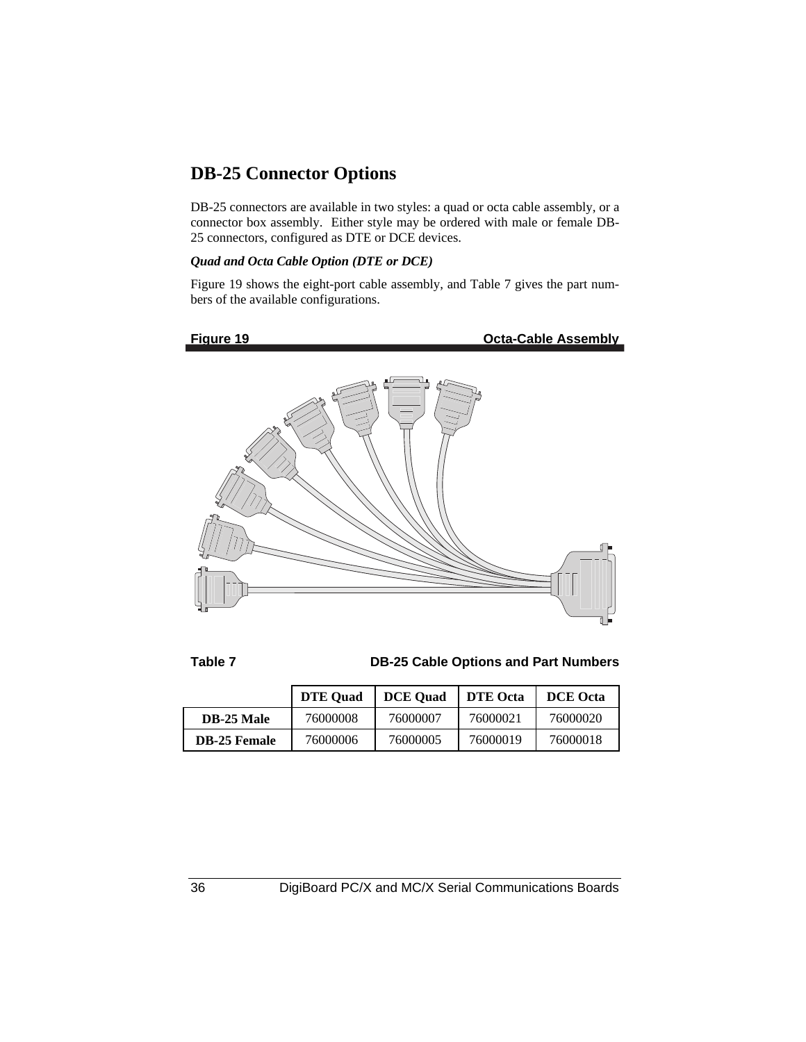### **DB-25 Connector Options**

DB-25 connectors are available in two styles: a quad or octa cable assembly, or a connector box assembly. Either style may be ordered with male or female DB-25 connectors, configured as DTE or DCE devices.

#### *Quad and Octa Cable Option (DTE or DCE)*

Figure 19 shows the eight-port cable assembly, and Table 7 gives the part numbers of the available configurations.



**Table 7 DB-25 Cable Options and Part Numbers**

|                     | <b>DTE Ouad</b> | <b>DCE</b> Ouad | <b>DTE</b> Octa | <b>DCE</b> Octa |
|---------------------|-----------------|-----------------|-----------------|-----------------|
| <b>DB-25 Male</b>   | 76000008        | 76000007        | 76000021        | 76000020        |
| <b>DB-25 Female</b> | 76000006        | 76000005        | 76000019        | 76000018        |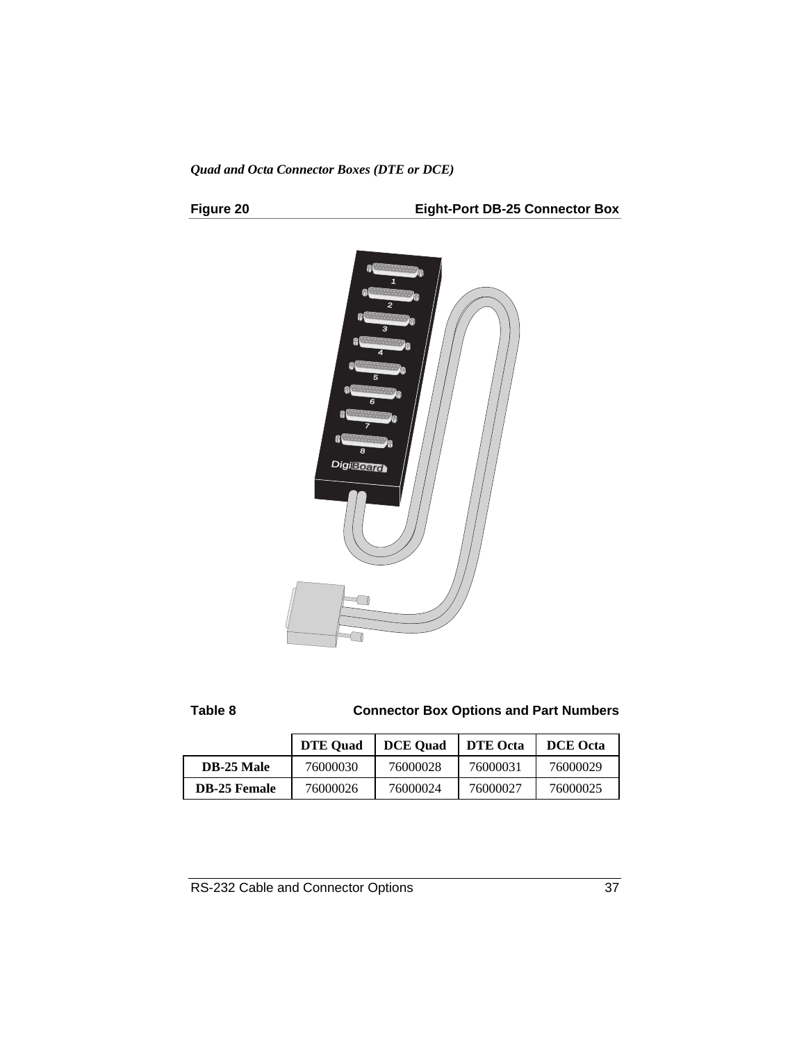*Quad and Octa Connector Boxes (DTE or DCE)*

**Figure 20 Eight-Port DB-25 Connector Box**



| ч.<br>÷<br>٧<br>×<br>÷<br>٠ |  |
|-----------------------------|--|
|-----------------------------|--|

**Connector Box Options and Part Numbers** 

|                     | <b>DTE</b> Ouad | <b>DCE</b> Ouad | <b>DTE</b> Octa | <b>DCE</b> Octa |
|---------------------|-----------------|-----------------|-----------------|-----------------|
| <b>DB-25 Male</b>   | 76000030        | 76000028        | 76000031        | 76000029        |
| <b>DB-25 Female</b> | 76000026        | 76000024        | 76000027        | 76000025        |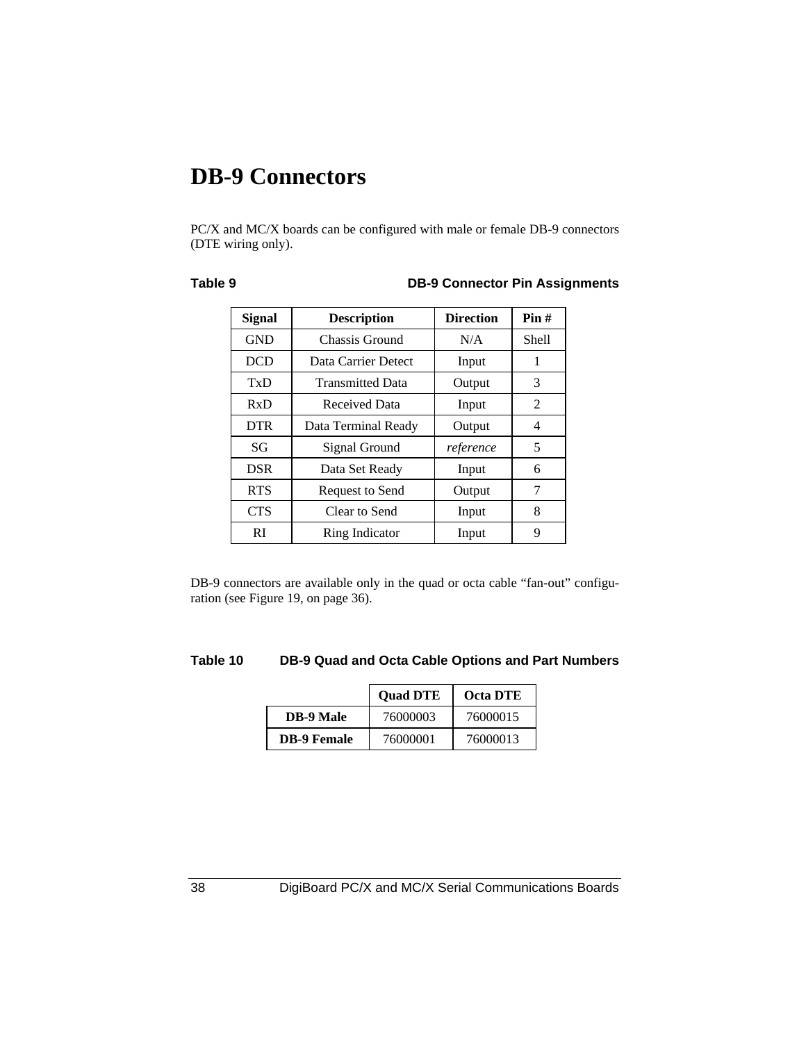### **DB-9 Connectors**

PC/X and MC/X boards can be configured with male or female DB-9 connectors (DTE wiring only).

#### **Table 9 DB-9 Connector Pin Assignments**

| Signal     | <b>Description</b>      | <b>Direction</b> | Pin#  |
|------------|-------------------------|------------------|-------|
| <b>GND</b> | Chassis Ground          | N/A              | Shell |
| <b>DCD</b> | Data Carrier Detect     | Input            | 1     |
| TxD        | <b>Transmitted Data</b> | Output           | 3     |
| RxD        | <b>Received Data</b>    | Input            | 2     |
| <b>DTR</b> | Data Terminal Ready     | Output           | 4     |
| SG         | Signal Ground           | reference        | 5     |
| <b>DSR</b> | Data Set Ready          | Input            | 6     |
| <b>RTS</b> | Request to Send         | Output           | 7     |
| <b>CTS</b> | Clear to Send           | Input            | 8     |
| RI         | Ring Indicator          | Input            | 9     |

DB-9 connectors are available only in the quad or octa cable "fan-out" configuration (see Figure 19, on page 36).

#### **Table 10 DB-9 Quad and Octa Cable Options and Part Numbers**

|                    | <b>Ouad DTE</b> | <b>Octa DTE</b> |
|--------------------|-----------------|-----------------|
| <b>DB-9 Male</b>   | 76000003        | 76000015        |
| <b>DB-9 Female</b> | 76000001        | 76000013        |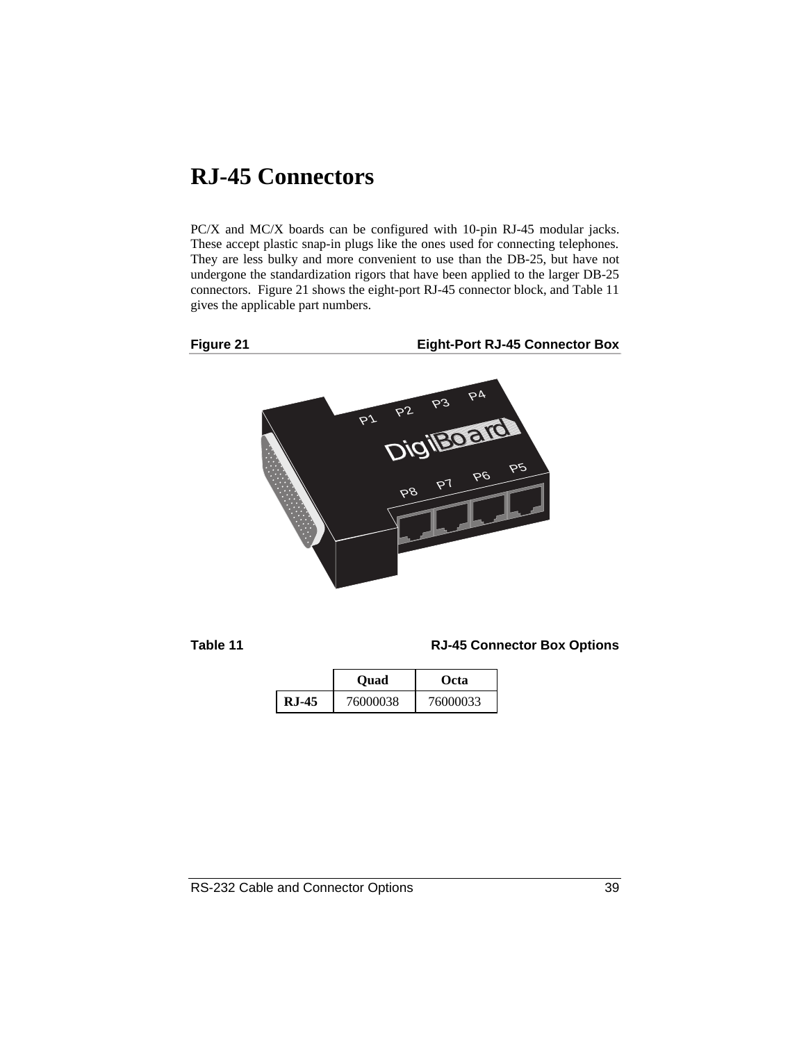### **RJ-45 Connectors**

PC/X and MC/X boards can be configured with 10-pin RJ-45 modular jacks. These accept plastic snap-in plugs like the ones used for connecting telephones. They are less bulky and more convenient to use than the DB-25, but have not undergone the standardization rigors that have been applied to the larger DB-25 connectors. Figure 21 shows the eight-port RJ-45 connector block, and Table 11 gives the applicable part numbers.



**Figure 21 Eight-Port RJ-45 Connector Box**



**Table 11 RJ-45 Connector Box Options**

|          | Ouad     | Octa     |
|----------|----------|----------|
| $R.I-45$ | 76000038 | 76000033 |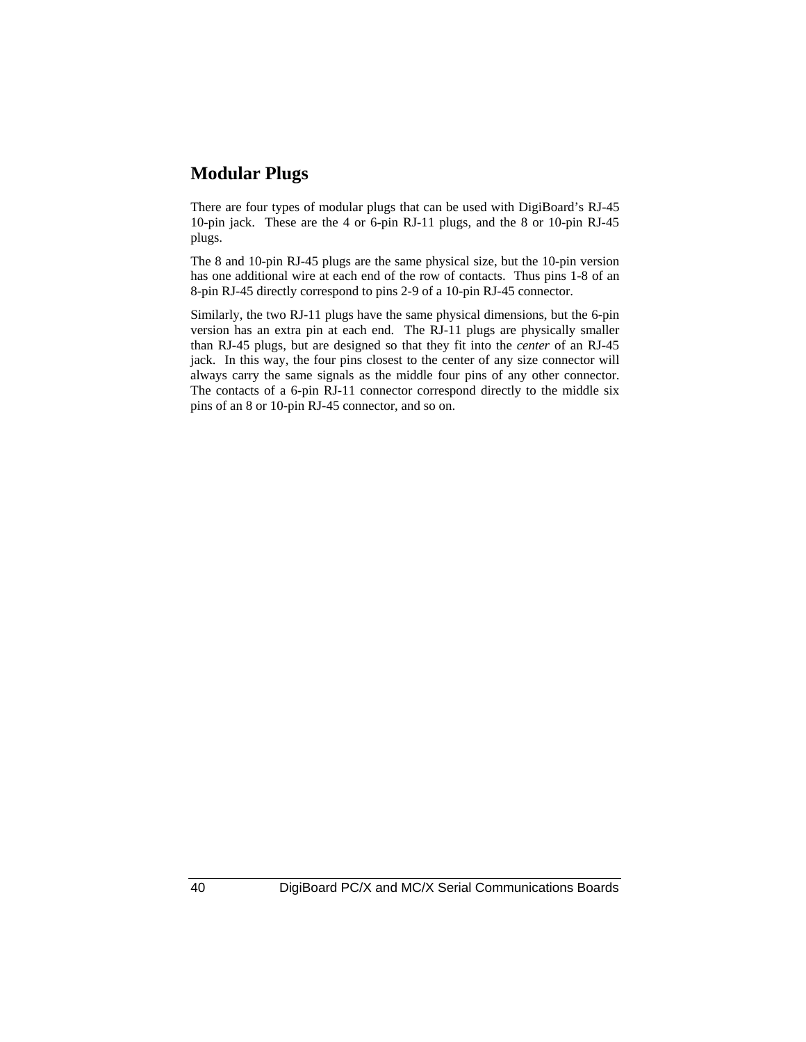#### **Modular Plugs**

There are four types of modular plugs that can be used with DigiBoard's RJ-45 10-pin jack. These are the 4 or 6-pin RJ-11 plugs, and the 8 or 10-pin RJ-45 plugs.

The 8 and 10-pin RJ-45 plugs are the same physical size, but the 10-pin version has one additional wire at each end of the row of contacts. Thus pins 1-8 of an 8-pin RJ-45 directly correspond to pins 2-9 of a 10-pin RJ-45 connector.

Similarly, the two RJ-11 plugs have the same physical dimensions, but the 6-pin version has an extra pin at each end. The RJ-11 plugs are physically smaller than RJ-45 plugs, but are designed so that they fit into the *center* of an RJ-45 jack. In this way, the four pins closest to the center of any size connector will always carry the same signals as the middle four pins of any other connector. The contacts of a 6-pin RJ-11 connector correspond directly to the middle six pins of an 8 or 10-pin RJ-45 connector, and so on.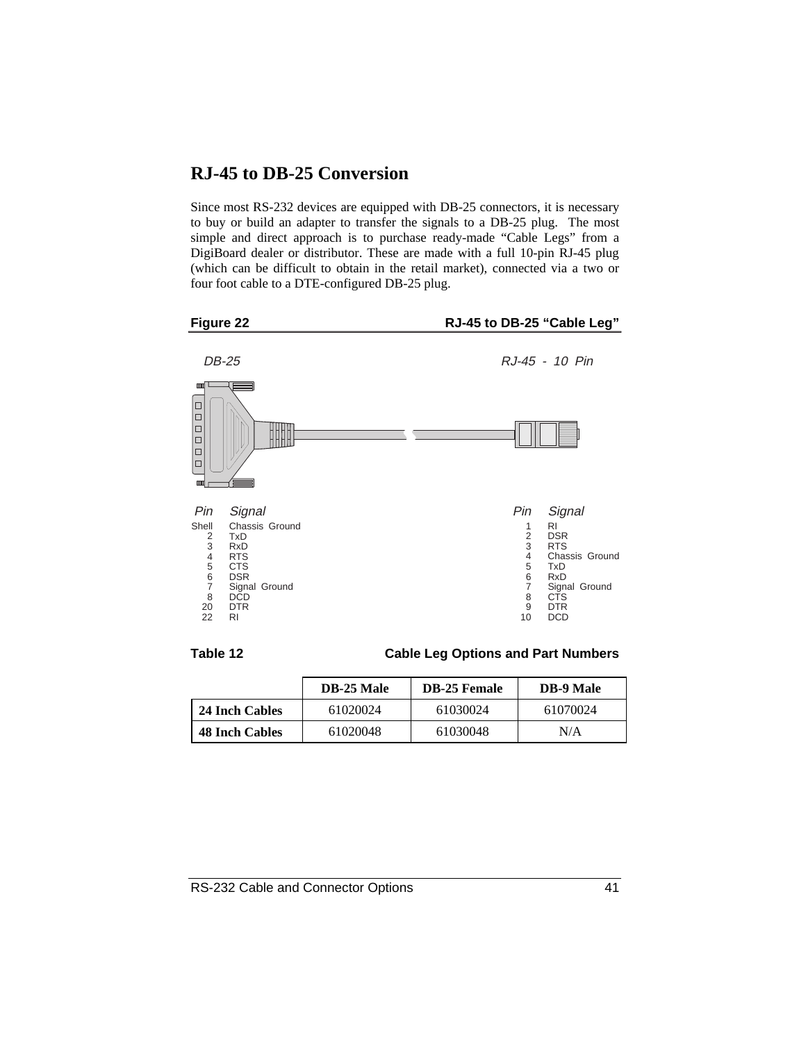#### **RJ-45 to DB-25 Conversion**

Since most RS-232 devices are equipped with DB-25 connectors, it is necessary to buy or build an adapter to transfer the signals to a DB-25 plug. The most simple and direct approach is to purchase ready-made "Cable Legs" from a DigiBoard dealer or distributor. These are made with a full 10-pin RJ-45 plug (which can be difficult to obtain in the retail market), connected via a two or four foot cable to a DTE-configured DB-25 plug.





**Table 12 Cable Leg Options and Part Numbers**

|                       | <b>DB-25 Male</b> | <b>DB-25 Female</b> | <b>DB-9 Male</b> |
|-----------------------|-------------------|---------------------|------------------|
| 24 Inch Cables        | 61020024          | 61030024            | 61070024         |
| <b>48 Inch Cables</b> | 61020048          | 61030048            | N/A              |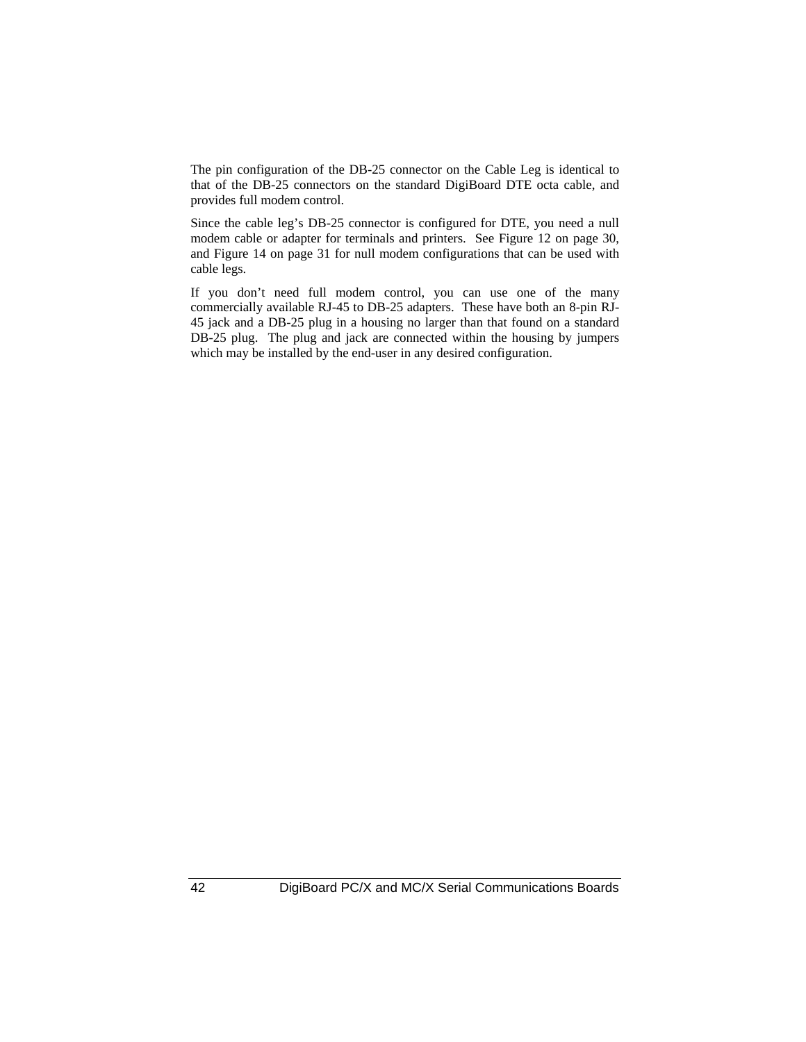The pin configuration of the DB-25 connector on the Cable Leg is identical to that of the DB-25 connectors on the standard DigiBoard DTE octa cable, and provides full modem control.

Since the cable leg's DB-25 connector is configured for DTE, you need a null modem cable or adapter for terminals and printers. See Figure 12 on page 30, and Figure 14 on page 31 for null modem configurations that can be used with cable legs.

If you don't need full modem control, you can use one of the many commercially available RJ-45 to DB-25 adapters. These have both an 8-pin RJ-45 jack and a DB-25 plug in a housing no larger than that found on a standard DB-25 plug. The plug and jack are connected within the housing by jumpers which may be installed by the end-user in any desired configuration.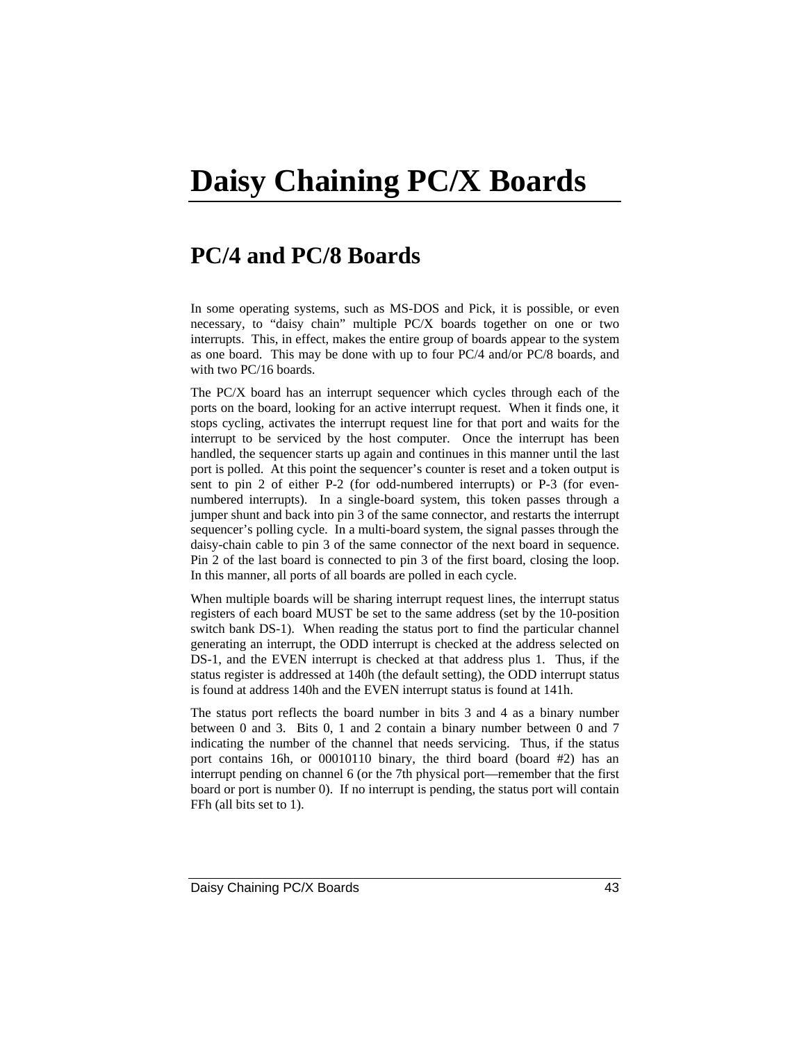# **Daisy Chaining PC/X Boards**

### **PC/4 and PC/8 Boards**

In some operating systems, such as MS-DOS and Pick, it is possible, or even necessary, to "daisy chain" multiple PC/X boards together on one or two interrupts. This, in effect, makes the entire group of boards appear to the system as one board. This may be done with up to four PC/4 and/or PC/8 boards, and with two PC/16 boards.

The PC/X board has an interrupt sequencer which cycles through each of the ports on the board, looking for an active interrupt request. When it finds one, it stops cycling, activates the interrupt request line for that port and waits for the interrupt to be serviced by the host computer. Once the interrupt has been handled, the sequencer starts up again and continues in this manner until the last port is polled. At this point the sequencer's counter is reset and a token output is sent to pin 2 of either P-2 (for odd-numbered interrupts) or P-3 (for evennumbered interrupts). In a single-board system, this token passes through a jumper shunt and back into pin 3 of the same connector, and restarts the interrupt sequencer's polling cycle. In a multi-board system, the signal passes through the daisy-chain cable to pin 3 of the same connector of the next board in sequence. Pin 2 of the last board is connected to pin 3 of the first board, closing the loop. In this manner, all ports of all boards are polled in each cycle.

When multiple boards will be sharing interrupt request lines, the interrupt status registers of each board MUST be set to the same address (set by the 10-position switch bank DS-1). When reading the status port to find the particular channel generating an interrupt, the ODD interrupt is checked at the address selected on DS-1, and the EVEN interrupt is checked at that address plus 1. Thus, if the status register is addressed at 140h (the default setting), the ODD interrupt status is found at address 140h and the EVEN interrupt status is found at 141h.

The status port reflects the board number in bits 3 and 4 as a binary number between 0 and 3. Bits 0, 1 and 2 contain a binary number between 0 and 7 indicating the number of the channel that needs servicing. Thus, if the status port contains 16h, or 00010110 binary, the third board (board #2) has an interrupt pending on channel 6 (or the 7th physical port—remember that the first board or port is number 0). If no interrupt is pending, the status port will contain FFh (all bits set to 1).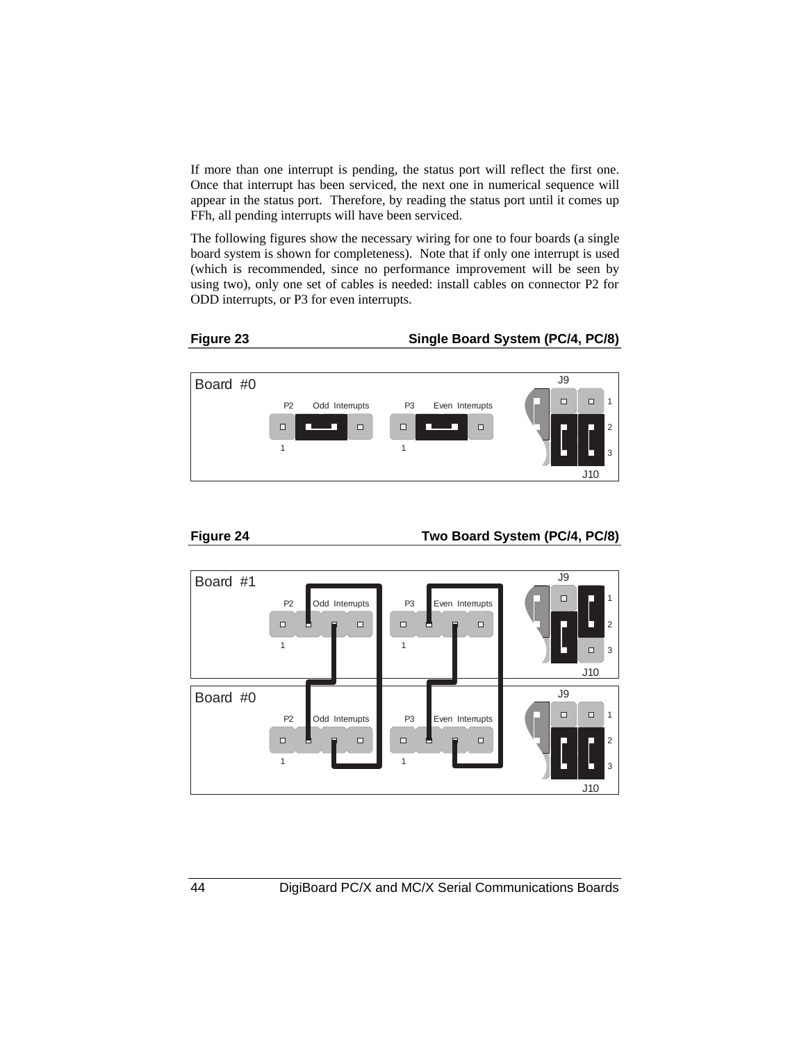If more than one interrupt is pending, the status port will reflect the first one. Once that interrupt has been serviced, the next one in numerical sequence will appear in the status port. Therefore, by reading the status port until it comes up FFh, all pending interrupts will have been serviced.

The following figures show the necessary wiring for one to four boards (a single board system is shown for completeness). Note that if only one interrupt is used (which is recommended, since no performance improvement will be seen by using two), only one set of cables is needed: install cables on connector P2 for ODD interrupts, or P3 for even interrupts.





**Figure 24 Two Board System (PC/4, PC/8)**

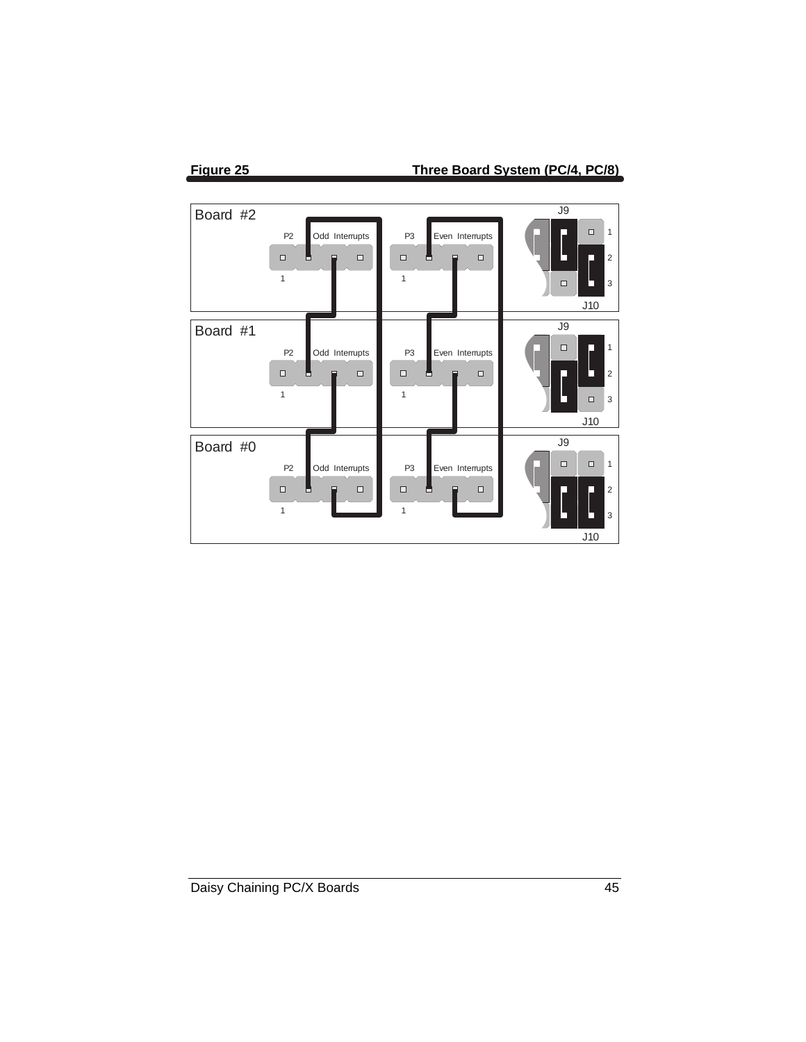

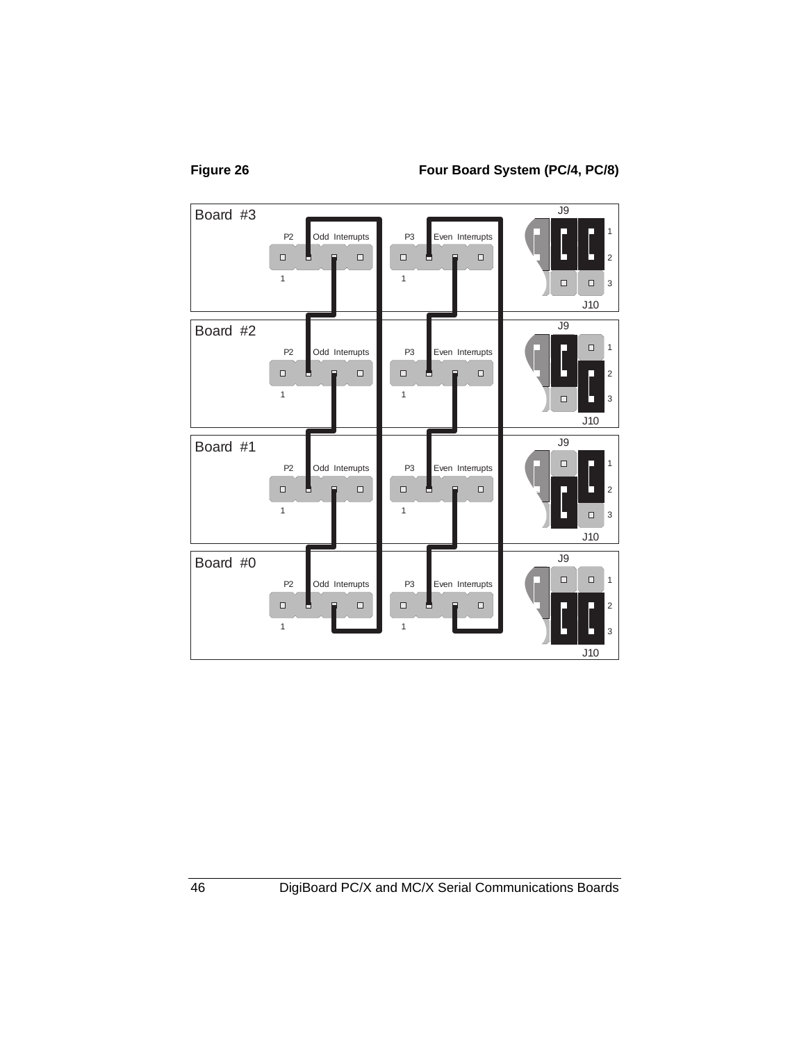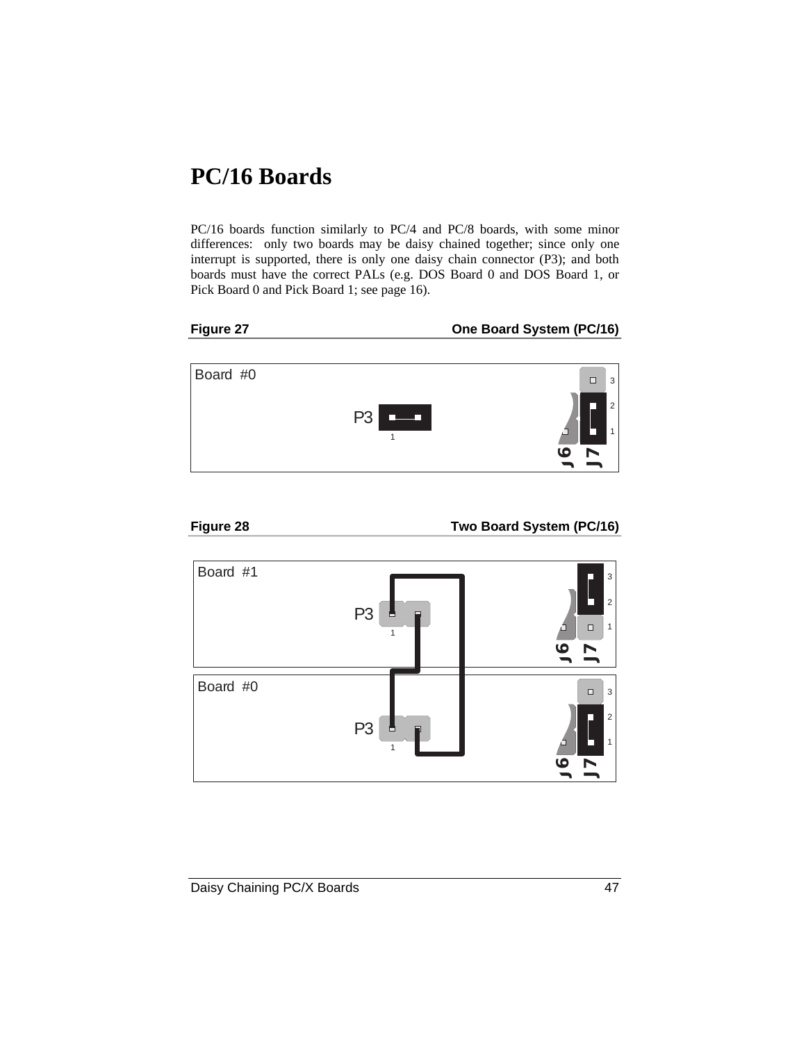## **PC/16 Boards**

PC/16 boards function similarly to PC/4 and PC/8 boards, with some minor differences: only two boards may be daisy chained together; since only one interrupt is supported, there is only one daisy chain connector (P3); and both boards must have the correct PALs (e.g. DOS Board 0 and DOS Board 1, or Pick Board 0 and Pick Board 1; see page 16).



Figure 27 **One Board System (PC/16)** 





Figure 28 Two Board System (PC/16)

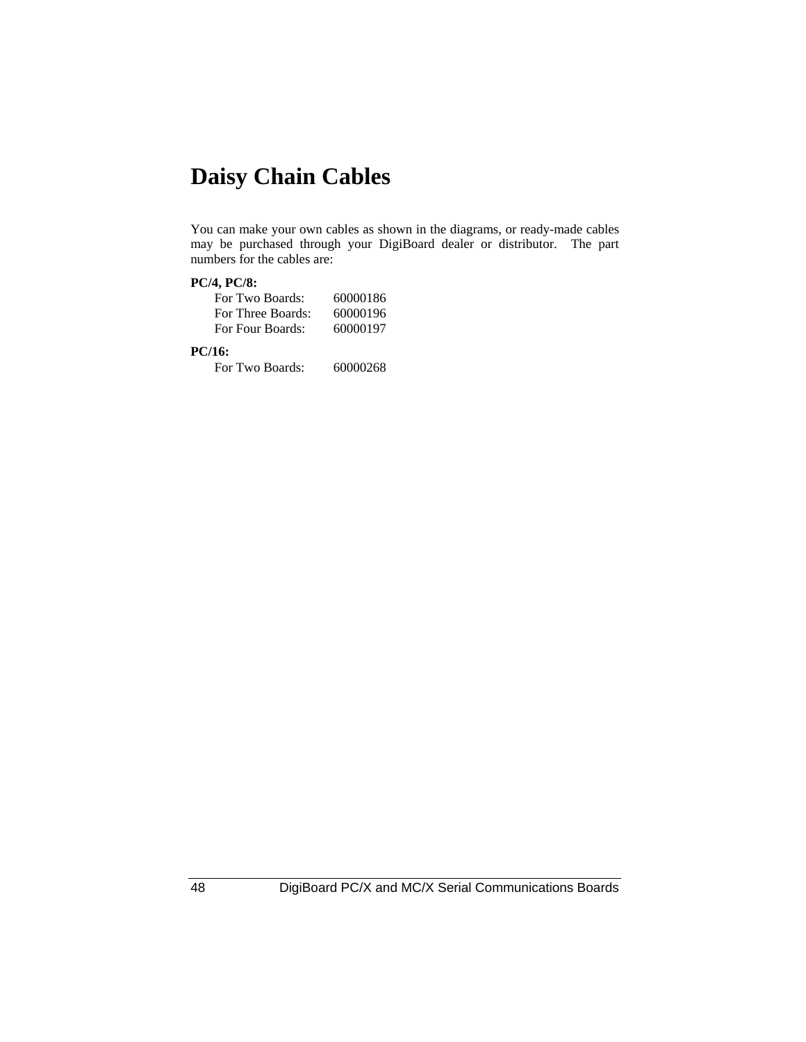## **Daisy Chain Cables**

You can make your own cables as shown in the diagrams, or ready-made cables may be purchased through your DigiBoard dealer or distributor. The part numbers for the cables are:

#### **PC/4, PC/8:**

| For Two Boards:   | 60000186 |
|-------------------|----------|
| For Three Boards: | 60000196 |
| For Four Boards:  | 60000197 |

#### **PC/16:**

For Two Boards: 60000268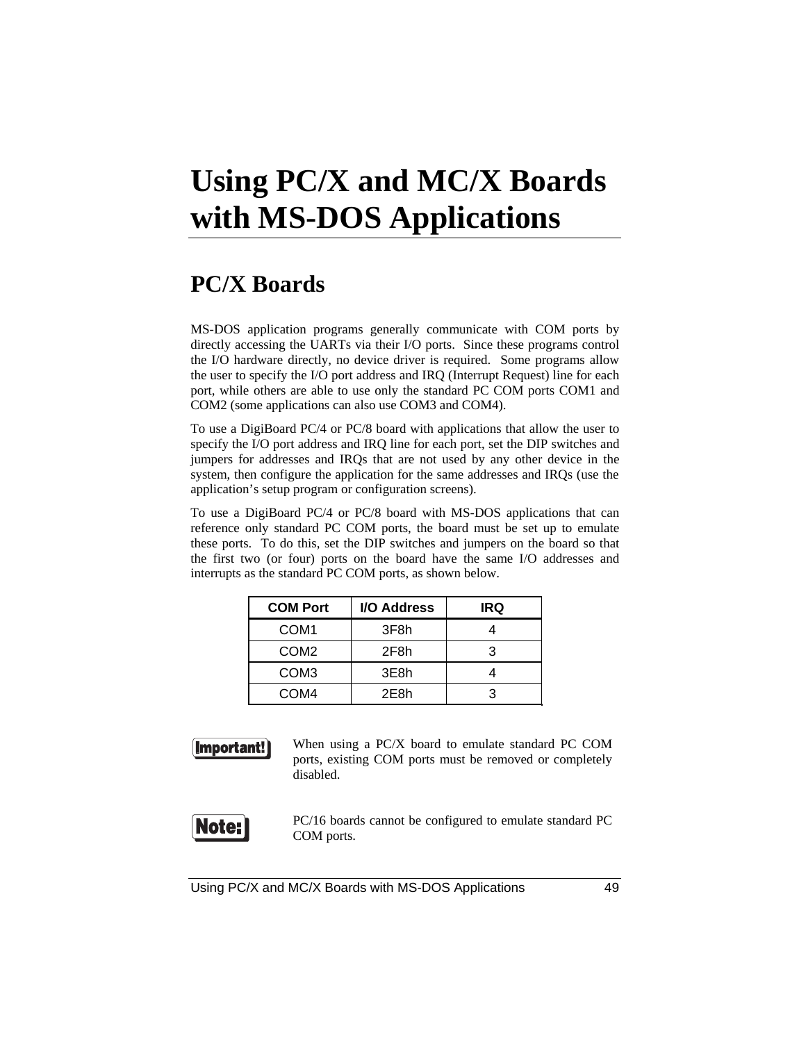# **Using PC/X and MC/X Boards with MS-DOS Applications**

### **PC/X Boards**

MS-DOS application programs generally communicate with COM ports by directly accessing the UARTs via their I/O ports. Since these programs control the I/O hardware directly, no device driver is required. Some programs allow the user to specify the I/O port address and IRQ (Interrupt Request) line for each port, while others are able to use only the standard PC COM ports COM1 and COM2 (some applications can also use COM3 and COM4).

To use a DigiBoard PC/4 or PC/8 board with applications that allow the user to specify the I/O port address and IRQ line for each port, set the DIP switches and jumpers for addresses and IRQs that are not used by any other device in the system, then configure the application for the same addresses and IRQs (use the application's setup program or configuration screens).

To use a DigiBoard PC/4 or PC/8 board with MS-DOS applications that can reference only standard PC COM ports, the board must be set up to emulate these ports. To do this, set the DIP switches and jumpers on the board so that the first two (or four) ports on the board have the same I/O addresses and interrupts as the standard PC COM ports, as shown below.

| <b>COM Port</b>  | I/O Address | IRQ |
|------------------|-------------|-----|
| COM <sub>1</sub> | 3F8h        |     |
| COM <sub>2</sub> | 2F8h        | З   |
| COM <sub>3</sub> | 3E8h        |     |
| COM4             | 2E8h        |     |



When using a PC/X board to emulate standard PC COM ports, existing COM ports must be removed or completely disabled.



PC/16 boards cannot be configured to emulate standard PC COM ports.

Using PC/X and MC/X Boards with MS-DOS Applications 49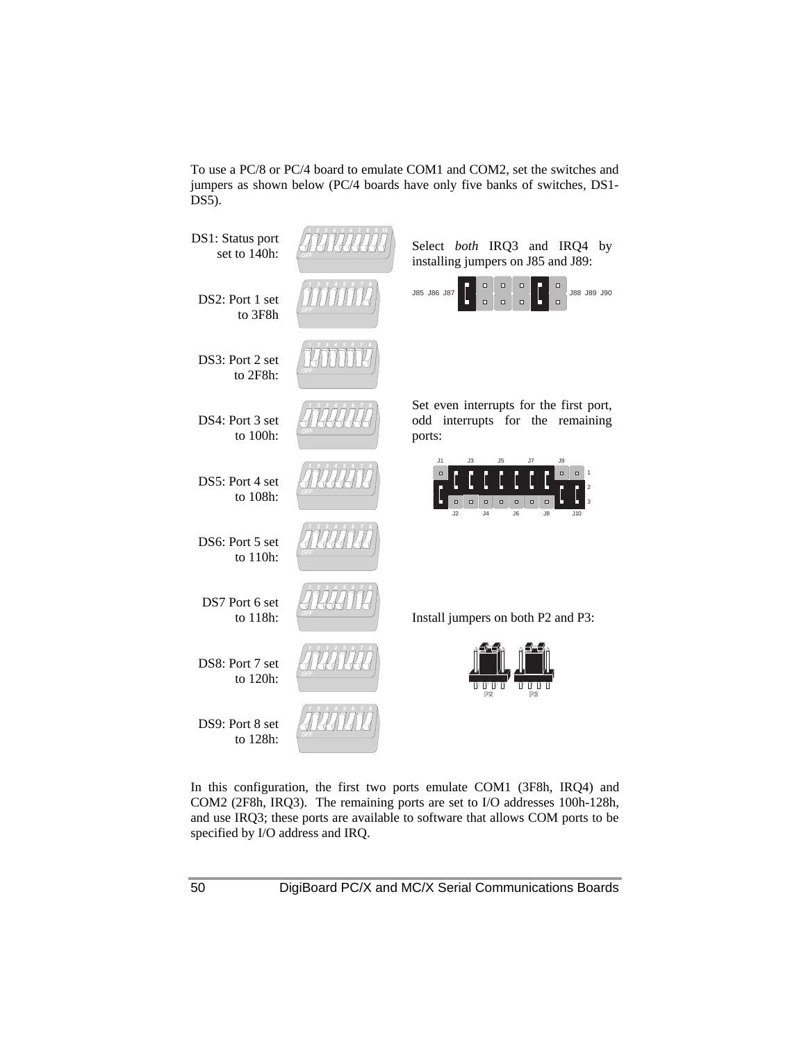To use a PC/8 or PC/4 board to emulate COM1 and COM2, set the switches and jumpers as shown below (PC/4 boards have only five banks of switches, DS1- DS5).



In this configuration, the first two ports emulate COM1 (3F8h, IRQ4) and COM2 (2F8h, IRQ3). The remaining ports are set to I/O addresses 100h-128h, and use IRQ3; these ports are available to software that allows COM ports to be specified by I/O address and IRQ.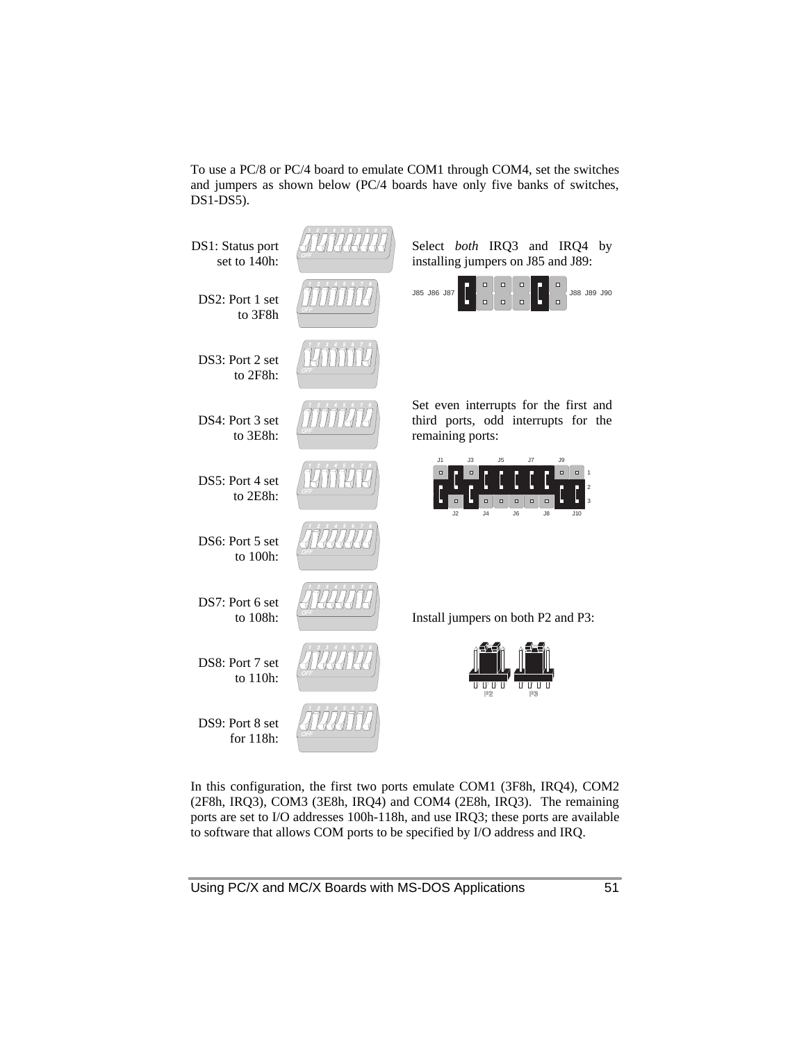To use a PC/8 or PC/4 board to emulate COM1 through COM4, set the switches and jumpers as shown below (PC/4 boards have only five banks of switches, DS1-DS5).



In this configuration, the first two ports emulate COM1 (3F8h, IRQ4), COM2 (2F8h, IRQ3), COM3 (3E8h, IRQ4) and COM4 (2E8h, IRQ3). The remaining ports are set to I/O addresses 100h-118h, and use IRQ3; these ports are available to software that allows COM ports to be specified by I/O address and IRQ.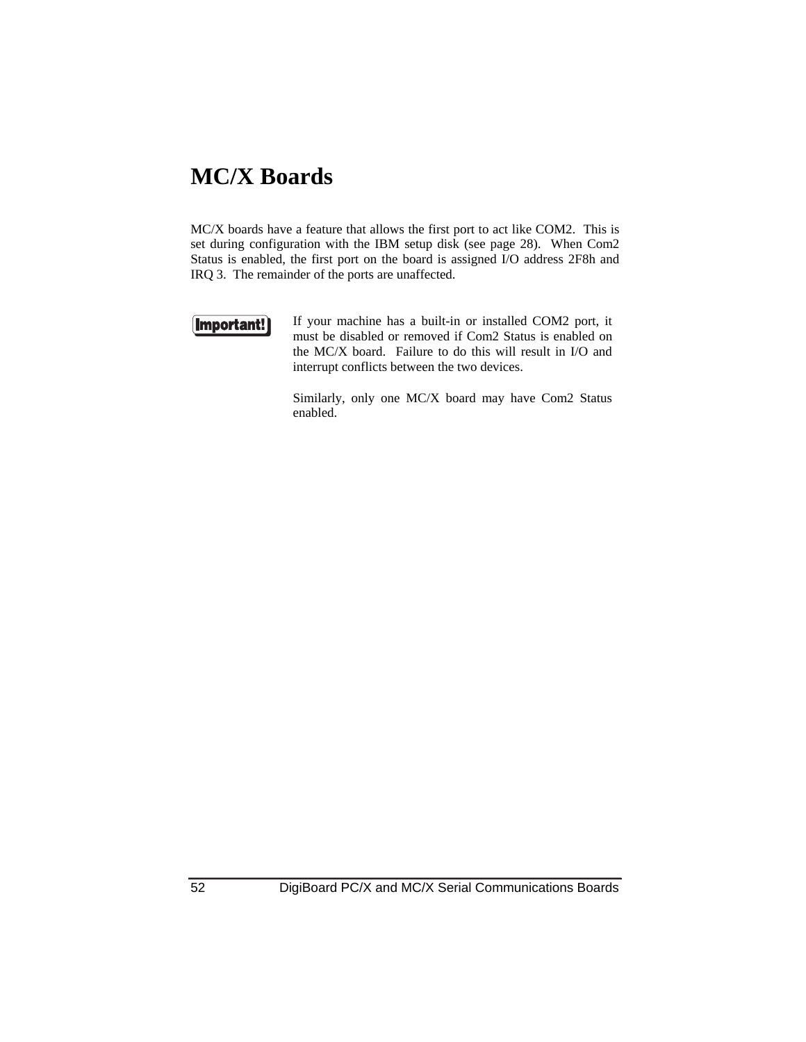### **MC/X Boards**

MC/X boards have a feature that allows the first port to act like COM2. This is set during configuration with the IBM setup disk (see page 28). When Com2 Status is enabled, the first port on the board is assigned I/O address 2F8h and IRQ 3. The remainder of the ports are unaffected.

#### Important!

If your machine has a built-in or installed COM2 port, it must be disabled or removed if Com2 Status is enabled on the MC/X board. Failure to do this will result in I/O and interrupt conflicts between the two devices.

Similarly, only one MC/X board may have Com2 Status enabled.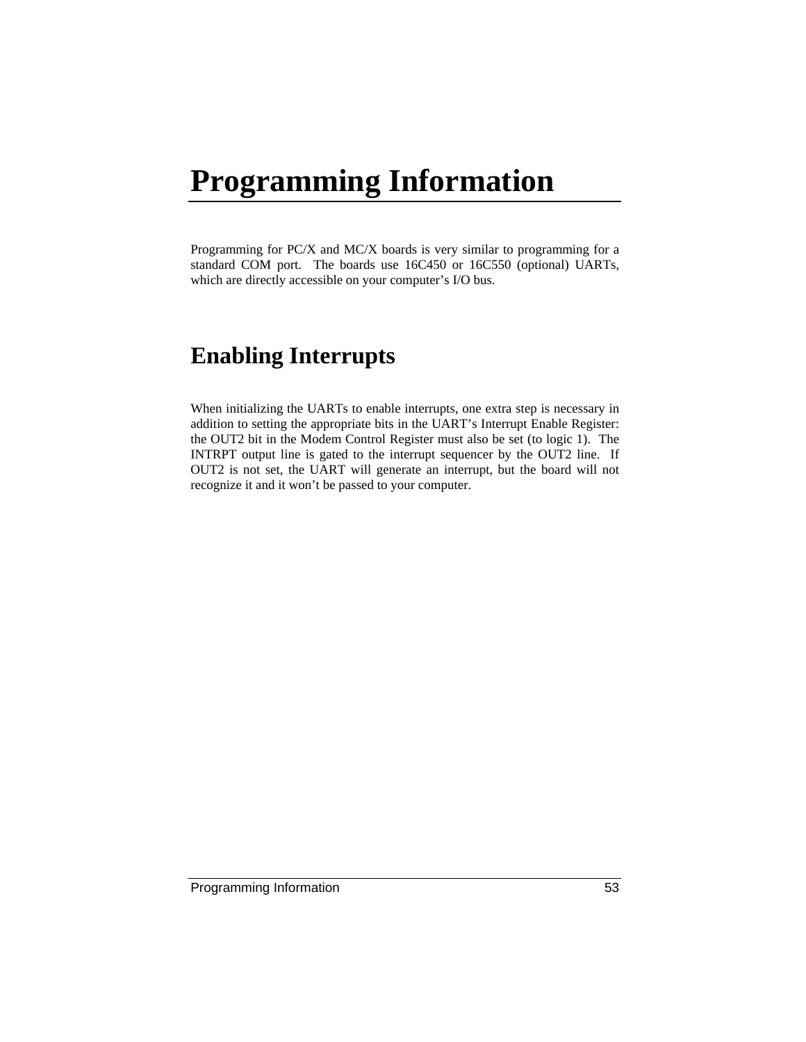# **Programming Information**

Programming for PC/X and MC/X boards is very similar to programming for a standard COM port. The boards use 16C450 or 16C550 (optional) UARTs, which are directly accessible on your computer's I/O bus.

## **Enabling Interrupts**

When initializing the UARTs to enable interrupts, one extra step is necessary in addition to setting the appropriate bits in the UART's Interrupt Enable Register: the OUT2 bit in the Modem Control Register must also be set (to logic 1). The INTRPT output line is gated to the interrupt sequencer by the OUT2 line. If OUT2 is not set, the UART will generate an interrupt, but the board will not recognize it and it won't be passed to your computer.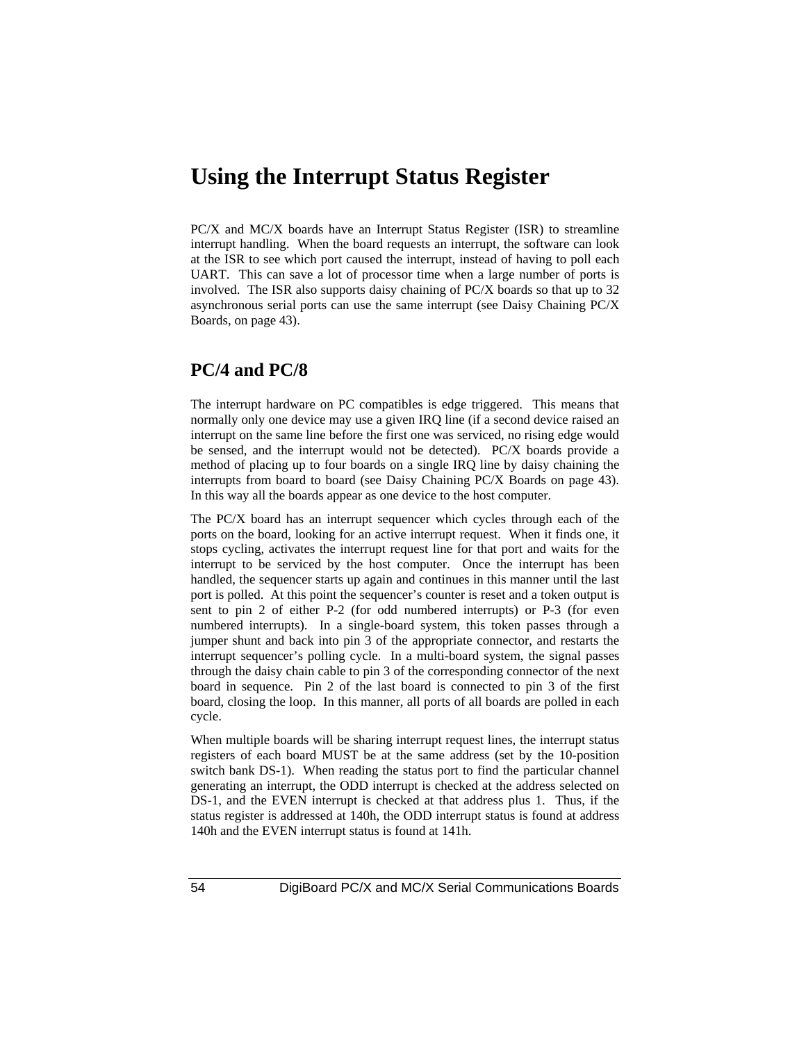### **Using the Interrupt Status Register**

PC/X and MC/X boards have an Interrupt Status Register (ISR) to streamline interrupt handling. When the board requests an interrupt, the software can look at the ISR to see which port caused the interrupt, instead of having to poll each UART. This can save a lot of processor time when a large number of ports is involved. The ISR also supports daisy chaining of PC/X boards so that up to 32 asynchronous serial ports can use the same interrupt (see Daisy Chaining PC/X Boards, on page 43).

#### **PC/4 and PC/8**

The interrupt hardware on PC compatibles is edge triggered. This means that normally only one device may use a given IRQ line (if a second device raised an interrupt on the same line before the first one was serviced, no rising edge would be sensed, and the interrupt would not be detected). PC/X boards provide a method of placing up to four boards on a single IRQ line by daisy chaining the interrupts from board to board (see Daisy Chaining PC/X Boards on page 43). In this way all the boards appear as one device to the host computer.

The PC/X board has an interrupt sequencer which cycles through each of the ports on the board, looking for an active interrupt request. When it finds one, it stops cycling, activates the interrupt request line for that port and waits for the interrupt to be serviced by the host computer. Once the interrupt has been handled, the sequencer starts up again and continues in this manner until the last port is polled. At this point the sequencer's counter is reset and a token output is sent to pin 2 of either P-2 (for odd numbered interrupts) or P-3 (for even numbered interrupts). In a single-board system, this token passes through a jumper shunt and back into pin 3 of the appropriate connector, and restarts the interrupt sequencer's polling cycle. In a multi-board system, the signal passes through the daisy chain cable to pin 3 of the corresponding connector of the next board in sequence. Pin 2 of the last board is connected to pin 3 of the first board, closing the loop. In this manner, all ports of all boards are polled in each cycle.

When multiple boards will be sharing interrupt request lines, the interrupt status registers of each board MUST be at the same address (set by the 10-position switch bank DS-1). When reading the status port to find the particular channel generating an interrupt, the ODD interrupt is checked at the address selected on DS-1, and the EVEN interrupt is checked at that address plus 1. Thus, if the status register is addressed at 140h, the ODD interrupt status is found at address 140h and the EVEN interrupt status is found at 141h.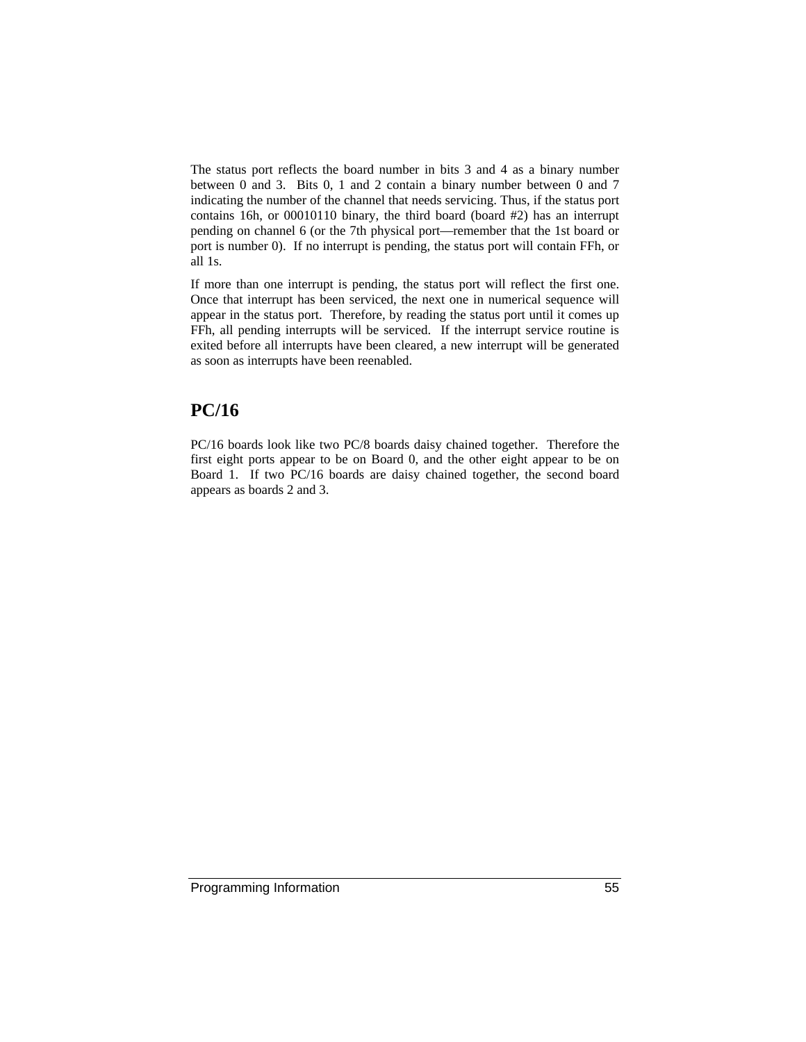The status port reflects the board number in bits 3 and 4 as a binary number between 0 and 3. Bits 0, 1 and 2 contain a binary number between 0 and 7 indicating the number of the channel that needs servicing. Thus, if the status port contains 16h, or 00010110 binary, the third board (board #2) has an interrupt pending on channel 6 (or the 7th physical port—remember that the 1st board or port is number 0). If no interrupt is pending, the status port will contain FFh, or all 1s.

If more than one interrupt is pending, the status port will reflect the first one. Once that interrupt has been serviced, the next one in numerical sequence will appear in the status port. Therefore, by reading the status port until it comes up FFh, all pending interrupts will be serviced. If the interrupt service routine is exited before all interrupts have been cleared, a new interrupt will be generated as soon as interrupts have been reenabled.

### **PC/16**

PC/16 boards look like two PC/8 boards daisy chained together. Therefore the first eight ports appear to be on Board 0, and the other eight appear to be on Board 1. If two PC/16 boards are daisy chained together, the second board appears as boards 2 and 3.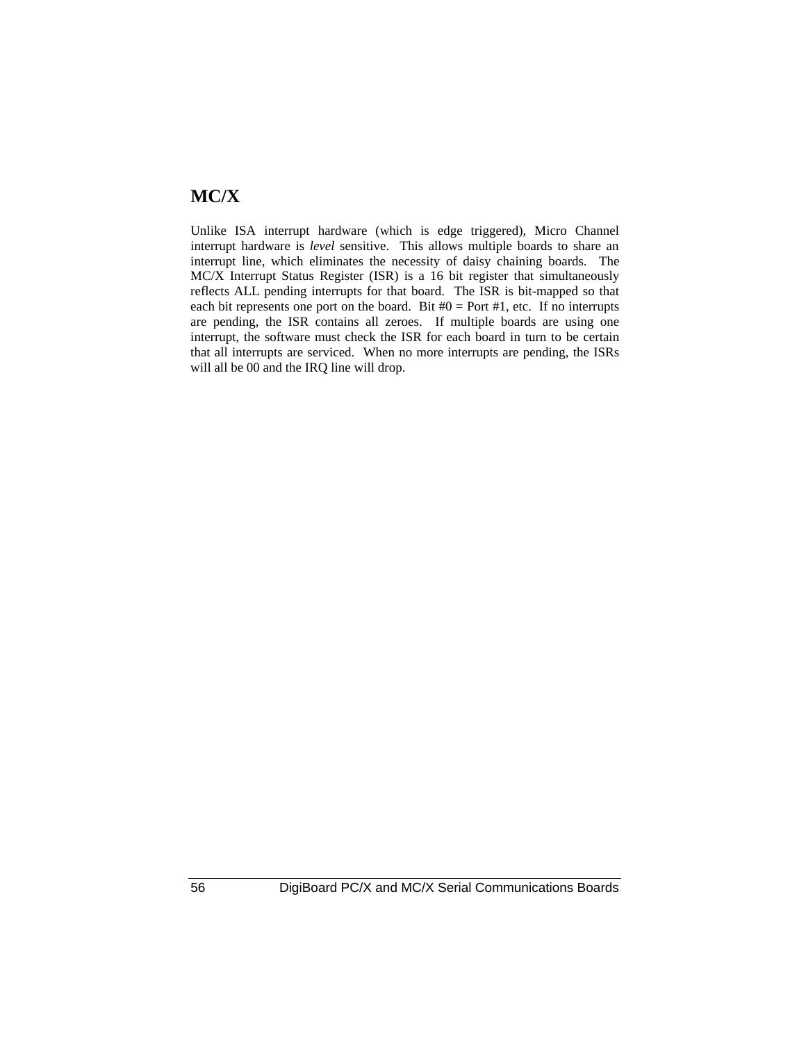### **MC/X**

Unlike ISA interrupt hardware (which is edge triggered), Micro Channel interrupt hardware is *level* sensitive. This allows multiple boards to share an interrupt line, which eliminates the necessity of daisy chaining boards. The MC/X Interrupt Status Register (ISR) is a 16 bit register that simultaneously reflects ALL pending interrupts for that board. The ISR is bit-mapped so that each bit represents one port on the board. Bit  $#0 =$  Port  $#1$ , etc. If no interrupts are pending, the ISR contains all zeroes. If multiple boards are using one interrupt, the software must check the ISR for each board in turn to be certain that all interrupts are serviced. When no more interrupts are pending, the ISRs will all be 00 and the IRQ line will drop.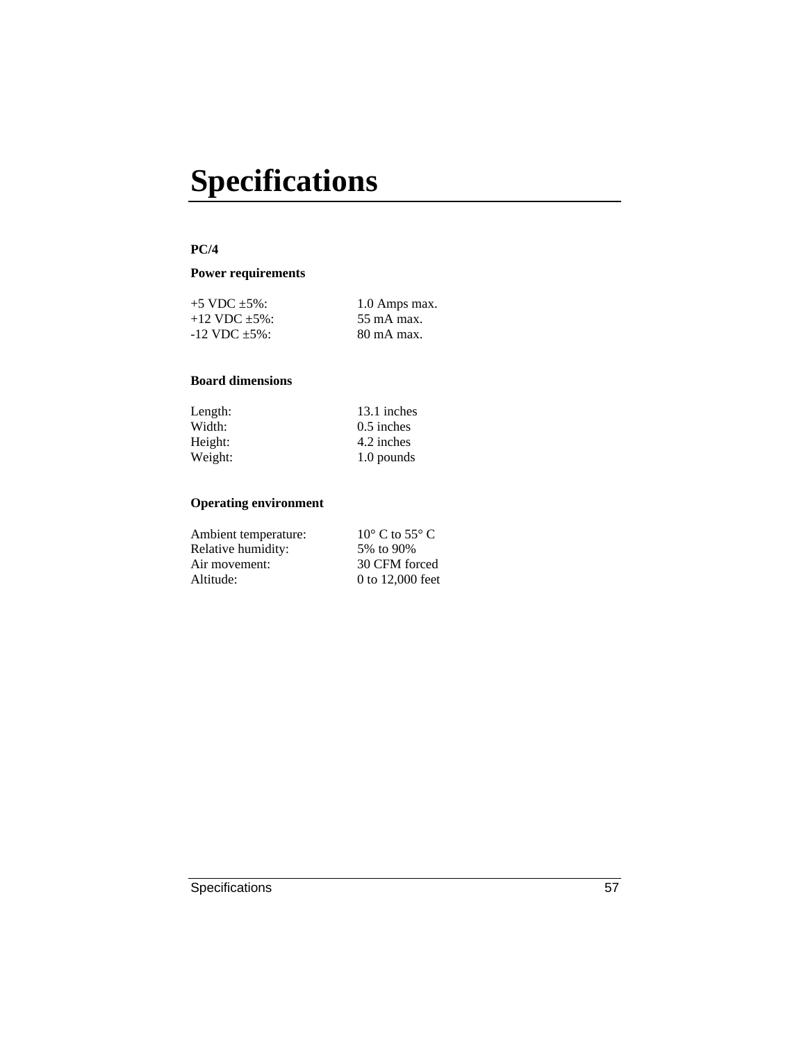# **Specifications**

#### **PC/4**

#### **Power requirements**

| $+5$ VDC $\pm 5\%$ :         | 1.0 Amps max.         |
|------------------------------|-----------------------|
| $+12$ VDC $+5\%$ :           | $55 \text{ mA max}$ . |
| $-12 \text{ VDC } \pm 5\%$ : | $80 \text{ mA max}$ . |

#### **Board dimensions**

| Length: | 13.1 inches  |
|---------|--------------|
| Width:  | $0.5$ inches |
| Height: | 4.2 inches   |
| Weight: | 1.0 pounds   |

| Ambient temperature: | $10^{\circ}$ C to 55 $^{\circ}$ C |
|----------------------|-----------------------------------|
| Relative humidity:   | 5% to 90%                         |
| Air movement:        | 30 CFM forced                     |
| Altitude:            | 0 to 12,000 feet                  |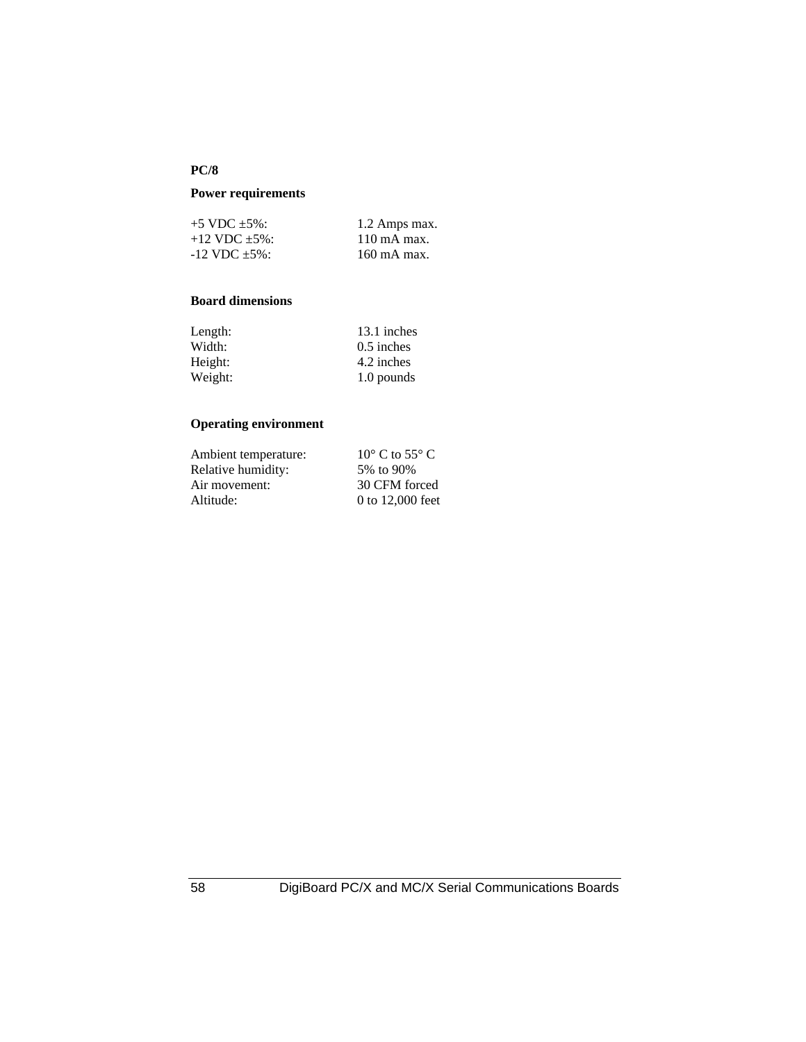#### **PC/8**

#### **Power requirements**

| $+5$ VDC $+5\%$ :  | 1.2 Amps max.          |
|--------------------|------------------------|
| $+12$ VDC $+5\%$ : | $110 \text{ mA max}$ . |
| $-12$ VDC $+5\%$ : | 160 mA max.            |

#### **Board dimensions**

| 13.1 inches  |
|--------------|
| $0.5$ inches |
| 4.2 inches   |
| 1.0 pounds   |
|              |

| $10^{\circ}$ C to 55 $^{\circ}$ C |
|-----------------------------------|
| 5% to 90%                         |
| 30 CFM forced                     |
| 0 to 12,000 feet                  |
|                                   |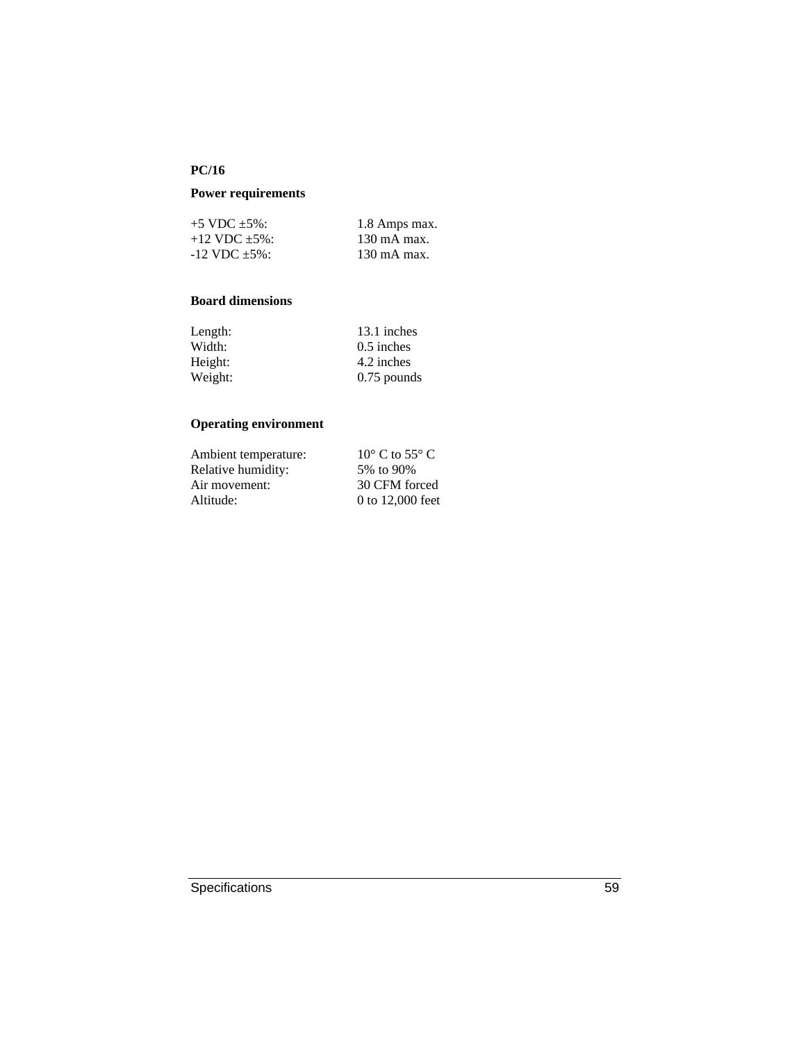#### **PC/16**

#### **Power requirements**

| $+5$ VDC $+5\%$ :            | 1.8 Amps max.          |
|------------------------------|------------------------|
| $+12$ VDC $\pm$ 5%:          | $130 \text{ mA max}$ . |
| $-12 \text{ VDC } \pm 5\%$ : | $130 \text{ mA max}$ . |

#### **Board dimensions**

| 13.1 inches   |
|---------------|
| $0.5$ inches  |
| 4.2 inches    |
| $0.75$ pounds |
|               |

| Ambient temperature: | $10^{\circ}$ C to 55 $^{\circ}$ C |
|----------------------|-----------------------------------|
| Relative humidity:   | 5% to 90%                         |
| Air movement:        | 30 CFM forced                     |
| Altitude:            | 0 to 12,000 feet                  |
|                      |                                   |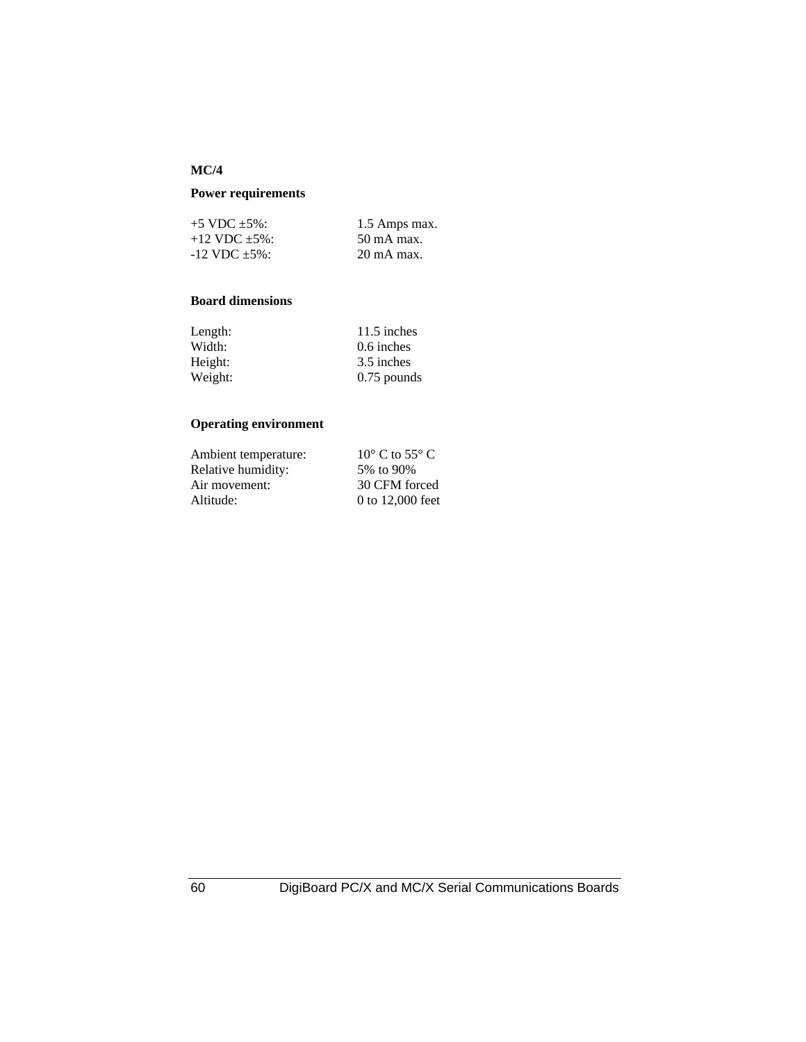#### **MC/4**

#### **Power requirements**

| $+5$ VDC $+5\%$ :  | 1.5 Amps max.         |
|--------------------|-----------------------|
| $+12$ VDC $+5\%$ : | $50 \text{ mA max}$ . |
| $-12$ VDC $+5\%$ : | $20 \text{ mA max}$ . |

#### **Board dimensions**

| 11.5 inches   |
|---------------|
| 0.6 inches    |
| 3.5 inches    |
| $0.75$ pounds |
|               |

| Ambient temperature: | $10^{\circ}$ C to 55 $^{\circ}$ C |
|----------------------|-----------------------------------|
| Relative humidity:   | 5% to 90%                         |
| Air movement:        | 30 CFM forced                     |
| Altitude:            | 0 to 12,000 feet                  |
|                      |                                   |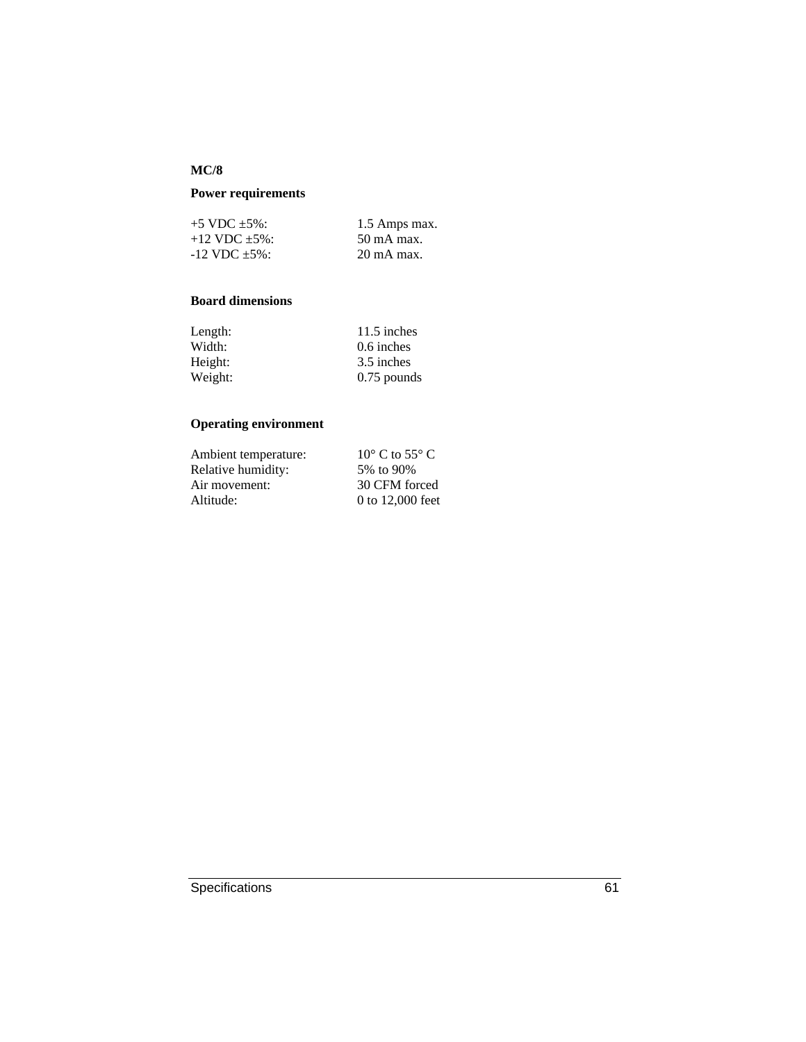#### **MC/8**

## **Power requirements**

| $+5$ VDC $+5\%$ :     | 1.5 Amps max.         |
|-----------------------|-----------------------|
| $+12$ VDC $+5\%$ :    | $50 \text{ mA max}$ . |
| $-12$ VDC $\pm 5\%$ : | $20 \text{ mA max}$ . |

#### **Board dimensions**

| Length: | 11.5 inches   |
|---------|---------------|
| Width:  | 0.6 inches    |
| Height: | 3.5 inches    |
| Weight: | $0.75$ pounds |

# **Operating environment**

| Ambient temperature: | $10^{\circ}$ C to 55 $^{\circ}$ C |
|----------------------|-----------------------------------|
| Relative humidity:   | 5% to 90%                         |
| Air movement:        | 30 CFM forced                     |
| Altitude:            | 0 to 12,000 feet                  |
|                      |                                   |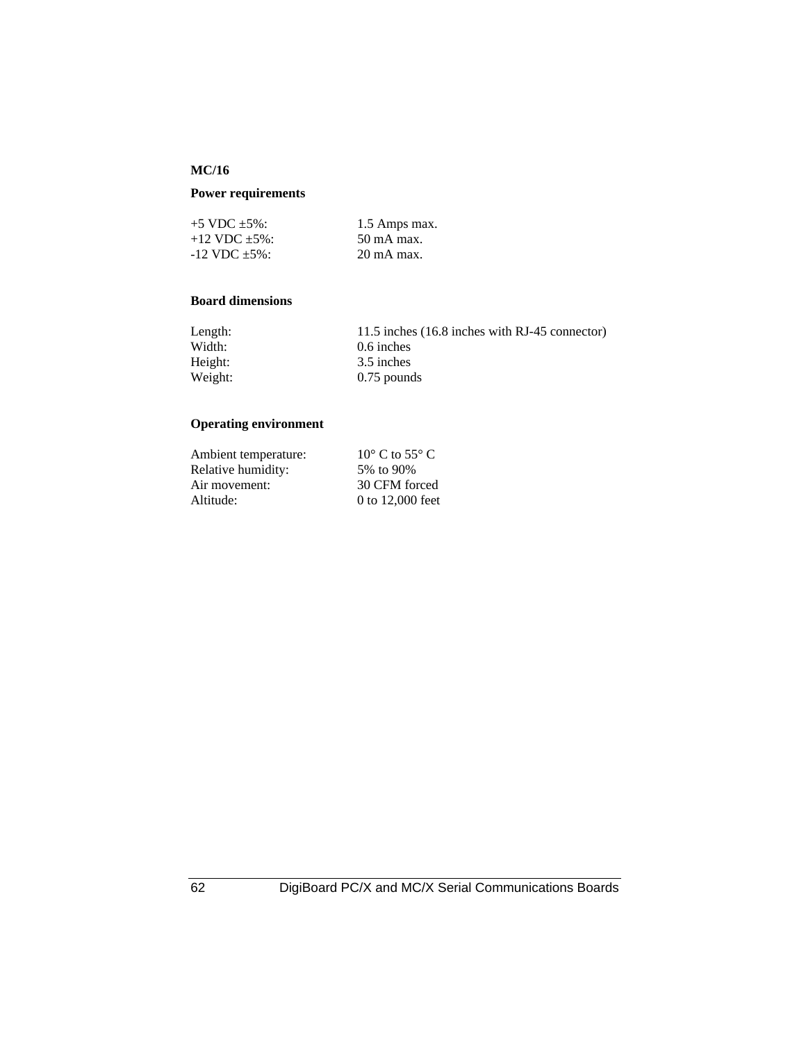#### **MC/16**

## **Power requirements**

| $+5$ VDC $+5\%$ :            | 1.5 Amps max.         |
|------------------------------|-----------------------|
| $+12$ VDC $+5\%$ :           | $50 \text{ mA max}$ . |
| $-12 \text{ VDC } \pm 5\%$ : | $20 \text{ mA max}$ . |

#### **Board dimensions**

| Length: | 11.5 inches (16.8 inches with RJ-45 connector) |
|---------|------------------------------------------------|
| Width:  | $0.6$ inches                                   |
| Height: | 3.5 inches                                     |
| Weight: | $0.75$ pounds                                  |

# **Operating environment**

| $10^{\circ}$ C to 55 $^{\circ}$ C |
|-----------------------------------|
| 5% to 90%                         |
| 30 CFM forced                     |
| 0 to 12,000 feet                  |
|                                   |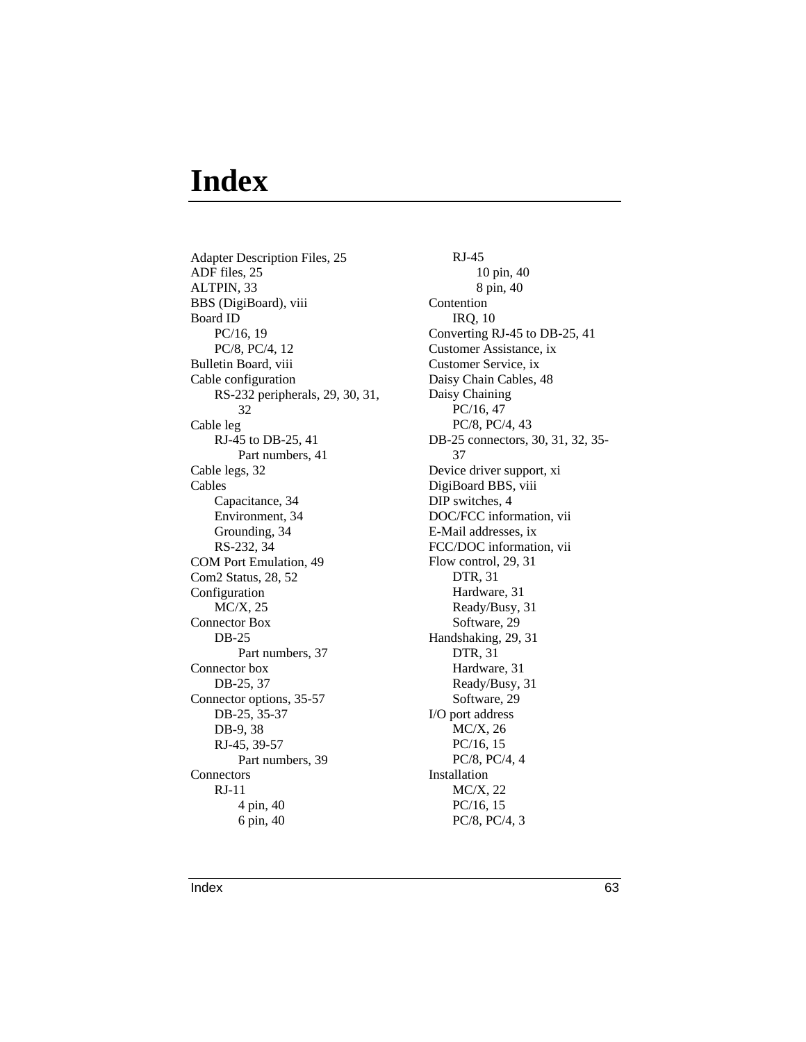# **Index**

Adapter Description Files, 25 ADF files, 25 ALTPIN, 33 BBS (DigiBoard), viii Board ID PC/16, 19 PC/8, PC/4, 12 Bulletin Board, viii Cable configuration RS-232 peripherals, 29, 30, 31, 32 Cable leg RJ-45 to DB-25, 41 Part numbers, 41 Cable legs, 32 Cables Capacitance, 34 Environment, 34 Grounding, 34 RS-232, 34 COM Port Emulation, 49 Com2 Status, 28, 52 Configuration MC/X, 25 Connector Box DB-25 Part numbers, 37 Connector box DB-25, 37 Connector options, 35-57 DB-25, 35-37 DB-9, 38 RJ-45, 39-57 Part numbers, 39 **Connectors** RJ-11 4 pin, 40 6 pin, 40

RJ-45 10 pin, 40 8 pin, 40 Contention IRQ, 10 Converting RJ-45 to DB-25, 41 Customer Assistance, ix Customer Service, ix Daisy Chain Cables, 48 Daisy Chaining PC/16, 47 PC/8, PC/4, 43 DB-25 connectors, 30, 31, 32, 35- 37 Device driver support, xi DigiBoard BBS, viii DIP switches, 4 DOC/FCC information, vii E-Mail addresses, ix FCC/DOC information, vii Flow control, 29, 31 DTR, 31 Hardware, 31 Ready/Busy, 31 Software, 29 Handshaking, 29, 31 DTR, 31 Hardware, 31 Ready/Busy, 31 Software, 29 I/O port address MC/X, 26 PC/16, 15 PC/8, PC/4, 4 Installation MC/X, 22 PC/16, 15 PC/8, PC/4, 3